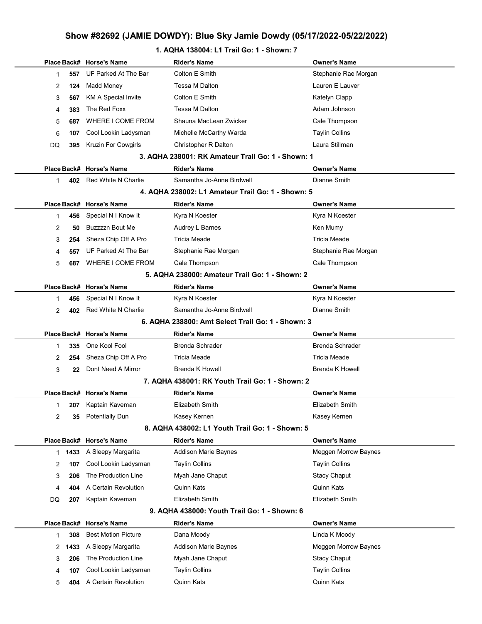### 1. AQHA 138004: L1 Trail Go: 1 - Shown: 7

|                |            | Place Back# Horse's Name                     | <b>Rider's Name</b>                               | <b>Owner's Name</b>                 |
|----------------|------------|----------------------------------------------|---------------------------------------------------|-------------------------------------|
| 1              | 557        | UF Parked At The Bar                         | Colton E Smith                                    | Stephanie Rae Morgan                |
| 2              | 124        | Madd Money                                   | Tessa M Dalton                                    | Lauren E Lauver                     |
| 3              | 567        | <b>KM A Special Invite</b>                   | Colton E Smith                                    | Katelyn Clapp                       |
| 4              | 383        | The Red Foxx                                 | Tessa M Dalton                                    | Adam Johnson                        |
| 5              | 687        | WHERE I COME FROM                            | Shauna MacLean Zwicker                            | Cale Thompson                       |
| 6              | 107        | Cool Lookin Ladysman                         | Michelle McCarthy Warda                           | <b>Taylin Collins</b>               |
| DQ             | 395        | Kruzin For Cowgirls                          | Christopher R Dalton                              | Laura Stillman                      |
|                |            |                                              | 3. AQHA 238001: RK Amateur Trail Go: 1 - Shown: 1 |                                     |
|                |            | Place Back# Horse's Name                     | <b>Rider's Name</b>                               | <b>Owner's Name</b>                 |
| $\mathbf{1}$   | 402        | Red White N Charlie                          | Samantha Jo-Anne Birdwell                         | Dianne Smith                        |
|                |            |                                              | 4. AQHA 238002: L1 Amateur Trail Go: 1 - Shown: 5 |                                     |
|                |            | Place Back# Horse's Name                     | <b>Rider's Name</b>                               | <b>Owner's Name</b>                 |
| 1              | 456        | Special N I Know It                          | Kyra N Koester                                    | Kyra N Koester                      |
| 2              | 50         | <b>Buzzzzn Bout Me</b>                       | Audrey L Barnes                                   | Ken Mumy                            |
| 3              | 254        | Sheza Chip Off A Pro                         | Tricia Meade                                      | Tricia Meade                        |
| 4              | 557        | UF Parked At The Bar                         | Stephanie Rae Morgan                              | Stephanie Rae Morgan                |
| 5              | 687        | WHERE I COME FROM                            | Cale Thompson                                     | Cale Thompson                       |
|                |            |                                              | 5. AQHA 238000: Amateur Trail Go: 1 - Shown: 2    |                                     |
|                |            | Place Back# Horse's Name                     | <b>Rider's Name</b>                               | <b>Owner's Name</b>                 |
| 1              | 456        | Special N I Know It                          | Kyra N Koester                                    | Kyra N Koester                      |
| $\overline{2}$ | 402        | Red White N Charlie                          | Samantha Jo-Anne Birdwell                         | Dianne Smith                        |
|                |            |                                              | 6. AQHA 238800: Amt Select Trail Go: 1 - Shown: 3 |                                     |
|                |            | Place Back# Horse's Name                     | <b>Rider's Name</b>                               | <b>Owner's Name</b>                 |
| 1              | 335        | One Kool Fool                                | <b>Brenda Schrader</b>                            | <b>Brenda Schrader</b>              |
| 2              | 254        | Sheza Chip Off A Pro                         | Tricia Meade                                      | <b>Tricia Meade</b>                 |
| 3              | 22         | Dont Need A Mirror                           | <b>Brenda K Howell</b>                            | <b>Brenda K Howell</b>              |
|                |            |                                              | 7. AQHA 438001: RK Youth Trail Go: 1 - Shown: 2   |                                     |
|                |            | Place Back# Horse's Name                     | <b>Rider's Name</b>                               | <b>Owner's Name</b>                 |
| 1              |            | 207 Kaptain Kaveman                          | Elizabeth Smith                                   | Elizabeth Smith                     |
| 2              | 35         | <b>Potentially Dun</b>                       | Kasey Kernen                                      | Kasey Kernen                        |
|                |            |                                              | 8. AQHA 438002: L1 Youth Trail Go: 1 - Shown: 5   |                                     |
|                |            |                                              |                                                   |                                     |
|                |            | Place Back# Horse's Name                     | <b>Rider's Name</b>                               | <b>Owner's Name</b>                 |
| 1.             | 1433       | A Sleepy Margarita                           | <b>Addison Marie Baynes</b>                       | Meggen Morrow Baynes                |
| 2              | 107        | Cool Lookin Ladysman                         | <b>Taylin Collins</b>                             | <b>Taylin Collins</b>               |
| 3              | 206        | The Production Line                          | Myah Jane Chaput                                  | <b>Stacy Chaput</b>                 |
| 4              | 404        | A Certain Revolution                         | Quinn Kats                                        | Quinn Kats                          |
| DQ             | 207        | Kaptain Kaveman                              | Elizabeth Smith                                   | Elizabeth Smith                     |
|                |            |                                              | 9. AQHA 438000: Youth Trail Go: 1 - Shown: 6      |                                     |
|                |            | Place Back# Horse's Name                     | <b>Rider's Name</b>                               | <b>Owner's Name</b>                 |
| 1              | 308        | <b>Best Motion Picture</b>                   | Dana Moody                                        | Linda K Moody                       |
|                | 2 1433     | A Sleepy Margarita                           | <b>Addison Marie Baynes</b>                       | Meggen Morrow Baynes                |
| 3              | 206        | The Production Line                          | Myah Jane Chaput                                  | <b>Stacy Chaput</b>                 |
| 4<br>5         | 107<br>404 | Cool Lookin Ladysman<br>A Certain Revolution | <b>Taylin Collins</b><br>Quinn Kats               | <b>Taylin Collins</b><br>Quinn Kats |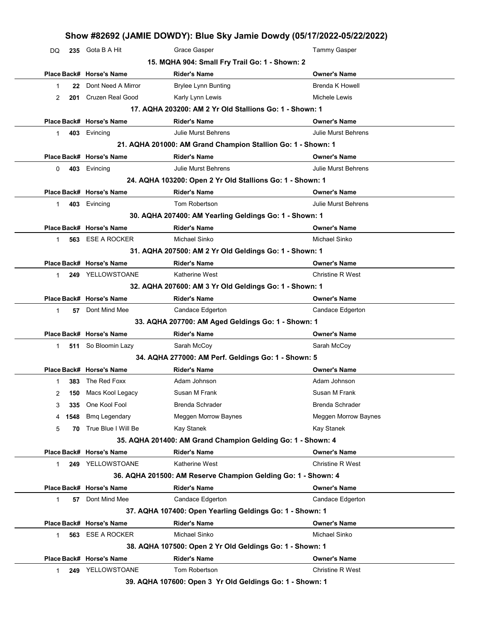| DQ |      |                          | Show #82692 (JAMIE DOWDY): Blue Sky Jamie Dowdy (05/17/2022-05/22/2022)         |                                         |
|----|------|--------------------------|---------------------------------------------------------------------------------|-----------------------------------------|
|    |      | 235 Gota B A Hit         | Grace Gasper                                                                    | <b>Tammy Gasper</b>                     |
|    |      |                          | 15. MQHA 904: Small Fry Trail Go: 1 - Shown: 2                                  |                                         |
|    |      | Place Back# Horse's Name | <b>Rider's Name</b>                                                             | <b>Owner's Name</b>                     |
| 1  | 22   | Dont Need A Mirror       | <b>Brylee Lynn Bunting</b>                                                      | <b>Brenda K Howell</b>                  |
| 2  | 201  | <b>Cruzen Real Good</b>  | Karly Lynn Lewis                                                                | Michele Lewis                           |
|    |      |                          | 17. AQHA 203200: AM 2 Yr Old Stallions Go: 1 - Shown: 1                         |                                         |
|    |      | Place Back# Horse's Name | <b>Rider's Name</b>                                                             | <b>Owner's Name</b>                     |
| 1  | 403  | Evincing                 | <b>Julie Murst Behrens</b>                                                      | <b>Julie Murst Behrens</b>              |
|    |      |                          | 21. AQHA 201000: AM Grand Champion Stallion Go: 1 - Shown: 1                    |                                         |
|    |      | Place Back# Horse's Name | <b>Rider's Name</b>                                                             | <b>Owner's Name</b>                     |
| 0  | 403  | Evincing                 | <b>Julie Murst Behrens</b>                                                      | <b>Julie Murst Behrens</b>              |
|    |      |                          | 24. AQHA 103200: Open 2 Yr Old Stallions Go: 1 - Shown: 1                       |                                         |
|    |      | Place Back# Horse's Name | <b>Rider's Name</b>                                                             | <b>Owner's Name</b>                     |
| 1  | 403  | Evincing                 | Tom Robertson                                                                   | <b>Julie Murst Behrens</b>              |
|    |      |                          | 30. AQHA 207400: AM Yearling Geldings Go: 1 - Shown: 1                          |                                         |
|    |      | Place Back# Horse's Name | <b>Rider's Name</b>                                                             | <b>Owner's Name</b>                     |
| 1  | 563  | <b>ESE A ROCKER</b>      | Michael Sinko                                                                   | Michael Sinko                           |
|    |      |                          | 31. AQHA 207500: AM 2 Yr Old Geldings Go: 1 - Shown: 1                          |                                         |
|    |      | Place Back# Horse's Name | <b>Rider's Name</b>                                                             | <b>Owner's Name</b>                     |
| 1  |      | 249 YELLOWSTOANE         | Katherine West                                                                  | <b>Christine R West</b>                 |
|    |      |                          | 32. AQHA 207600: AM 3 Yr Old Geldings Go: 1 - Shown: 1                          |                                         |
|    |      | Place Back# Horse's Name | <b>Rider's Name</b>                                                             | <b>Owner's Name</b>                     |
| 1  | 57   | Dont Mind Mee            | Candace Edgerton                                                                | Candace Edgerton                        |
|    |      |                          | 33. AQHA 207700: AM Aged Geldings Go: 1 - Shown: 1                              |                                         |
|    |      | Place Back# Horse's Name | <b>Rider's Name</b>                                                             | <b>Owner's Name</b>                     |
|    |      | So Bloomin Lazy          | Sarah McCoy                                                                     | Sarah McCoy                             |
| 1  | 511  |                          |                                                                                 |                                         |
|    |      |                          | 34. AQHA 277000: AM Perf. Geldings Go: 1 - Shown: 5                             |                                         |
|    |      | Place Back# Horse's Name | <b>Rider's Name</b>                                                             | <b>Owner's Name</b>                     |
| 1  | 383  | The Red Foxx             | Adam Johnson                                                                    | Adam Johnson                            |
| 2  | 150  | Macs Kool Legacy         | Susan M Frank                                                                   | Susan M Frank                           |
| 3  | 335  | One Kool Fool            | Brenda Schrader                                                                 | <b>Brenda Schrader</b>                  |
| 4  | 1548 | <b>Bmq Legendary</b>     | Meggen Morrow Baynes                                                            | Meggen Morrow Baynes                    |
| 5  | 70   | True Blue I Will Be      | Kay Stanek                                                                      | Kay Stanek                              |
|    |      |                          | 35. AQHA 201400: AM Grand Champion Gelding Go: 1 - Shown: 4                     |                                         |
|    |      | Place Back# Horse's Name | <b>Rider's Name</b>                                                             | <b>Owner's Name</b>                     |
| 1  | 249  | YELLOWSTOANE             | Katherine West                                                                  | <b>Christine R West</b>                 |
|    |      |                          |                                                                                 |                                         |
|    |      | Place Back# Horse's Name | 36. AQHA 201500: AM Reserve Champion Gelding Go: 1 - Shown: 4                   |                                         |
| 1  | 57   | Dont Mind Mee            | <b>Rider's Name</b><br>Candace Edgerton                                         | <b>Owner's Name</b><br>Candace Edgerton |
|    |      |                          |                                                                                 |                                         |
|    |      |                          | 37. AQHA 107400: Open Yearling Geldings Go: 1 - Shown: 1                        |                                         |
|    |      | Place Back# Horse's Name | <b>Rider's Name</b><br>Michael Sinko                                            | <b>Owner's Name</b><br>Michael Sinko    |
| 1  | 563  | <b>ESE A ROCKER</b>      |                                                                                 |                                         |
|    |      | Place Back# Horse's Name | 38. AQHA 107500: Open 2 Yr Old Geldings Go: 1 - Shown: 1<br><b>Rider's Name</b> | <b>Owner's Name</b>                     |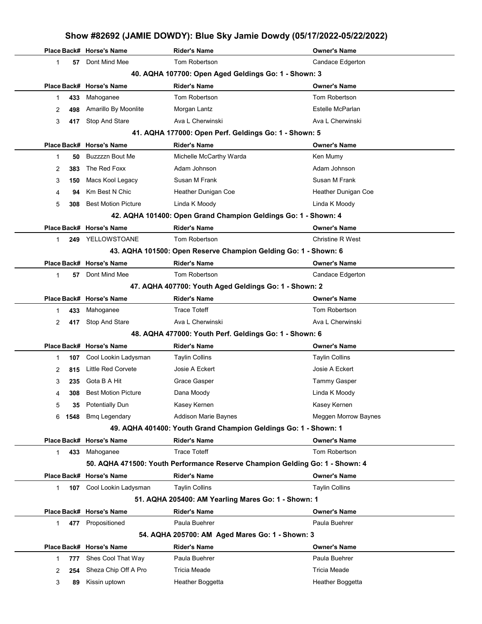|   |      | Place Back# Horse's Name   | <b>Rider's Name</b>                                                          | <b>Owner's Name</b>         |
|---|------|----------------------------|------------------------------------------------------------------------------|-----------------------------|
| 1 | 57   | Dont Mind Mee              | Tom Robertson                                                                | Candace Edgerton            |
|   |      |                            | 40. AQHA 107700: Open Aged Geldings Go: 1 - Shown: 3                         |                             |
|   |      | Place Back# Horse's Name   | <b>Rider's Name</b>                                                          | <b>Owner's Name</b>         |
| 1 | 433  | Mahoganee                  | Tom Robertson                                                                | <b>Tom Robertson</b>        |
| 2 | 498  | Amarillo By Moonlite       | Morgan Lantz                                                                 | Estelle McParlan            |
| 3 | 417  | Stop And Stare             | Ava L Cherwinski                                                             | Ava L Cherwinski            |
|   |      |                            | 41. AQHA 177000: Open Perf. Geldings Go: 1 - Shown: 5                        |                             |
|   |      | Place Back# Horse's Name   | <b>Rider's Name</b>                                                          | <b>Owner's Name</b>         |
| 1 | 50   | <b>Buzzzzn Bout Me</b>     | Michelle McCarthy Warda                                                      | Ken Mumy                    |
| 2 | 383  | The Red Foxx               | Adam Johnson                                                                 | Adam Johnson                |
| 3 | 150  | Macs Kool Legacy           | Susan M Frank                                                                | Susan M Frank               |
| 4 | 94   | Km Best N Chic             | Heather Dunigan Coe                                                          | Heather Dunigan Coe         |
| 5 | 308  | <b>Best Motion Picture</b> | Linda K Moody                                                                | Linda K Moody               |
|   |      |                            | 42. AQHA 101400: Open Grand Champion Geldings Go: 1 - Shown: 4               |                             |
|   |      | Place Back# Horse's Name   | <b>Rider's Name</b>                                                          | Owner's Name                |
| 1 | 249  | YELLOWSTOANE               | Tom Robertson                                                                | <b>Christine R West</b>     |
|   |      |                            | 43. AQHA 101500: Open Reserve Champion Gelding Go: 1 - Shown: 6              |                             |
|   |      | Place Back# Horse's Name   | <b>Rider's Name</b>                                                          | <b>Owner's Name</b>         |
| 1 | 57   | Dont Mind Mee              | <b>Tom Robertson</b>                                                         | Candace Edgerton            |
|   |      |                            | 47. AQHA 407700: Youth Aged Geldings Go: 1 - Shown: 2                        |                             |
|   |      | Place Back# Horse's Name   | <b>Rider's Name</b>                                                          | Owner's Name                |
| 1 | 433  | Mahoganee                  | <b>Trace Toteff</b>                                                          | <b>Tom Robertson</b>        |
| 2 | 417  | Stop And Stare             | Ava L Cherwinski                                                             | Ava L Cherwinski            |
|   |      |                            | 48. AQHA 477000: Youth Perf. Geldings Go: 1 - Shown: 6                       |                             |
|   |      | Place Back# Horse's Name   | <b>Rider's Name</b>                                                          | <b>Owner's Name</b>         |
| 1 | 107  | Cool Lookin Ladysman       | <b>Taylin Collins</b>                                                        | <b>Taylin Collins</b>       |
| 2 | 815  | Little Red Corvete         | Josie A Eckert                                                               | Josie A Eckert              |
| 3 | 235  | Gota B A Hit               | Grace Gasper                                                                 | <b>Tammy Gasper</b>         |
| 4 | 308  | <b>Best Motion Picture</b> | Dana Moody                                                                   | Linda K Moody               |
| 5 | 35   | Potentially Dun            | Kasey Kernen                                                                 | Kasey Kernen                |
| 6 | 1548 | <b>Bmg Legendary</b>       | <b>Addison Marie Baynes</b>                                                  | <b>Meggen Morrow Baynes</b> |
|   |      |                            | 49. AQHA 401400: Youth Grand Champion Geldings Go: 1 - Shown: 1              |                             |
|   |      | Place Back# Horse's Name   | <b>Rider's Name</b>                                                          | Owner's Name                |
| 1 | 433  | Mahoganee                  | <b>Trace Toteff</b>                                                          | Tom Robertson               |
|   |      |                            | 50. AQHA 471500: Youth Performance Reserve Champion Gelding Go: 1 - Shown: 4 |                             |
|   |      | Place Back# Horse's Name   | <b>Rider's Name</b>                                                          | <b>Owner's Name</b>         |
| 1 | 107  | Cool Lookin Ladysman       | <b>Taylin Collins</b>                                                        | <b>Taylin Collins</b>       |
|   |      |                            | 51. AQHA 205400: AM Yearling Mares Go: 1 - Shown: 1                          |                             |
|   |      | Place Back# Horse's Name   | <b>Rider's Name</b>                                                          | Owner's Name                |
| 1 | 477  | Propositioned              | Paula Buehrer                                                                | Paula Buehrer               |
|   |      |                            | 54. AQHA 205700: AM Aged Mares Go: 1 - Shown: 3                              |                             |
|   |      | Place Back# Horse's Name   | <b>Rider's Name</b>                                                          | Owner's Name                |
| 1 | 777  | Shes Cool That Way         | Paula Buehrer                                                                | Paula Buehrer               |
| 2 | 254  | Sheza Chip Off A Pro       | <b>Tricia Meade</b>                                                          | Tricia Meade                |
| 3 | 89   | Kissin uptown              | Heather Boggetta                                                             | Heather Boggetta            |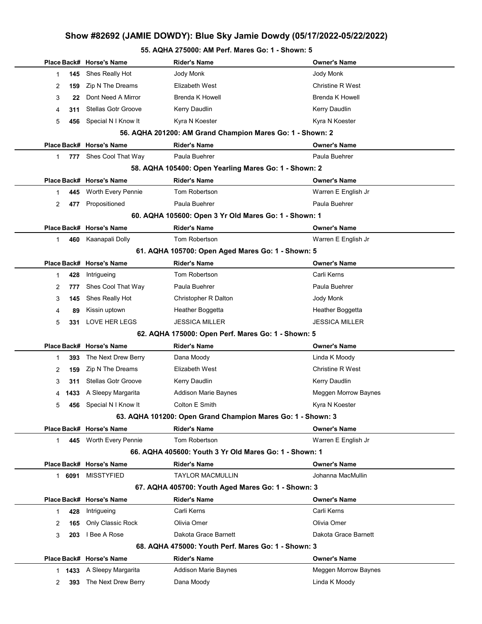# 55. AQHA 275000: AM Perf. Mares Go: 1 - Shown: 5

|                       | Place Back# Horse's Name   | <b>Rider's Name</b>                                         | <b>Owner's Name</b>     |
|-----------------------|----------------------------|-------------------------------------------------------------|-------------------------|
| 145<br>1              | Shes Really Hot            | Jody Monk                                                   | Jody Monk               |
| 2<br>159              | Zip N The Dreams           | Elizabeth West                                              | <b>Christine R West</b> |
| 3                     | Dont Need A Mirror<br>22   | <b>Brenda K Howell</b>                                      | <b>Brenda K Howell</b>  |
| 4<br>311              | <b>Stellas Gotr Groove</b> | Kerry Daudlin                                               | Kerry Daudlin           |
| 5<br>456              | Special N I Know It        | Kyra N Koester                                              | Kyra N Koester          |
|                       |                            | 56. AQHA 201200: AM Grand Champion Mares Go: 1 - Shown: 2   |                         |
|                       | Place Back# Horse's Name   | <b>Rider's Name</b>                                         | <b>Owner's Name</b>     |
| 1                     | 777 Shes Cool That Way     | Paula Buehrer                                               | Paula Buehrer           |
|                       |                            | 58. AQHA 105400: Open Yearling Mares Go: 1 - Shown: 2       |                         |
|                       | Place Back# Horse's Name   | <b>Rider's Name</b>                                         | <b>Owner's Name</b>     |
| 445<br>1              | Worth Every Pennie         | Tom Robertson                                               | Warren E English Jr     |
| $\overline{2}$<br>477 | Propositioned              | Paula Buehrer                                               | Paula Buehrer           |
|                       |                            | 60. AQHA 105600: Open 3 Yr Old Mares Go: 1 - Shown: 1       |                         |
|                       | Place Back# Horse's Name   | <b>Rider's Name</b>                                         | <b>Owner's Name</b>     |
| 460<br>1              | Kaanapali Dolly            | Tom Robertson                                               | Warren E English Jr     |
|                       |                            | 61. AQHA 105700: Open Aged Mares Go: 1 - Shown: 5           |                         |
|                       | Place Back# Horse's Name   | <b>Rider's Name</b>                                         | <b>Owner's Name</b>     |
| 1<br>428              | Intrigueing                | Tom Robertson                                               | Carli Kerns             |
| 777<br>2              | Shes Cool That Way         | Paula Buehrer                                               | Paula Buehrer           |
| 3<br>145              | Shes Really Hot            | Christopher R Dalton                                        | Jody Monk               |
| 4                     | Kissin uptown<br>89        | Heather Boggetta                                            | Heather Boggetta        |
| 5<br>331              | LOVE HER LEGS              | <b>JESSICA MILLER</b>                                       | <b>JESSICA MILLER</b>   |
|                       |                            | 62. AQHA 175000: Open Perf. Mares Go: 1 - Shown: 5          |                         |
|                       | Place Back# Horse's Name   | <b>Rider's Name</b>                                         | <b>Owner's Name</b>     |
| 1<br>393              | The Next Drew Berry        | Dana Moody                                                  | Linda K Moody           |
| 2<br>159              | Zip N The Dreams           | Elizabeth West                                              | <b>Christine R West</b> |
| 3<br>311              | <b>Stellas Gotr Groove</b> | Kerry Daudlin                                               | Kerry Daudlin           |
| 1433<br>4             | A Sleepy Margarita         | <b>Addison Marie Baynes</b>                                 | Meggen Morrow Baynes    |
| 5<br>456              | Special N I Know It        | Colton E Smith                                              | Kyra N Koester          |
|                       |                            | 63. AQHA 101200: Open Grand Champion Mares Go: 1 - Shown: 3 |                         |
|                       | Place Back# Horse's Name   | <b>Rider's Name</b>                                         | <b>Owner's Name</b>     |
| $\mathbf{1}$<br>445   | Worth Every Pennie         | Tom Robertson                                               | Warren E English Jr     |
|                       |                            | 66. AQHA 405600: Youth 3 Yr Old Mares Go: 1 - Shown: 1      |                         |
|                       | Place Back# Horse's Name   | <b>Rider's Name</b>                                         | <b>Owner's Name</b>     |
| 1 6091                | <b>MISSTYFIED</b>          | <b>TAYLOR MACMULLIN</b>                                     | Johanna MacMullin       |
|                       |                            | 67. AQHA 405700: Youth Aged Mares Go: 1 - Shown: 3          |                         |
|                       | Place Back# Horse's Name   | <b>Rider's Name</b>                                         | <b>Owner's Name</b>     |
| 428<br>$\mathbf{1}$   | Intrigueing                | Carli Kerns                                                 | Carli Kerns             |
| 165<br>2              | Only Classic Rock          | Olivia Omer                                                 | Olivia Omer             |
| 3<br>203              | I Bee A Rose               | Dakota Grace Barnett                                        | Dakota Grace Barnett    |
|                       |                            | 68. AQHA 475000: Youth Perf. Mares Go: 1 - Shown: 3         |                         |
|                       | Place Back# Horse's Name   | <b>Rider's Name</b>                                         | <b>Owner's Name</b>     |
| 1 1433                | A Sleepy Margarita         | <b>Addison Marie Baynes</b>                                 | Meggen Morrow Baynes    |
| 393<br>2              | The Next Drew Berry        | Dana Moody                                                  | Linda K Moody           |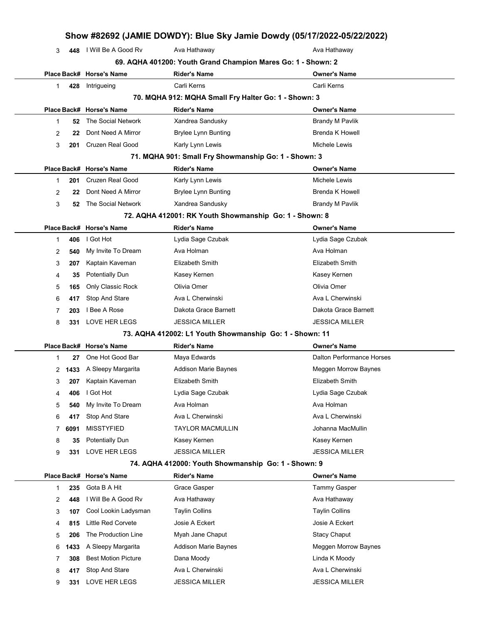|    |           |                                     |                                                              | Show #82692 (JAMIE DOWDY): Blue Sky Jamie Dowdy (05/17/2022-05/22/2022) |
|----|-----------|-------------------------------------|--------------------------------------------------------------|-------------------------------------------------------------------------|
| 3  | 448       | I Will Be A Good Rv                 | Ava Hathaway                                                 | Ava Hathaway                                                            |
|    |           |                                     | 69. AQHA 401200: Youth Grand Champion Mares Go: 1 - Shown: 2 |                                                                         |
|    |           | Place Back# Horse's Name            | Rider's Name                                                 | <b>Owner's Name</b>                                                     |
| 1  | 428       | Intrigueing                         | Carli Kerns                                                  | Carli Kerns                                                             |
|    |           |                                     | 70. MQHA 912: MQHA Small Fry Halter Go: 1 - Shown: 3         |                                                                         |
|    |           | Place Back# Horse's Name            | <b>Rider's Name</b>                                          | <b>Owner's Name</b>                                                     |
| 1  | 52        | The Social Network                  | Xandrea Sandusky                                             | <b>Brandy M Pavlik</b>                                                  |
| 2  | 22        | Dont Need A Mirror                  | <b>Brylee Lynn Bunting</b>                                   | <b>Brenda K Howell</b>                                                  |
| 3  | 201       | Cruzen Real Good                    | Karly Lynn Lewis                                             | Michele Lewis                                                           |
|    |           |                                     | 71. MQHA 901: Small Fry Showmanship Go: 1 - Shown: 3         |                                                                         |
|    |           | Place Back# Horse's Name            | <b>Rider's Name</b>                                          | <b>Owner's Name</b>                                                     |
| 1  | 201       | Cruzen Real Good                    | Karly Lynn Lewis                                             | Michele Lewis                                                           |
| 2  | 22        | Dont Need A Mirror                  | <b>Brylee Lynn Bunting</b>                                   | <b>Brenda K Howell</b>                                                  |
| 3  | 52        | The Social Network                  | Xandrea Sandusky                                             | <b>Brandy M Pavlik</b>                                                  |
|    |           |                                     | 72. AQHA 412001: RK Youth Showmanship Go: 1 - Shown: 8       |                                                                         |
|    |           | Place Back# Horse's Name            | <b>Rider's Name</b>                                          | Owner's Name                                                            |
| 1  | 406       | I Got Hot                           | Lydia Sage Czubak                                            | Lydia Sage Czubak                                                       |
| 2  | 540       | My Invite To Dream                  | Ava Holman                                                   | Ava Holman                                                              |
| 3  | 207       | Kaptain Kaveman                     | Elizabeth Smith                                              | Elizabeth Smith                                                         |
| 4  | 35        | Potentially Dun                     | Kasey Kernen                                                 | Kasey Kernen                                                            |
| 5  | 165       | Only Classic Rock                   | Olivia Omer                                                  | Olivia Omer                                                             |
| 6  | 417       | Stop And Stare                      | Ava L Cherwinski                                             | Ava L Cherwinski                                                        |
| 7  | 203       | I Bee A Rose                        | Dakota Grace Barnett                                         | Dakota Grace Barnett                                                    |
| 8  | 331       | LOVE HER LEGS                       | <b>JESSICA MILLER</b>                                        | <b>JESSICA MILLER</b>                                                   |
|    |           |                                     | 73. AQHA 412002: L1 Youth Showmanship Go: 1 - Shown: 11      |                                                                         |
|    |           | Place Back# Horse's Name            | <b>Rider's Name</b>                                          | <b>Owner's Name</b>                                                     |
| 1  | 27        | One Hot Good Bar                    | Maya Edwards                                                 | Dalton Performance Horses                                               |
|    |           | 2 1433 A Sleepy Margarita           | Addison Marie Baynes                                         | Meggen Morrow Baynes                                                    |
| 3  |           | 207 Kaptain Kaveman                 | Elizabeth Smith                                              | Elizabeth Smith                                                         |
| 4  | 406       | I Got Hot                           | Lydia Sage Czubak                                            | Lydia Sage Czubak<br>Ava Holman                                         |
| 5  | 540       | My Invite To Dream                  | Ava Holman<br>Ava L Cherwinski                               | Ava L Cherwinski                                                        |
| 6  | 417       | Stop And Stare<br><b>MISSTYFIED</b> | <b>TAYLOR MACMULLIN</b>                                      | Johanna MacMullin                                                       |
| 7. | 6091      | <b>Potentially Dun</b>              | Kasey Kernen                                                 | Kasey Kernen                                                            |
| 8  | 35<br>331 | LOVE HER LEGS                       | <b>JESSICA MILLER</b>                                        | <b>JESSICA MILLER</b>                                                   |
| 9  |           |                                     | 74. AQHA 412000: Youth Showmanship Go: 1 - Shown: 9          |                                                                         |
|    |           | Place Back# Horse's Name            | <b>Rider's Name</b>                                          | Owner's Name                                                            |
| 1  | 235       | Gota B A Hit                        | Grace Gasper                                                 | Tammy Gasper                                                            |
| 2  | 448       | I Will Be A Good Rv                 | Ava Hathaway                                                 | Ava Hathaway                                                            |
| 3  | 107       | Cool Lookin Ladysman                | <b>Taylin Collins</b>                                        | <b>Taylin Collins</b>                                                   |
| 4  | 815       | Little Red Corvete                  | Josie A Eckert                                               | Josie A Eckert                                                          |
| 5  | 206       | The Production Line                 | Myah Jane Chaput                                             | <b>Stacy Chaput</b>                                                     |
| 6  | 1433      | A Sleepy Margarita                  | Addison Marie Baynes                                         | Meggen Morrow Baynes                                                    |
| 7  | 308       | <b>Best Motion Picture</b>          | Dana Moody                                                   | Linda K Moody                                                           |
| 8  | 417       | Stop And Stare                      | Ava L Cherwinski                                             | Ava L Cherwinski                                                        |
| 9  | 331       | LOVE HER LEGS                       | <b>JESSICA MILLER</b>                                        | <b>JESSICA MILLER</b>                                                   |
|    |           |                                     |                                                              |                                                                         |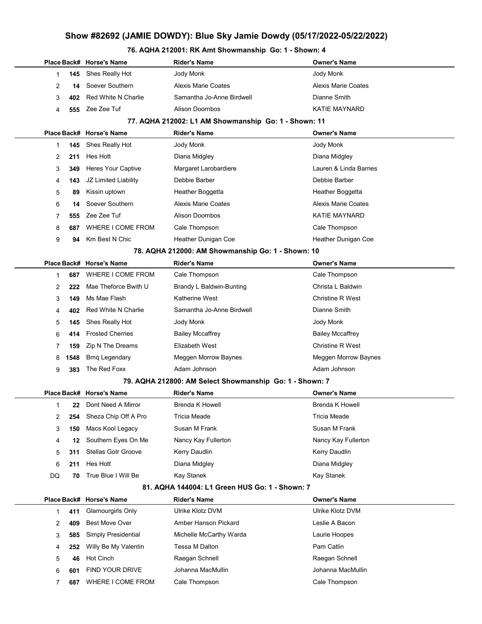### 76. AQHA 212001: RK Amt Showmanship Go: 1 - Shown: 4

|    |             | Place Back# Horse's Name   | Rider's Name                                            | Owner's Name               |
|----|-------------|----------------------------|---------------------------------------------------------|----------------------------|
| 1  | 145         | Shes Really Hot            | Jody Monk                                               | Jody Monk                  |
| 2  | 14          | Soever Southern            | <b>Alexis Marie Coates</b>                              | <b>Alexis Marie Coates</b> |
| 3  | 402         | Red White N Charlie        | Samantha Jo-Anne Birdwell                               | Dianne Smith               |
| 4  | 555         | Zee Zee Tuf                | <b>Alison Doornbos</b>                                  | <b>KATIE MAYNARD</b>       |
|    |             |                            | 77. AQHA 212002: L1 AM Showmanship Go: 1 - Shown: 11    |                            |
|    |             | Place Back# Horse's Name   | <b>Rider's Name</b>                                     | <b>Owner's Name</b>        |
| 1  | 145         | Shes Really Hot            | Jody Monk                                               | Jody Monk                  |
| 2  | 211         | Hes Hott                   | Diana Midgley                                           | Diana Midgley              |
| 3  | 349         | Heres Your Captive         | Margaret Larobardiere                                   | Lauren & Linda Barnes      |
| 4  | 143         | JZ Limited Liability       | Debbie Barber                                           | Debbie Barber              |
| 5  | 89          | Kissin uptown              | Heather Boggetta                                        | Heather Boggetta           |
| 6  | 14          | Soever Southern            | <b>Alexis Marie Coates</b>                              | <b>Alexis Marie Coates</b> |
| 7  | 555         | Zee Zee Tuf                | <b>Alison Doornbos</b>                                  | <b>KATIE MAYNARD</b>       |
| 8  | 687         | WHERE I COME FROM          | Cale Thompson                                           | Cale Thompson              |
| 9  | 94          | Km Best N Chic             | Heather Dunigan Coe                                     | Heather Dunigan Coe        |
|    |             |                            | 78. AQHA 212000: AM Showmanship Go: 1 - Shown: 10       |                            |
|    |             | Place Back# Horse's Name   | <b>Rider's Name</b>                                     | <b>Owner's Name</b>        |
| 1  | 687         | WHERE I COME FROM          | Cale Thompson                                           | Cale Thompson              |
| 2  | 222         | Mae Theforce Bwith U       | Brandy L Baldwin-Bunting                                | Christa L Baldwin          |
| 3  | 149         | Ms Mae Flash               | Katherine West                                          | <b>Christine R West</b>    |
| 4  | 402         | Red White N Charlie        | Samantha Jo-Anne Birdwell                               | Dianne Smith               |
| 5  | 145         | Shes Really Hot            | Jody Monk                                               | Jody Monk                  |
| 6  | 414         | <b>Frosted Cherries</b>    | <b>Bailey Mccaffrey</b>                                 | <b>Bailey Mccaffrey</b>    |
| 7  | 159         | Zip N The Dreams           | Elizabeth West                                          | <b>Christine R West</b>    |
| 8  | 1548        | <b>Bmq Legendary</b>       | Meggen Morrow Baynes                                    | Meggen Morrow Baynes       |
| 9  | 383         | The Red Foxx               | Adam Johnson                                            | Adam Johnson               |
|    |             |                            | 79. AQHA 212800: AM Select Showmanship Go: 1 - Shown: 7 |                            |
|    |             | Place Back# Horse's Name   | Rider's Name                                            | <b>Owner's Name</b>        |
| 1  | 22          | Dont Need A Mirror         | <b>Brenda K Howell</b>                                  | <b>Brenda K Howell</b>     |
| 2  | 254         | Sheza Chip Off A Pro       | Tricia Meade                                            | <b>Tricia Meade</b>        |
| 3  | 150         | Macs Kool Legacy           | Susan M Frank                                           | Susan M Frank              |
| 4  | 12          | Southern Eyes On Me        | Nancy Kay Fullerton                                     | Nancy Kay Fullerton        |
| 5  | 311         | <b>Stellas Gotr Groove</b> | Kerry Daudlin                                           | Kerry Daudlin              |
| 6  | 211         | Hes Hott                   | Diana Midgley                                           | Diana Midgley              |
| DQ | 70          | True Blue I Will Be        | Kay Stanek                                              | Kay Stanek                 |
|    |             |                            | 81. AQHA 144004: L1 Green HUS Go: 1 - Shown: 7          |                            |
|    | Place Back# | <b>Horse's Name</b>        | <b>Rider's Name</b>                                     | <b>Owner's Name</b>        |
| 1  | 411         | Glamourgirls Only          | Ulrike Klotz DVM                                        | Ulrike Klotz DVM           |
| 2  | 409         | <b>Best Move Over</b>      | Amber Hanson Pickard                                    | Leslie A Bacon             |
| 3  | 585         | Simply Presidential        | Michelle McCarthy Warda                                 | Laurie Hoopes              |
| 4  | 252         | Willy Be My Valentin       | Tessa M Dalton                                          | Pam Catlin                 |
| 5  | 46          | Hot Cinch                  | Raegan Schnell                                          | Raegan Schnell             |
| 6  | 601         | FIND YOUR DRIVE            | Johanna MacMullin                                       | Johanna MacMullin          |
| 7  | 687         | WHERE I COME FROM          | Cale Thompson                                           | Cale Thompson              |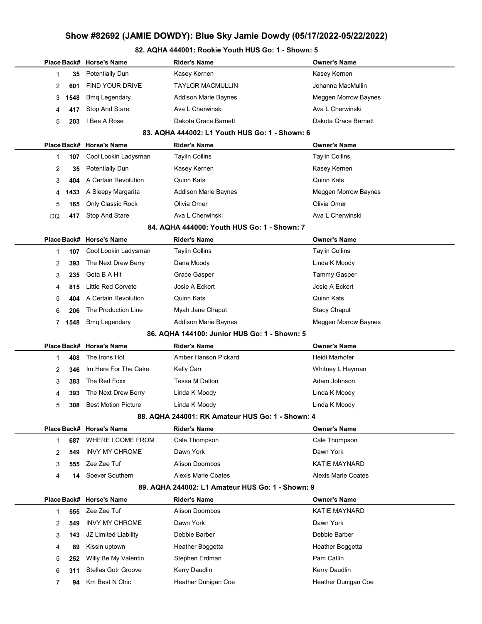### 82. AQHA 444001: Rookie Youth HUS Go: 1 - Shown: 5

|    |      | Place Back# Horse's Name   | Rider's Name                                     | <b>Owner's Name</b>        |
|----|------|----------------------------|--------------------------------------------------|----------------------------|
| 1  | 35   | <b>Potentially Dun</b>     | Kasey Kernen                                     | Kasey Kernen               |
| 2  | 601  | <b>FIND YOUR DRIVE</b>     | <b>TAYLOR MACMULLIN</b>                          | Johanna MacMullin          |
| 3  | 1548 | <b>Bmg Legendary</b>       | Addison Marie Baynes                             | Meggen Morrow Baynes       |
| 4  | 417  | Stop And Stare             | Ava L Cherwinski                                 | Ava L Cherwinski           |
| 5  | 203  | I Bee A Rose               | Dakota Grace Barnett                             | Dakota Grace Barnett       |
|    |      |                            | 83. AQHA 444002: L1 Youth HUS Go: 1 - Shown: 6   |                            |
|    |      | Place Back# Horse's Name   | <b>Rider's Name</b>                              | <b>Owner's Name</b>        |
| 1  | 107  | Cool Lookin Ladysman       | <b>Taylin Collins</b>                            | <b>Taylin Collins</b>      |
| 2  | 35   | <b>Potentially Dun</b>     | Kasey Kernen                                     | Kasey Kernen               |
| 3  | 404  | A Certain Revolution       | Quinn Kats                                       | <b>Quinn Kats</b>          |
| 4  | 1433 | A Sleepy Margarita         | Addison Marie Baynes                             | Meggen Morrow Baynes       |
| 5  | 165  | Only Classic Rock          | Olivia Omer                                      | Olivia Omer                |
| DQ | 417  | Stop And Stare             | Ava L Cherwinski                                 | Ava L Cherwinski           |
|    |      |                            | 84. AQHA 444000: Youth HUS Go: 1 - Shown: 7      |                            |
|    |      | Place Back# Horse's Name   | <b>Rider's Name</b>                              | <b>Owner's Name</b>        |
| 1  | 107  | Cool Lookin Ladysman       | <b>Taylin Collins</b>                            | <b>Taylin Collins</b>      |
| 2  | 393  | The Next Drew Berry        | Dana Moody                                       | Linda K Moody              |
| 3  | 235  | Gota B A Hit               | Grace Gasper                                     | Tammy Gasper               |
| 4  | 815  | <b>Little Red Corvete</b>  | Josie A Eckert                                   | Josie A Eckert             |
| 5  | 404  | A Certain Revolution       | Quinn Kats                                       | <b>Quinn Kats</b>          |
| 6  | 206  | The Production Line        | Myah Jane Chaput                                 | <b>Stacy Chaput</b>        |
| 7  | 1548 | <b>Bmq Legendary</b>       | <b>Addison Marie Baynes</b>                      | Meggen Morrow Baynes       |
|    |      |                            | 86. AQHA 144100: Junior HUS Go: 1 - Shown: 5     |                            |
|    |      | Place Back# Horse's Name   | <b>Rider's Name</b>                              | <b>Owner's Name</b>        |
| 1  | 408  | The Irons Hot              | Amber Hanson Pickard                             | Heidi Marhofer             |
| 2  | 346  | Im Here For The Cake       | Kelly Carr                                       | Whitney L Hayman           |
| 3  | 383  | The Red Foxx               | Tessa M Dalton                                   | Adam Johnson               |
| 4  | 393  | The Next Drew Berry        | Linda K Moody                                    | Linda K Moody              |
| 5  | 308  | <b>Best Motion Picture</b> | Linda K Moody                                    | Linda K Moody              |
|    |      |                            | 88. AQHA 244001: RK Amateur HUS Go: 1 - Shown: 4 |                            |
|    |      | Place Back# Horse's Name   | <b>Rider's Name</b>                              | <b>Owner's Name</b>        |
| 1  | 687  | WHERE I COME FROM          | Cale Thompson                                    | Cale Thompson              |
| 2  | 549  | <b>INVY MY CHROME</b>      | Dawn York                                        | Dawn York                  |
| 3  | 555  | Zee Zee Tuf                | <b>Alison Doornbos</b>                           | <b>KATIE MAYNARD</b>       |
| 4  | 14   | Soever Southern            | Alexis Marie Coates                              | <b>Alexis Marie Coates</b> |
|    |      |                            | 89. AQHA 244002: L1 Amateur HUS Go: 1 - Shown: 9 |                            |
|    |      | Place Back# Horse's Name   | <b>Rider's Name</b>                              | <b>Owner's Name</b>        |
| 1  | 555  | Zee Zee Tuf                | <b>Alison Doornbos</b>                           | <b>KATIE MAYNARD</b>       |
| 2  | 549  | <b>INVY MY CHROME</b>      | Dawn York                                        | Dawn York                  |
| 3  | 143  | JZ Limited Liability       | Debbie Barber                                    | Debbie Barber              |
| 4  | 89   | Kissin uptown              | Heather Boggetta                                 | Heather Boggetta           |
| 5  | 252  | Willy Be My Valentin       | Stephen Erdman                                   | Pam Catlin                 |
| 6  | 311  | <b>Stellas Gotr Groove</b> | Kerry Daudlin                                    | Kerry Daudlin              |
| 7  | 94   | Km Best N Chic             | Heather Dunigan Coe                              | Heather Dunigan Coe        |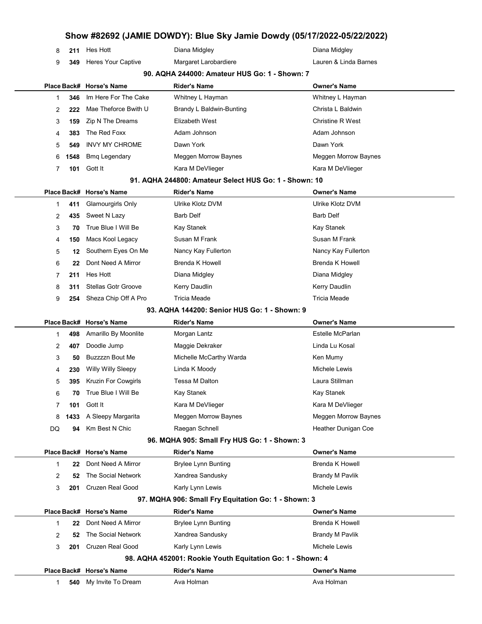| 8                                             | 211         | Hes Hott                                       | Diana Midgley                                             | Diana Midgley                     |  |  |  |  |  |
|-----------------------------------------------|-------------|------------------------------------------------|-----------------------------------------------------------|-----------------------------------|--|--|--|--|--|
| 9                                             | 349         | <b>Heres Your Captive</b>                      | Margaret Larobardiere                                     | Lauren & Linda Barnes             |  |  |  |  |  |
| 90. AQHA 244000: Amateur HUS Go: 1 - Shown: 7 |             |                                                |                                                           |                                   |  |  |  |  |  |
|                                               |             | Place Back# Horse's Name                       | <b>Rider's Name</b>                                       | <b>Owner's Name</b>               |  |  |  |  |  |
| 1                                             | 346         | Im Here For The Cake                           | Whitney L Hayman                                          | Whitney L Hayman                  |  |  |  |  |  |
| 2                                             | 222         | Mae Theforce Bwith U                           | Brandy L Baldwin-Bunting                                  | Christa L Baldwin                 |  |  |  |  |  |
| 3                                             | 159         | Zip N The Dreams                               | Elizabeth West                                            | <b>Christine R West</b>           |  |  |  |  |  |
| 4                                             | 383         | The Red Foxx                                   | Adam Johnson                                              | Adam Johnson                      |  |  |  |  |  |
| 5                                             | 549         | <b>INVY MY CHROME</b>                          | Dawn York                                                 | Dawn York                         |  |  |  |  |  |
| 6                                             | 1548        | <b>Bmq Legendary</b>                           | Meggen Morrow Baynes                                      | Meggen Morrow Baynes              |  |  |  |  |  |
| 7                                             | 101         | Gott It                                        | Kara M DeVlieger                                          | Kara M DeVlieger                  |  |  |  |  |  |
|                                               |             |                                                | 91. AQHA 244800: Amateur Select HUS Go: 1 - Shown: 10     |                                   |  |  |  |  |  |
|                                               |             | Place Back# Horse's Name                       | <b>Rider's Name</b>                                       | <b>Owner's Name</b>               |  |  |  |  |  |
| 1                                             | 411         | Glamourgirls Only                              | Ulrike Klotz DVM                                          | Ulrike Klotz DVM                  |  |  |  |  |  |
| 2                                             | 435         | Sweet N Lazy                                   | <b>Barb Delf</b>                                          | <b>Barb Delf</b>                  |  |  |  |  |  |
| 3                                             | 70          | True Blue I Will Be                            | Kay Stanek                                                | Kay Stanek                        |  |  |  |  |  |
| 4                                             | 150         | Macs Kool Legacy                               | Susan M Frank                                             | Susan M Frank                     |  |  |  |  |  |
| 5                                             | 12          | Southern Eyes On Me                            | Nancy Kay Fullerton                                       | Nancy Kay Fullerton               |  |  |  |  |  |
| 6                                             | 22          | Dont Need A Mirror                             | <b>Brenda K Howell</b>                                    | <b>Brenda K Howell</b>            |  |  |  |  |  |
| 7                                             | 211         | Hes Hott                                       | Diana Midgley                                             | Diana Midgley                     |  |  |  |  |  |
| 8                                             | 311         | <b>Stellas Gotr Groove</b>                     | Kerry Daudlin                                             | Kerry Daudlin                     |  |  |  |  |  |
| 9                                             | 254         | Sheza Chip Off A Pro                           | <b>Tricia Meade</b>                                       | Tricia Meade                      |  |  |  |  |  |
|                                               |             |                                                | 93. AQHA 144200: Senior HUS Go: 1 - Shown: 9              |                                   |  |  |  |  |  |
|                                               | Place Back# | <b>Horse's Name</b>                            | <b>Rider's Name</b>                                       | <b>Owner's Name</b>               |  |  |  |  |  |
|                                               |             |                                                |                                                           |                                   |  |  |  |  |  |
| 1                                             | 498         | Amarillo By Moonlite                           | Morgan Lantz                                              | Estelle McParlan                  |  |  |  |  |  |
| 2                                             | 407         | Doodle Jump                                    | Maggie Dekraker                                           | Linda Lu Kosal                    |  |  |  |  |  |
| 3                                             | 50          | <b>Buzzzzn Bout Me</b>                         | Michelle McCarthy Warda                                   | Ken Mumy                          |  |  |  |  |  |
| 4                                             | 230         | Willy Willy Sleepy                             | Linda K Moody                                             | Michele Lewis                     |  |  |  |  |  |
| 5                                             | 395         | <b>Kruzin For Cowgirls</b>                     | Tessa M Dalton                                            | Laura Stillman                    |  |  |  |  |  |
| 6                                             | 70          | True Blue I Will Be                            | Kay Stanek                                                | <b>Kay Stanek</b>                 |  |  |  |  |  |
| 7                                             | 101         | Gott It                                        | Kara M DeVlieger                                          | Kara M DeVlieger                  |  |  |  |  |  |
| 8                                             | 1433        | A Sleepy Margarita                             | Meggen Morrow Baynes                                      | Meggen Morrow Baynes              |  |  |  |  |  |
| DQ                                            | 94          | Km Best N Chic                                 | Raegan Schnell                                            | <b>Heather Dunigan Coe</b>        |  |  |  |  |  |
|                                               |             |                                                | 96. MQHA 905: Small Fry HUS Go: 1 - Shown: 3              |                                   |  |  |  |  |  |
|                                               | Place Back# | <b>Horse's Name</b>                            | <b>Rider's Name</b>                                       | <b>Owner's Name</b>               |  |  |  |  |  |
| 1                                             | 22          | Dont Need A Mirror                             | <b>Brylee Lynn Bunting</b>                                | <b>Brenda K Howell</b>            |  |  |  |  |  |
| 2                                             | 52          | The Social Network                             | Xandrea Sandusky                                          | <b>Brandy M Pavlik</b>            |  |  |  |  |  |
| 3                                             | 201         | Cruzen Real Good                               | Karly Lynn Lewis                                          | Michele Lewis                     |  |  |  |  |  |
|                                               |             |                                                | 97. MQHA 906: Small Fry Equitation Go: 1 - Shown: 3       |                                   |  |  |  |  |  |
|                                               | Place Back# | <b>Horse's Name</b>                            | <b>Rider's Name</b>                                       | <b>Owner's Name</b>               |  |  |  |  |  |
| 1                                             | 22          | Dont Need A Mirror                             | <b>Brylee Lynn Bunting</b>                                | <b>Brenda K Howell</b>            |  |  |  |  |  |
| 2                                             | 52          | The Social Network                             | Xandrea Sandusky                                          | <b>Brandy M Pavlik</b>            |  |  |  |  |  |
| 3                                             | 201         | <b>Cruzen Real Good</b>                        | Karly Lynn Lewis                                          | Michele Lewis                     |  |  |  |  |  |
|                                               |             |                                                | 98. AQHA 452001: Rookie Youth Equitation Go: 1 - Shown: 4 |                                   |  |  |  |  |  |
|                                               | 540         | Place Back# Horse's Name<br>My Invite To Dream | <b>Rider's Name</b><br>Ava Holman                         | <b>Owner's Name</b><br>Ava Holman |  |  |  |  |  |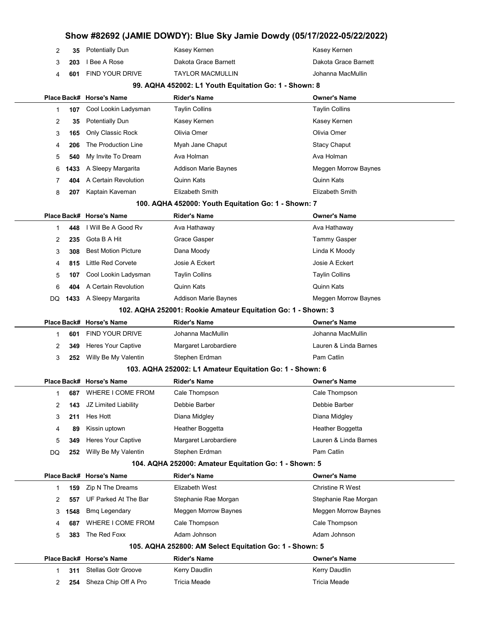|        |             | Show #82692 (JAMIE DOWDY): Blue Sky Jamie Dowdy (05/17/2022-05/22/2022) |                                                              |                               |  |
|--------|-------------|-------------------------------------------------------------------------|--------------------------------------------------------------|-------------------------------|--|
| 2      | 35          | <b>Potentially Dun</b>                                                  | Kasey Kernen                                                 | Kasey Kernen                  |  |
| 3      | 203         | I Bee A Rose                                                            | Dakota Grace Barnett                                         | Dakota Grace Barnett          |  |
| 4      | 601         | <b>FIND YOUR DRIVE</b>                                                  | <b>TAYLOR MACMULLIN</b>                                      | Johanna MacMullin             |  |
|        |             |                                                                         | 99. AQHA 452002: L1 Youth Equitation Go: 1 - Shown: 8        |                               |  |
|        | Place Back# | <b>Horse's Name</b>                                                     | Rider's Name                                                 | <b>Owner's Name</b>           |  |
| 1      | 107         | Cool Lookin Ladysman                                                    | <b>Taylin Collins</b>                                        | <b>Taylin Collins</b>         |  |
| 2      | 35          | <b>Potentially Dun</b>                                                  | Kasey Kernen                                                 | Kasey Kernen                  |  |
| 3      | 165         | Only Classic Rock                                                       | Olivia Omer                                                  | Olivia Omer                   |  |
| 4      | 206         | The Production Line                                                     | Myah Jane Chaput                                             | <b>Stacy Chaput</b>           |  |
| 5      | 540         | My Invite To Dream                                                      | Ava Holman                                                   | Ava Holman                    |  |
| 6      | 1433        | A Sleepy Margarita                                                      | Addison Marie Baynes                                         | Meggen Morrow Baynes          |  |
| 7      | 404         | A Certain Revolution                                                    | Quinn Kats                                                   | Quinn Kats                    |  |
| 8      | 207         | Kaptain Kaveman                                                         | Elizabeth Smith                                              | Elizabeth Smith               |  |
|        |             |                                                                         | 100. AQHA 452000: Youth Equitation Go: 1 - Shown: 7          |                               |  |
|        |             | Place Back# Horse's Name                                                | <b>Rider's Name</b>                                          | <b>Owner's Name</b>           |  |
| 1      | 448         | I Will Be A Good Rv                                                     | Ava Hathaway                                                 | Ava Hathaway                  |  |
| 2      | 235         | Gota B A Hit                                                            | Grace Gasper                                                 | Tammy Gasper                  |  |
| 3      | 308         | <b>Best Motion Picture</b>                                              | Dana Moody                                                   | Linda K Moody                 |  |
| 4      | 815         | Little Red Corvete                                                      | Josie A Eckert                                               | Josie A Eckert                |  |
| 5      | 107         | Cool Lookin Ladysman                                                    | <b>Taylin Collins</b>                                        | <b>Taylin Collins</b>         |  |
| 6      | 404         | A Certain Revolution                                                    | <b>Quinn Kats</b>                                            | Quinn Kats                    |  |
| DQ     | 1433        | A Sleepy Margarita                                                      | Addison Marie Baynes                                         | Meggen Morrow Baynes          |  |
|        |             |                                                                         | 102. AQHA 252001: Rookie Amateur Equitation Go: 1 - Shown: 3 |                               |  |
|        |             | Place Back# Horse's Name                                                | <b>Rider's Name</b>                                          | <b>Owner's Name</b>           |  |
| 1      | 601         | FIND YOUR DRIVE                                                         | Johanna MacMullin                                            | Johanna MacMullin             |  |
| 2      | 349         | Heres Your Captive                                                      | Margaret Larobardiere                                        | Lauren & Linda Barnes         |  |
|        |             |                                                                         | Stephen Erdman                                               | Pam Catlin                    |  |
| 3      | 252         | Willy Be My Valentin                                                    |                                                              |                               |  |
|        |             |                                                                         | 103. AQHA 252002: L1 Amateur Equitation Go: 1 - Shown: 6     |                               |  |
|        |             | Place Back# Horse's Name                                                | Rider's Name                                                 | <b>Owner's Name</b>           |  |
| 1      | 687         | WHERE I COME FROM                                                       | Cale Thompson                                                | Cale Thompson                 |  |
| 2      | 143         | JZ Limited Liability                                                    | Debbie Barber                                                | Debbie Barber                 |  |
| 3      | 211         | Hes Hott                                                                | Diana Midgley                                                | Diana Midgley                 |  |
| 4      | 89          | Kissin uptown                                                           | Heather Boggetta                                             | Heather Boggetta              |  |
| 5      | 349         | <b>Heres Your Captive</b>                                               | Margaret Larobardiere                                        | Lauren & Linda Barnes         |  |
| DQ     | 252         | Willy Be My Valentin                                                    | Stephen Erdman                                               | Pam Catlin                    |  |
|        |             |                                                                         | 104. AQHA 252000: Amateur Equitation Go: 1 - Shown: 5        |                               |  |
|        |             | Place Back# Horse's Name                                                | <b>Rider's Name</b>                                          | <b>Owner's Name</b>           |  |
| 1      | 159         | Zip N The Dreams                                                        | Elizabeth West                                               | <b>Christine R West</b>       |  |
| 2      | 557         | UF Parked At The Bar                                                    | Stephanie Rae Morgan                                         | Stephanie Rae Morgan          |  |
| 3      | 1548        | <b>Bmq Legendary</b>                                                    | Meggen Morrow Baynes                                         | Meggen Morrow Baynes          |  |
| 4      | 687         | WHERE I COME FROM                                                       | Cale Thompson                                                | Cale Thompson                 |  |
| 5      | 383         | The Red Foxx                                                            | Adam Johnson                                                 | Adam Johnson                  |  |
|        |             |                                                                         | 105. AQHA 252800: AM Select Equitation Go: 1 - Shown: 5      |                               |  |
|        |             | Place Back# Horse's Name                                                | <b>Rider's Name</b>                                          | <b>Owner's Name</b>           |  |
| 1<br>2 | 311<br>254  | <b>Stellas Gotr Groove</b><br>Sheza Chip Off A Pro                      | Kerry Daudlin<br>Tricia Meade                                | Kerry Daudlin<br>Tricia Meade |  |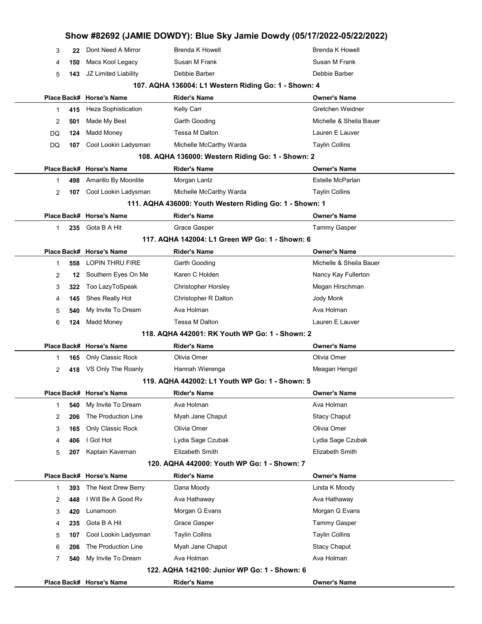|                |     |                            | Show #82692 (JAMIE DOWDY): Blue Sky Jamie Dowdy (05/17/2022-05/22/2022) |                         |
|----------------|-----|----------------------------|-------------------------------------------------------------------------|-------------------------|
| 3              | 22  | Dont Need A Mirror         | <b>Brenda K Howell</b>                                                  | <b>Brenda K Howell</b>  |
| 4              | 150 | Macs Kool Legacy           | Susan M Frank                                                           | Susan M Frank           |
| 5              | 143 | JZ Limited Liability       | Debbie Barber                                                           | Debbie Barber           |
|                |     |                            | 107. AQHA 136004: L1 Western Riding Go: 1 - Shown: 4                    |                         |
|                |     | Place Back# Horse's Name   | <b>Rider's Name</b>                                                     | <b>Owner's Name</b>     |
| 1              | 415 | <b>Heza Sophistication</b> | Kelly Carr                                                              | Gretchen Weidner        |
| 2              | 501 | Made My Best               | Garth Gooding                                                           | Michelle & Sheila Bauer |
| DQ             | 124 | Madd Money                 | <b>Tessa M Dalton</b>                                                   | Lauren E Lauver         |
| DQ             | 107 | Cool Lookin Ladysman       | Michelle McCarthy Warda                                                 | <b>Taylin Collins</b>   |
|                |     |                            | 108. AQHA 136000: Western Riding Go: 1 - Shown: 2                       |                         |
|                |     | Place Back# Horse's Name   | <b>Rider's Name</b>                                                     | <b>Owner's Name</b>     |
| 1              | 498 | Amarillo By Moonlite       | Morgan Lantz                                                            | Estelle McParlan        |
| $\overline{2}$ | 107 | Cool Lookin Ladysman       | Michelle McCarthy Warda                                                 | <b>Taylin Collins</b>   |
|                |     |                            | 111. AQHA 436000: Youth Western Riding Go: 1 - Shown: 1                 |                         |
|                |     | Place Back# Horse's Name   | <b>Rider's Name</b>                                                     | <b>Owner's Name</b>     |
| $\mathbf{1}$   |     | 235 Gota B A Hit           | Grace Gasper                                                            | <b>Tammy Gasper</b>     |
|                |     |                            | 117. AQHA 142004: L1 Green WP Go: 1 - Shown: 6                          |                         |
|                |     | Place Back# Horse's Name   | <b>Rider's Name</b>                                                     | <b>Owner's Name</b>     |
| 1              | 558 | <b>LOPIN THRU FIRE</b>     | Garth Gooding                                                           | Michelle & Sheila Bauer |
| $\overline{2}$ | 12  | Southern Eyes On Me        | Karen C Holden                                                          | Nancy Kay Fullerton     |
| 3              | 322 | Too LazyToSpeak            | <b>Christopher Horsley</b>                                              | Megan Hirschman         |
| 4              | 145 | Shes Really Hot            | Christopher R Dalton                                                    | Jody Monk               |
| 5              | 540 | My Invite To Dream         | Ava Holman                                                              | Ava Holman              |
| 6              | 124 | <b>Madd Money</b>          | Tessa M Dalton                                                          | Lauren E Lauver         |
|                |     |                            | 118. AQHA 442001: RK Youth WP Go: 1 - Shown: 2                          |                         |
|                |     | Place Back# Horse's Name   | <b>Rider's Name</b>                                                     | <b>Owner's Name</b>     |
| 1              | 165 | Only Classic Rock          | Olivia Omer                                                             | Olivia Omer             |
| $\overline{2}$ | 418 | VS Only The Roanly         | Hannah Wierenga                                                         | Meagan Hengst           |
|                |     |                            | 119. AQHA 442002: L1 Youth WP Go: 1 - Shown: 5                          |                         |
|                |     | Place Back# Horse's Name   | <b>Rider's Name</b>                                                     | <b>Owner's Name</b>     |
| 1              | 540 | My Invite To Dream         | Ava Holman                                                              | Ava Holman              |
| $\overline{2}$ | 206 | The Production Line        | Myah Jane Chaput                                                        | <b>Stacy Chaput</b>     |
| 3              | 165 | Only Classic Rock          | Olivia Omer                                                             | Olivia Omer             |
| 4              | 406 | I Got Hot                  | Lydia Sage Czubak                                                       | Lydia Sage Czubak       |
| 5              | 207 | Kaptain Kaveman            | Elizabeth Smith                                                         | Elizabeth Smith         |
|                |     |                            | 120. AQHA 442000: Youth WP Go: 1 - Shown: 7                             |                         |
|                |     | Place Back# Horse's Name   | <b>Rider's Name</b>                                                     | <b>Owner's Name</b>     |
| $\mathbf{1}$   | 393 | The Next Drew Berry        | Dana Moody                                                              | Linda K Moody           |
| 2              | 448 | I Will Be A Good Rv        | Ava Hathaway                                                            | Ava Hathaway            |
| 3              | 420 | Lunamoon                   | Morgan G Evans                                                          | Morgan G Evans          |
| 4              | 235 | Gota B A Hit               | Grace Gasper                                                            | <b>Tammy Gasper</b>     |
| 5              | 107 | Cool Lookin Ladysman       | <b>Taylin Collins</b>                                                   | <b>Taylin Collins</b>   |
| 6              | 206 | The Production Line        | Myah Jane Chaput                                                        | <b>Stacy Chaput</b>     |
| $\overline{7}$ | 540 | My Invite To Dream         | Ava Holman                                                              | Ava Holman              |
|                |     |                            | 122. AQHA 142100: Junior WP Go: 1 - Shown: 6                            |                         |
|                |     | Place Back# Horse's Name   | <b>Rider's Name</b>                                                     | <b>Owner's Name</b>     |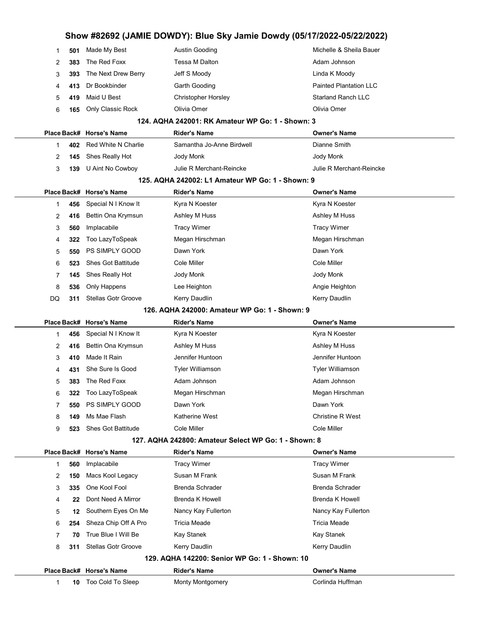### Show #82692 (JAMIE DOWDY): Blue Sky Jamie Dowdy (05/17/2022-05/22/2022) **501** Made My Best **Austin Gooding** Michelle & Sheila Bauer

| 2            | 383 | The Red Foxx               | Tessa M Dalton                                       | Adam Johnson                  |
|--------------|-----|----------------------------|------------------------------------------------------|-------------------------------|
| 3            | 393 | The Next Drew Berry        | Jeff S Moody                                         | Linda K Moody                 |
| 4            | 413 | Dr Bookbinder              | Garth Gooding                                        | <b>Painted Plantation LLC</b> |
| 5            | 419 | Maid U Best                | <b>Christopher Horsley</b>                           | <b>Starland Ranch LLC</b>     |
| 6            | 165 | Only Classic Rock          | Olivia Omer                                          | Olivia Omer                   |
|              |     |                            | 124. AQHA 242001: RK Amateur WP Go: 1 - Shown: 3     |                               |
|              |     | Place Back# Horse's Name   | <b>Rider's Name</b>                                  | <b>Owner's Name</b>           |
| 1            | 402 | Red White N Charlie        | Samantha Jo-Anne Birdwell                            | Dianne Smith                  |
| 2            | 145 | Shes Really Hot            | Jody Monk                                            | Jody Monk                     |
| 3            | 139 | U Aint No Cowboy           | Julie R Merchant-Reincke                             | Julie R Merchant-Reincke      |
|              |     |                            | 125. AQHA 242002: L1 Amateur WP Go: 1 - Shown: 9     |                               |
|              |     | Place Back# Horse's Name   | <b>Rider's Name</b>                                  | <b>Owner's Name</b>           |
| 1            | 456 | Special N I Know It        | Kyra N Koester                                       | Kyra N Koester                |
| 2            | 416 | Bettin Ona Krymsun         | Ashley M Huss                                        | Ashley M Huss                 |
| 3            | 560 | Implacabile                | <b>Tracy Wimer</b>                                   | <b>Tracy Wimer</b>            |
| 4            | 322 | Too LazyToSpeak            | Megan Hirschman                                      | Megan Hirschman               |
| 5            | 550 | PS SIMPLY GOOD             | Dawn York                                            | Dawn York                     |
| 6            | 523 | <b>Shes Got Battitude</b>  | Cole Miller                                          | Cole Miller                   |
| 7            | 145 | Shes Really Hot            | Jody Monk                                            | Jody Monk                     |
| 8            | 536 | Only Happens               | Lee Heighton                                         | Angie Heighton                |
| DQ           | 311 | <b>Stellas Gotr Groove</b> | Kerry Daudlin                                        | <b>Kerry Daudlin</b>          |
|              |     |                            | 126. AQHA 242000: Amateur WP Go: 1 - Shown: 9        |                               |
|              |     | Place Back# Horse's Name   | <b>Rider's Name</b>                                  | <b>Owner's Name</b>           |
| 1            | 456 | Special N I Know It        | Kyra N Koester                                       | Kyra N Koester                |
| 2            | 416 | Bettin Ona Krymsun         | Ashley M Huss                                        | Ashley M Huss                 |
| 3            | 410 | Made It Rain               | Jennifer Huntoon                                     | Jennifer Huntoon              |
| 4            | 431 | She Sure Is Good           | <b>Tyler Williamson</b>                              | <b>Tyler Williamson</b>       |
| 5            | 383 | The Red Foxx               | Adam Johnson                                         | Adam Johnson                  |
| 6            | 322 | Too LazyToSpeak            | Megan Hirschman                                      | Megan Hirschman               |
| 7            | 550 | PS SIMPLY GOOD             | Dawn York                                            | Dawn York                     |
| 8            | 149 | Ms Mae Flash               | Katherine West                                       | Christine R West              |
| 9            | 523 | <b>Shes Got Battitude</b>  | Cole Miller                                          | Cole Miller                   |
|              |     |                            | 127. AQHA 242800: Amateur Select WP Go: 1 - Shown: 8 |                               |
|              |     | Place Back# Horse's Name   | <b>Rider's Name</b>                                  | <b>Owner's Name</b>           |
| 1            | 560 | Implacabile                | <b>Tracy Wimer</b>                                   | <b>Tracy Wimer</b>            |
| 2            | 150 | Macs Kool Legacy           | Susan M Frank                                        | Susan M Frank                 |
| 3            | 335 | One Kool Fool              | <b>Brenda Schrader</b>                               | <b>Brenda Schrader</b>        |
| 4            | 22  | Dont Need A Mirror         | Brenda K Howell                                      | <b>Brenda K Howell</b>        |
| 5            | 12  | Southern Eyes On Me        | Nancy Kay Fullerton                                  | Nancy Kay Fullerton           |
| 6            | 254 | Sheza Chip Off A Pro       | <b>Tricia Meade</b>                                  | Tricia Meade                  |
| 7            | 70  | True Blue I Will Be        | Kay Stanek                                           | Kay Stanek                    |
| 8            | 311 | <b>Stellas Gotr Groove</b> | Kerry Daudlin                                        | Kerry Daudlin                 |
|              |     |                            | 129. AQHA 142200: Senior WP Go: 1 - Shown: 10        |                               |
|              |     | Place Back# Horse's Name   | <b>Rider's Name</b>                                  | <b>Owner's Name</b>           |
| $\mathbf{1}$ | 10  | Too Cold To Sleep          | <b>Monty Montgomery</b>                              | Corlinda Huffman              |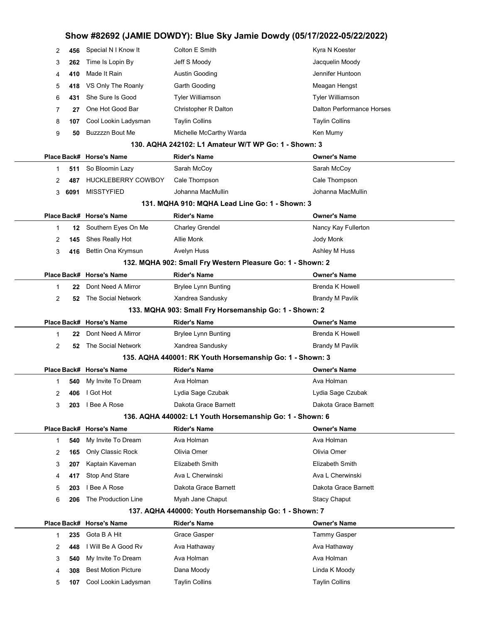| 2 | 456  | Special N I Know It        | Colton E Smith                                             | Kyra N Koester                   |
|---|------|----------------------------|------------------------------------------------------------|----------------------------------|
| 3 | 262  | Time Is Lopin By           | Jeff S Moody                                               | Jacquelin Moody                  |
| 4 | 410  | Made It Rain               | Austin Gooding                                             | Jennifer Huntoon                 |
| 5 | 418  | VS Only The Roanly         | Garth Gooding                                              | Meagan Hengst                    |
| 6 | 431  | She Sure Is Good           | <b>Tyler Williamson</b>                                    | <b>Tyler Williamson</b>          |
| 7 | 27   | One Hot Good Bar           | Christopher R Dalton                                       | <b>Dalton Performance Horses</b> |
| 8 | 107  | Cool Lookin Ladysman       | <b>Taylin Collins</b>                                      | <b>Taylin Collins</b>            |
| 9 | 50   | <b>Buzzzzn Bout Me</b>     | Michelle McCarthy Warda                                    | Ken Mumy                         |
|   |      |                            | 130. AQHA 242102: L1 Amateur W/T WP Go: 1 - Shown: 3       |                                  |
|   |      | Place Back# Horse's Name   | <b>Rider's Name</b>                                        | <b>Owner's Name</b>              |
| 1 | 511  | So Bloomin Lazy            | Sarah McCoy                                                | Sarah McCoy                      |
| 2 | 487  | <b>HUCKLEBERRY COWBOY</b>  | Cale Thompson                                              | Cale Thompson                    |
| 3 | 6091 | <b>MISSTYFIED</b>          | Johanna MacMullin                                          | Johanna MacMullin                |
|   |      |                            | 131. MQHA 910: MQHA Lead Line Go: 1 - Shown: 3             |                                  |
|   |      | Place Back# Horse's Name   | <b>Rider's Name</b>                                        | <b>Owner's Name</b>              |
| 1 | 12   | Southern Eyes On Me        | <b>Charley Grendel</b>                                     | Nancy Kay Fullerton              |
| 2 | 145  | Shes Really Hot            | Allie Monk                                                 | Jody Monk                        |
| 3 | 416  | Bettin Ona Krymsun         | <b>Avelyn Huss</b>                                         | Ashley M Huss                    |
|   |      |                            | 132. MQHA 902: Small Fry Western Pleasure Go: 1 - Shown: 2 |                                  |
|   |      | Place Back# Horse's Name   | <b>Rider's Name</b>                                        | <b>Owner's Name</b>              |
| 1 | 22   | Dont Need A Mirror         | <b>Brylee Lynn Bunting</b>                                 | <b>Brenda K Howell</b>           |
| 2 | 52   | The Social Network         | Xandrea Sandusky                                           | <b>Brandy M Pavlik</b>           |
|   |      |                            | 133. MQHA 903: Small Fry Horsemanship Go: 1 - Shown: 2     |                                  |
|   |      | Place Back# Horse's Name   | <b>Rider's Name</b>                                        | <b>Owner's Name</b>              |
| 1 | 22   | Dont Need A Mirror         | <b>Brylee Lynn Bunting</b>                                 | <b>Brenda K Howell</b>           |
| 2 | 52   | The Social Network         | Xandrea Sandusky                                           | <b>Brandy M Pavlik</b>           |
|   |      |                            | 135. AQHA 440001: RK Youth Horsemanship Go: 1 - Shown: 3   |                                  |
|   |      | Place Back# Horse's Name   | <b>Rider's Name</b>                                        | <b>Owner's Name</b>              |
| 1 | 540  | My Invite To Dream         | Ava Holman                                                 | Ava Holman                       |
| 2 | 406  | I Got Hot                  | Lydia Sage Czubak                                          | Lydia Sage Czubak                |
| 3 | 203  | I Bee A Rose               | Dakota Grace Barnett                                       | Dakota Grace Barnett             |
|   |      |                            | 136. AQHA 440002: L1 Youth Horsemanship Go: 1 - Shown: 6   |                                  |
|   |      | Place Back# Horse's Name   | <b>Rider's Name</b>                                        | <b>Owner's Name</b>              |
| 1 | 540  | My Invite To Dream         | Ava Holman                                                 | Ava Holman                       |
| 2 | 165  | Only Classic Rock          | Olivia Omer                                                | Olivia Omer                      |
| 3 | 207  | Kaptain Kaveman            | Elizabeth Smith                                            | Elizabeth Smith                  |
| 4 | 417  | Stop And Stare             | Ava L Cherwinski                                           | Ava L Cherwinski                 |
| 5 | 203  | I Bee A Rose               | Dakota Grace Barnett                                       | Dakota Grace Barnett             |
| 6 | 206  | The Production Line        | Myah Jane Chaput                                           | <b>Stacy Chaput</b>              |
|   |      |                            | 137. AQHA 440000: Youth Horsemanship Go: 1 - Shown: 7      |                                  |
|   |      | Place Back# Horse's Name   | <b>Rider's Name</b>                                        | <b>Owner's Name</b>              |
| 1 | 235  | Gota B A Hit               | Grace Gasper                                               | <b>Tammy Gasper</b>              |
| 2 | 448  | I Will Be A Good Rv        | Ava Hathaway                                               | Ava Hathaway                     |
| 3 | 540  | My Invite To Dream         | Ava Holman                                                 | Ava Holman                       |
| 4 | 308  | <b>Best Motion Picture</b> | Dana Moody                                                 | Linda K Moody                    |
|   |      |                            |                                                            |                                  |
| 5 | 107  | Cool Lookin Ladysman       | <b>Taylin Collins</b>                                      | <b>Taylin Collins</b>            |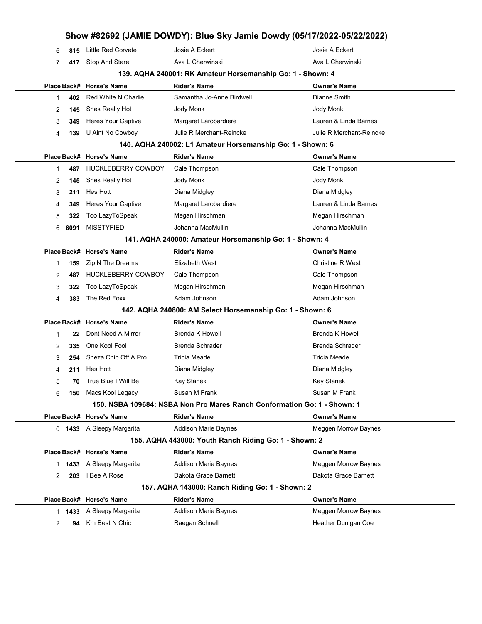|   |      |                               |                                                                          | Show #82692 (JAMIE DOWDY): Blue Sky Jamie Dowdy (05/17/2022-05/22/2022) |
|---|------|-------------------------------|--------------------------------------------------------------------------|-------------------------------------------------------------------------|
| 6 | 815  | <b>Little Red Corvete</b>     | Josie A Eckert                                                           | Josie A Eckert                                                          |
| 7 | 417  | <b>Stop And Stare</b>         | Ava L Cherwinski                                                         | Ava L Cherwinski                                                        |
|   |      |                               | 139. AQHA 240001: RK Amateur Horsemanship Go: 1 - Shown: 4               |                                                                         |
|   |      | Place Back# Horse's Name      | <b>Rider's Name</b>                                                      | <b>Owner's Name</b>                                                     |
| 1 | 402  | Red White N Charlie           | Samantha Jo-Anne Birdwell                                                | Dianne Smith                                                            |
| 2 | 145  | Shes Really Hot               | Jody Monk                                                                | Jody Monk                                                               |
| 3 | 349  | <b>Heres Your Captive</b>     | Margaret Larobardiere                                                    | Lauren & Linda Barnes                                                   |
| 4 | 139  | U Aint No Cowboy              | Julie R Merchant-Reincke                                                 | Julie R Merchant-Reincke                                                |
|   |      |                               | 140. AQHA 240002: L1 Amateur Horsemanship Go: 1 - Shown: 6               |                                                                         |
|   |      | Place Back# Horse's Name      | <b>Rider's Name</b>                                                      | <b>Owner's Name</b>                                                     |
| 1 | 487  | <b>HUCKLEBERRY COWBOY</b>     | Cale Thompson                                                            | Cale Thompson                                                           |
| 2 | 145  | Shes Really Hot               | Jody Monk                                                                | Jody Monk                                                               |
| 3 | 211  | Hes Hott                      | Diana Midgley                                                            | Diana Midgley                                                           |
| 4 | 349  | Heres Your Captive            | Margaret Larobardiere                                                    | Lauren & Linda Barnes                                                   |
| 5 | 322  | Too LazyToSpeak               | Megan Hirschman                                                          | Megan Hirschman                                                         |
| 6 | 6091 | <b>MISSTYFIED</b>             | Johanna MacMullin                                                        | Johanna MacMullin                                                       |
|   |      |                               | 141. AQHA 240000: Amateur Horsemanship Go: 1 - Shown: 4                  |                                                                         |
|   |      | Place Back# Horse's Name      | <b>Rider's Name</b>                                                      | <b>Owner's Name</b>                                                     |
| 1 | 159  | Zip N The Dreams              | Elizabeth West                                                           | <b>Christine R West</b>                                                 |
| 2 | 487  | <b>HUCKLEBERRY COWBOY</b>     | Cale Thompson                                                            | Cale Thompson                                                           |
| 3 | 322  | Too LazyToSpeak               | Megan Hirschman                                                          | Megan Hirschman                                                         |
| 4 | 383  | The Red Foxx                  | Adam Johnson                                                             | Adam Johnson                                                            |
|   |      |                               | 142. AQHA 240800: AM Select Horsemanship Go: 1 - Shown: 6                |                                                                         |
|   |      | Place Back# Horse's Name      | <b>Rider's Name</b>                                                      | Owner's Name                                                            |
| 1 | 22   | Dont Need A Mirror            | <b>Brenda K Howell</b>                                                   | <b>Brenda K Howell</b>                                                  |
| 2 | 335  | One Kool Fool                 | <b>Brenda Schrader</b>                                                   | <b>Brenda Schrader</b>                                                  |
| 3 | 254  | Sheza Chip Off A Pro          | Tricia Meade                                                             | Tricia Meade                                                            |
| 4 | 211  | Hes Hott                      | Diana Midgley                                                            | Diana Midgley                                                           |
| 5 |      | <b>70</b> True Blue I Will Be | Kay Stanek                                                               | Kay Stanek                                                              |
| 6 |      | 150 Macs Kool Legacy          | Susan M Frank                                                            | Susan M Frank                                                           |
|   |      |                               | 150. NSBA 109684: NSBA Non Pro Mares Ranch Conformation Go: 1 - Shown: 1 |                                                                         |
|   |      | Place Back# Horse's Name      | <b>Rider's Name</b>                                                      | <b>Owner's Name</b>                                                     |
|   |      | 0 1433 A Sleepy Margarita     | Addison Marie Baynes                                                     | Meggen Morrow Baynes                                                    |
|   |      |                               | 155. AQHA 443000: Youth Ranch Riding Go: 1 - Shown: 2                    |                                                                         |
|   |      | Place Back# Horse's Name      | <b>Rider's Name</b>                                                      | <b>Owner's Name</b>                                                     |
|   |      | 1 1433 A Sleepy Margarita     | <b>Addison Marie Baynes</b>                                              | Meggen Morrow Baynes                                                    |
| 2 | 203  | I Bee A Rose                  | Dakota Grace Barnett                                                     | Dakota Grace Barnett                                                    |
|   |      |                               | 157. AQHA 143000: Ranch Riding Go: 1 - Shown: 2                          |                                                                         |
|   |      | Place Back# Horse's Name      | <b>Rider's Name</b>                                                      | <b>Owner's Name</b>                                                     |
|   |      | 1 1433 A Sleepy Margarita     | Addison Marie Baynes                                                     | Meggen Morrow Baynes                                                    |
| 2 |      | 94 Km Best N Chic             | Raegan Schnell                                                           | Heather Dunigan Coe                                                     |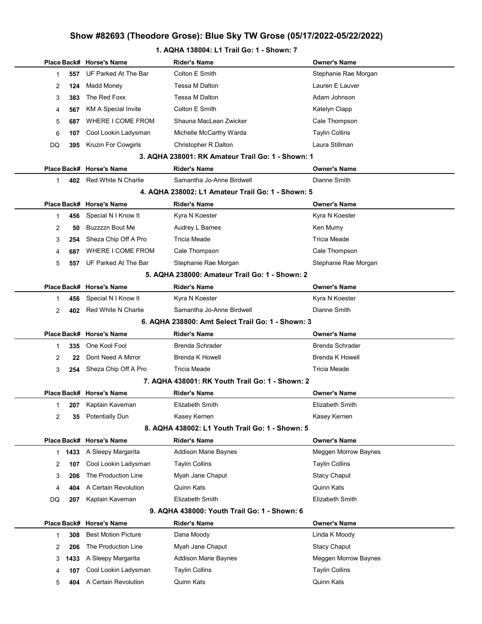### 1. AQHA 138004: L1 Trail Go: 1 - Shown: 7

|    |      | Place Back# Horse's Name                        | <b>Rider's Name</b>                               | <b>Owner's Name</b>    |  |  |
|----|------|-------------------------------------------------|---------------------------------------------------|------------------------|--|--|
| 1  | 557  | UF Parked At The Bar                            | Colton E Smith                                    | Stephanie Rae Morgan   |  |  |
| 2  | 124  | Madd Money                                      | Tessa M Dalton                                    | Lauren E Lauver        |  |  |
| 3  | 383  | The Red Foxx                                    | Tessa M Dalton                                    | Adam Johnson           |  |  |
| 4  | 567  | <b>KM A Special Invite</b>                      | Colton E Smith                                    | Katelyn Clapp          |  |  |
| 5  | 687  | WHERE I COME FROM                               | Shauna MacLean Zwicker                            | Cale Thompson          |  |  |
| 6  | 107  | Cool Lookin Ladysman                            | Michelle McCarthy Warda                           | <b>Taylin Collins</b>  |  |  |
| DQ | 395  | Kruzin For Cowgirls                             | Christopher R Dalton                              | Laura Stillman         |  |  |
|    |      |                                                 | 3. AQHA 238001: RK Amateur Trail Go: 1 - Shown: 1 |                        |  |  |
|    |      | Place Back# Horse's Name                        | Rider's Name                                      | <b>Owner's Name</b>    |  |  |
| 1  | 402  | Red White N Charlie                             | Samantha Jo-Anne Birdwell                         | Dianne Smith           |  |  |
|    |      |                                                 | 4. AQHA 238002: L1 Amateur Trail Go: 1 - Shown: 5 |                        |  |  |
|    |      | Place Back# Horse's Name                        | <b>Rider's Name</b>                               | <b>Owner's Name</b>    |  |  |
| 1  | 456  | Special N I Know It                             | Kyra N Koester                                    | Kyra N Koester         |  |  |
| 2  | 50   | Buzzzzn Bout Me                                 | Audrey L Barnes                                   | Ken Mumy               |  |  |
| 3  | 254  | Sheza Chip Off A Pro                            | Tricia Meade                                      | <b>Tricia Meade</b>    |  |  |
| 4  | 687  | WHERE I COME FROM                               | Cale Thompson                                     | Cale Thompson          |  |  |
| 5  | 557  | UF Parked At The Bar                            | Stephanie Rae Morgan                              | Stephanie Rae Morgan   |  |  |
|    |      |                                                 | 5. AQHA 238000: Amateur Trail Go: 1 - Shown: 2    |                        |  |  |
|    |      | Place Back# Horse's Name                        | <b>Rider's Name</b>                               | <b>Owner's Name</b>    |  |  |
| 1  | 456  | Special N I Know It                             | Kyra N Koester                                    | Kyra N Koester         |  |  |
| 2  | 402  | Red White N Charlie                             | Samantha Jo-Anne Birdwell                         | Dianne Smith           |  |  |
|    |      |                                                 | 6. AQHA 238800: Amt Select Trail Go: 1 - Shown: 3 |                        |  |  |
|    |      | Place Back# Horse's Name                        | Rider's Name                                      | <b>Owner's Name</b>    |  |  |
| 1  | 335  | One Kool Fool                                   | <b>Brenda Schrader</b>                            | <b>Brenda Schrader</b> |  |  |
| 2  | 22   | Dont Need A Mirror                              | <b>Brenda K Howell</b>                            | <b>Brenda K Howell</b> |  |  |
| 3  | 254  | Sheza Chip Off A Pro                            | <b>Tricia Meade</b>                               | <b>Tricia Meade</b>    |  |  |
|    |      |                                                 | 7. AQHA 438001: RK Youth Trail Go: 1 - Shown: 2   |                        |  |  |
|    |      | Place Back# Horse's Name                        | <b>Rider's Name</b>                               | <b>Owner's Name</b>    |  |  |
| 1  |      | 207 Kaptain Kaveman                             | Elizabeth Smith                                   | Elizabeth Smith        |  |  |
| 2  | 35   | <b>Potentially Dun</b>                          | Kasey Kernen                                      | Kasey Kernen           |  |  |
|    |      | 8. AQHA 438002: L1 Youth Trail Go: 1 - Shown: 5 |                                                   |                        |  |  |
|    |      | Place Back# Horse's Name                        | <b>Rider's Name</b>                               | <b>Owner's Name</b>    |  |  |
| 1  | 1433 | A Sleepy Margarita                              | <b>Addison Marie Baynes</b>                       | Meggen Morrow Baynes   |  |  |
| 2  | 107  | Cool Lookin Ladysman                            | <b>Taylin Collins</b>                             | <b>Taylin Collins</b>  |  |  |
| 3  | 206  | The Production Line                             | Myah Jane Chaput                                  | <b>Stacy Chaput</b>    |  |  |
| 4  | 404  | A Certain Revolution                            | Quinn Kats                                        | Quinn Kats             |  |  |
| DQ | 207  | Kaptain Kaveman                                 | <b>Elizabeth Smith</b>                            | Elizabeth Smith        |  |  |
|    |      |                                                 | 9. AQHA 438000: Youth Trail Go: 1 - Shown: 6      |                        |  |  |
|    |      | Place Back# Horse's Name                        | Rider's Name                                      | <b>Owner's Name</b>    |  |  |
| 1  | 308  | <b>Best Motion Picture</b>                      | Dana Moody                                        | Linda K Moody          |  |  |
| 2  | 206  | The Production Line                             | Myah Jane Chaput                                  | <b>Stacy Chaput</b>    |  |  |
| 3  | 1433 | A Sleepy Margarita                              | <b>Addison Marie Baynes</b>                       | Meggen Morrow Baynes   |  |  |
| 4  | 107  | Cool Lookin Ladysman                            | <b>Taylin Collins</b>                             | <b>Taylin Collins</b>  |  |  |
| 5  | 404  | A Certain Revolution                            | Quinn Kats                                        | Quinn Kats             |  |  |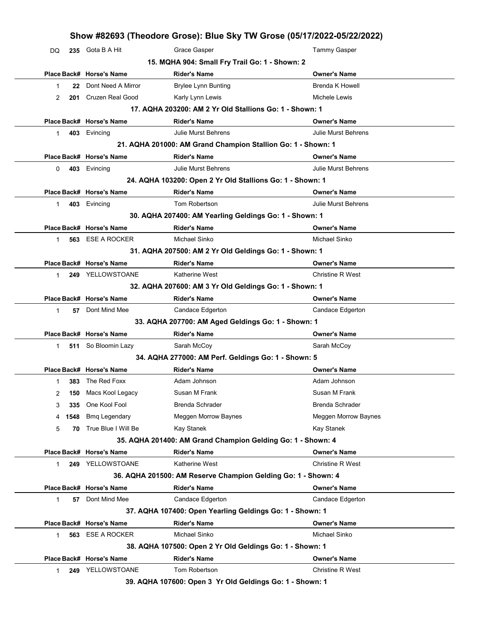|    |      |                          |                                                                                 | Show #82693 (Theodore Grose): Blue Sky TW Grose (05/17/2022-05/22/2022) |
|----|------|--------------------------|---------------------------------------------------------------------------------|-------------------------------------------------------------------------|
| DQ |      | 235 Gota B A Hit         | Grace Gasper                                                                    | <b>Tammy Gasper</b>                                                     |
|    |      |                          | 15. MQHA 904: Small Fry Trail Go: 1 - Shown: 2                                  |                                                                         |
|    |      | Place Back# Horse's Name | <b>Rider's Name</b>                                                             | <b>Owner's Name</b>                                                     |
| 1  | 22   | Dont Need A Mirror       | <b>Brylee Lynn Bunting</b>                                                      | <b>Brenda K Howell</b>                                                  |
| 2  | 201  | <b>Cruzen Real Good</b>  | Karly Lynn Lewis                                                                | Michele Lewis                                                           |
|    |      |                          | 17. AQHA 203200: AM 2 Yr Old Stallions Go: 1 - Shown: 1                         |                                                                         |
|    |      | Place Back# Horse's Name | <b>Rider's Name</b>                                                             | <b>Owner's Name</b>                                                     |
| 1  | 403  | Evincing                 | <b>Julie Murst Behrens</b>                                                      | <b>Julie Murst Behrens</b>                                              |
|    |      |                          | 21. AQHA 201000: AM Grand Champion Stallion Go: 1 - Shown: 1                    |                                                                         |
|    |      | Place Back# Horse's Name | <b>Rider's Name</b>                                                             | <b>Owner's Name</b>                                                     |
| 0  | 403  | Evincing                 | <b>Julie Murst Behrens</b>                                                      | <b>Julie Murst Behrens</b>                                              |
|    |      |                          | 24. AQHA 103200: Open 2 Yr Old Stallions Go: 1 - Shown: 1                       |                                                                         |
|    |      | Place Back# Horse's Name | <b>Rider's Name</b>                                                             | <b>Owner's Name</b>                                                     |
| 1  | 403  | Evincing                 | Tom Robertson                                                                   | <b>Julie Murst Behrens</b>                                              |
|    |      |                          | 30. AQHA 207400: AM Yearling Geldings Go: 1 - Shown: 1                          |                                                                         |
|    |      | Place Back# Horse's Name | <b>Rider's Name</b>                                                             | <b>Owner's Name</b>                                                     |
| 1  | 563  | <b>ESE A ROCKER</b>      | Michael Sinko                                                                   | Michael Sinko                                                           |
|    |      |                          | 31. AQHA 207500: AM 2 Yr Old Geldings Go: 1 - Shown: 1                          |                                                                         |
|    |      | Place Back# Horse's Name | <b>Rider's Name</b>                                                             | <b>Owner's Name</b>                                                     |
| 1  |      | 249 YELLOWSTOANE         | Katherine West                                                                  | <b>Christine R West</b>                                                 |
|    |      |                          | 32. AQHA 207600: AM 3 Yr Old Geldings Go: 1 - Shown: 1                          |                                                                         |
|    |      | Place Back# Horse's Name | <b>Rider's Name</b>                                                             | <b>Owner's Name</b>                                                     |
| 1  | 57   | Dont Mind Mee            | Candace Edgerton                                                                | <b>Candace Edgerton</b>                                                 |
|    |      |                          | 33. AQHA 207700: AM Aged Geldings Go: 1 - Shown: 1                              |                                                                         |
|    |      | Place Back# Horse's Name | <b>Rider's Name</b>                                                             | <b>Owner's Name</b>                                                     |
|    |      |                          |                                                                                 |                                                                         |
| 1  | 511  | So Bloomin Lazy          | Sarah McCoy                                                                     | Sarah McCoy                                                             |
|    |      |                          | 34. AQHA 277000: AM Perf. Geldings Go: 1 - Shown: 5                             |                                                                         |
|    |      | Place Back# Horse's Name | <b>Rider's Name</b>                                                             | <b>Owner's Name</b>                                                     |
| 1  | 383  | The Red Foxx             | Adam Johnson                                                                    | Adam Johnson                                                            |
| 2  | 150  | Macs Kool Legacy         | Susan M Frank                                                                   | Susan M Frank                                                           |
| 3  | 335  | One Kool Fool            | Brenda Schrader                                                                 | <b>Brenda Schrader</b>                                                  |
| 4  | 1548 | <b>Bmq Legendary</b>     | Meggen Morrow Baynes                                                            | Meggen Morrow Baynes                                                    |
| 5  | 70   | True Blue I Will Be      | Kay Stanek                                                                      | Kay Stanek                                                              |
|    |      |                          | 35. AQHA 201400: AM Grand Champion Gelding Go: 1 - Shown: 4                     |                                                                         |
|    |      | Place Back# Horse's Name | <b>Rider's Name</b>                                                             | <b>Owner's Name</b>                                                     |
| 1  | 249  | YELLOWSTOANE             | Katherine West                                                                  | <b>Christine R West</b>                                                 |
|    |      |                          |                                                                                 |                                                                         |
|    |      | Place Back# Horse's Name | 36. AQHA 201500: AM Reserve Champion Gelding Go: 1 - Shown: 4                   |                                                                         |
| 1  | 57   | Dont Mind Mee            | <b>Rider's Name</b><br>Candace Edgerton                                         | <b>Owner's Name</b><br>Candace Edgerton                                 |
|    |      |                          |                                                                                 |                                                                         |
|    |      |                          | 37. AQHA 107400: Open Yearling Geldings Go: 1 - Shown: 1                        |                                                                         |
|    |      | Place Back# Horse's Name | <b>Rider's Name</b><br>Michael Sinko                                            | <b>Owner's Name</b><br>Michael Sinko                                    |
| 1  | 563  | <b>ESE A ROCKER</b>      |                                                                                 |                                                                         |
|    |      | Place Back# Horse's Name | 38. AQHA 107500: Open 2 Yr Old Geldings Go: 1 - Shown: 1<br><b>Rider's Name</b> | <b>Owner's Name</b>                                                     |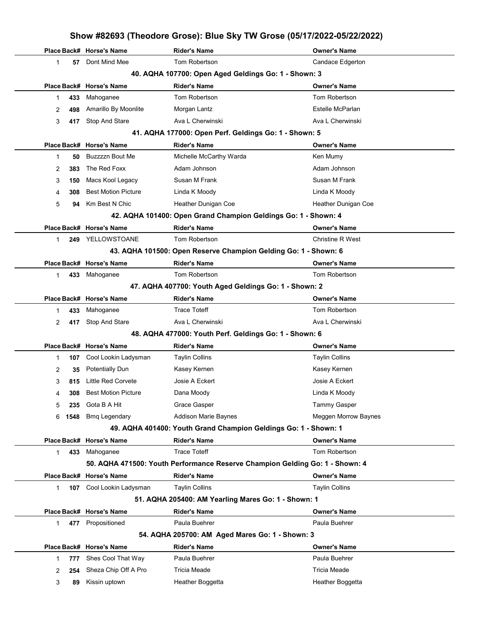|   |      |                            |                                                                 | Show #82693 (Theodore Grose): Blue Sky TW Grose (05/17/2022-05/22/2022)      |
|---|------|----------------------------|-----------------------------------------------------------------|------------------------------------------------------------------------------|
|   |      | Place Back# Horse's Name   | <b>Rider's Name</b>                                             | <b>Owner's Name</b>                                                          |
| 1 | 57   | Dont Mind Mee              | <b>Tom Robertson</b>                                            | Candace Edgerton                                                             |
|   |      |                            | 40. AQHA 107700: Open Aged Geldings Go: 1 - Shown: 3            |                                                                              |
|   |      | Place Back# Horse's Name   | <b>Rider's Name</b>                                             | <b>Owner's Name</b>                                                          |
| 1 | 433  | Mahoganee                  | Tom Robertson                                                   | Tom Robertson                                                                |
| 2 | 498  | Amarillo By Moonlite       | Morgan Lantz                                                    | Estelle McParlan                                                             |
| 3 | 417  | Stop And Stare             | Ava L Cherwinski                                                | Ava L Cherwinski                                                             |
|   |      |                            | 41. AQHA 177000: Open Perf. Geldings Go: 1 - Shown: 5           |                                                                              |
|   |      | Place Back# Horse's Name   | <b>Rider's Name</b>                                             | <b>Owner's Name</b>                                                          |
| 1 | 50   | <b>Buzzzzn Bout Me</b>     | Michelle McCarthy Warda                                         | Ken Mumy                                                                     |
| 2 | 383  | The Red Foxx               | Adam Johnson                                                    | Adam Johnson                                                                 |
| 3 | 150  | Macs Kool Legacy           | Susan M Frank                                                   | Susan M Frank                                                                |
| 4 | 308  | <b>Best Motion Picture</b> | Linda K Moody                                                   | Linda K Moody                                                                |
| 5 | 94   | Km Best N Chic             | Heather Dunigan Coe                                             | Heather Dunigan Coe                                                          |
|   |      |                            | 42. AQHA 101400: Open Grand Champion Geldings Go: 1 - Shown: 4  |                                                                              |
|   |      | Place Back# Horse's Name   | <b>Rider's Name</b>                                             | <b>Owner's Name</b>                                                          |
| 1 | 249  | YELLOWSTOANE               | Tom Robertson                                                   | <b>Christine R West</b>                                                      |
|   |      |                            | 43. AQHA 101500: Open Reserve Champion Gelding Go: 1 - Shown: 6 |                                                                              |
|   |      | Place Back# Horse's Name   | <b>Rider's Name</b>                                             | <b>Owner's Name</b>                                                          |
| 1 | 433  | Mahoganee                  | Tom Robertson                                                   | Tom Robertson                                                                |
|   |      |                            | 47. AQHA 407700: Youth Aged Geldings Go: 1 - Shown: 2           |                                                                              |
|   |      | Place Back# Horse's Name   | <b>Rider's Name</b>                                             | <b>Owner's Name</b>                                                          |
| 1 | 433  | Mahoganee                  | <b>Trace Toteff</b>                                             | Tom Robertson                                                                |
| 2 | 417  | Stop And Stare             | Ava L Cherwinski                                                | Ava L Cherwinski                                                             |
|   |      |                            | 48. AQHA 477000: Youth Perf. Geldings Go: 1 - Shown: 6          |                                                                              |
|   |      | Place Back# Horse's Name   | <b>Rider's Name</b>                                             | <b>Owner's Name</b>                                                          |
| 1 | 107  | Cool Lookin Ladysman       | <b>Taylin Collins</b>                                           | <b>Taylin Collins</b>                                                        |
| 2 | 35   | <b>Potentially Dun</b>     | Kasey Kernen                                                    | Kasey Kernen                                                                 |
| 3 |      | 815 Little Red Corvete     | Josie A Eckert                                                  | Josie A Eckert                                                               |
| 4 | 308  | <b>Best Motion Picture</b> | Dana Moody                                                      | Linda K Moody                                                                |
| 5 | 235  | Gota B A Hit               | Grace Gasper                                                    | <b>Tammy Gasper</b>                                                          |
| 6 | 1548 | <b>Bmg Legendary</b>       | Addison Marie Baynes                                            | Meggen Morrow Baynes                                                         |
|   |      |                            | 49. AQHA 401400: Youth Grand Champion Geldings Go: 1 - Shown: 1 |                                                                              |
|   |      | Place Back# Horse's Name   | <b>Rider's Name</b>                                             | Owner's Name                                                                 |
| 1 | 433  | Mahoganee                  | <b>Trace Toteff</b>                                             | Tom Robertson                                                                |
|   |      |                            |                                                                 | 50. AQHA 471500: Youth Performance Reserve Champion Gelding Go: 1 - Shown: 4 |
|   |      | Place Back# Horse's Name   | <b>Rider's Name</b>                                             | <b>Owner's Name</b>                                                          |
| 1 |      | 107 Cool Lookin Ladysman   | <b>Taylin Collins</b>                                           | <b>Taylin Collins</b>                                                        |
|   |      |                            | 51. AQHA 205400: AM Yearling Mares Go: 1 - Shown: 1             |                                                                              |
|   |      | Place Back# Horse's Name   | <b>Rider's Name</b>                                             | <b>Owner's Name</b>                                                          |
| 1 |      | 477 Propositioned          | Paula Buehrer                                                   | Paula Buehrer                                                                |
|   |      |                            | 54. AQHA 205700: AM Aged Mares Go: 1 - Shown: 3                 |                                                                              |
|   |      | Place Back# Horse's Name   | <b>Rider's Name</b>                                             | <b>Owner's Name</b>                                                          |
| 1 | 777  | Shes Cool That Way         | Paula Buehrer                                                   | Paula Buehrer                                                                |
| 2 | 254  | Sheza Chip Off A Pro       | <b>Tricia Meade</b>                                             | Tricia Meade                                                                 |
| 3 | 89   | Kissin uptown              | Heather Boggetta                                                | Heather Boggetta                                                             |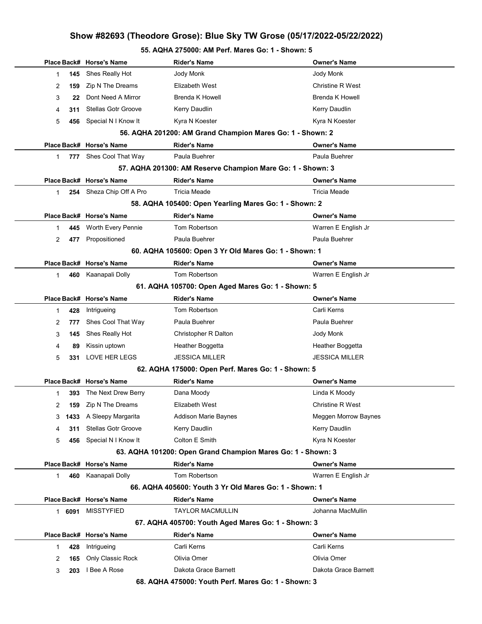#### 55. AQHA 275000: AM Perf. Mares Go: 1 - Shown: 5

|             |        | Place Back# Horse's Name   | <b>Rider's Name</b>                                         | <b>Owner's Name</b>     |
|-------------|--------|----------------------------|-------------------------------------------------------------|-------------------------|
| 1           | 145    | Shes Really Hot            | Jody Monk                                                   | Jody Monk               |
| 2           | 159    | Zip N The Dreams           | Elizabeth West                                              | <b>Christine R West</b> |
| 3           | 22     | Dont Need A Mirror         | <b>Brenda K Howell</b>                                      | <b>Brenda K Howell</b>  |
|             | 311    | <b>Stellas Gotr Groove</b> | Kerry Daudlin                                               | <b>Kerry Daudlin</b>    |
| 4           |        |                            |                                                             |                         |
| 5           | 456    | Special N I Know It        | Kyra N Koester                                              | Kyra N Koester          |
|             |        |                            | 56. AQHA 201200: AM Grand Champion Mares Go: 1 - Shown: 2   |                         |
|             |        | Place Back# Horse's Name   | <b>Rider's Name</b>                                         | Owner's Name            |
| $\mathbf 1$ | 777    | Shes Cool That Way         | Paula Buehrer                                               | Paula Buehrer           |
|             |        |                            | 57. AQHA 201300: AM Reserve Champion Mare Go: 1 - Shown: 3  |                         |
|             |        | Place Back# Horse's Name   | <b>Rider's Name</b>                                         | Owner's Name            |
| 1           |        | 254 Sheza Chip Off A Pro   | <b>Tricia Meade</b>                                         | Tricia Meade            |
|             |        |                            | 58. AQHA 105400: Open Yearling Mares Go: 1 - Shown: 2       |                         |
|             |        | Place Back# Horse's Name   | <b>Rider's Name</b>                                         | Owner's Name            |
| 1           | 445    | Worth Every Pennie         | Tom Robertson                                               | Warren E English Jr     |
| 2           | 477    | Propositioned              | Paula Buehrer                                               | Paula Buehrer           |
|             |        |                            | 60. AQHA 105600: Open 3 Yr Old Mares Go: 1 - Shown: 1       |                         |
|             |        | Place Back# Horse's Name   | <b>Rider's Name</b>                                         | Owner's Name            |
| 1           | 460    | Kaanapali Dolly            | Tom Robertson                                               | Warren E English Jr     |
|             |        |                            | 61. AQHA 105700: Open Aged Mares Go: 1 - Shown: 5           |                         |
|             |        | Place Back# Horse's Name   | <b>Rider's Name</b>                                         | Owner's Name            |
| 1           | 428    | Intrigueing                | Tom Robertson                                               | Carli Kerns             |
| 2           | 777    | Shes Cool That Way         | Paula Buehrer                                               | Paula Buehrer           |
| 3           | 145    | Shes Really Hot            | Christopher R Dalton                                        | Jody Monk               |
| 4           | 89     | Kissin uptown              | Heather Boggetta                                            | Heather Boggetta        |
| 5           | 331    | LOVE HER LEGS              | <b>JESSICA MILLER</b>                                       | JESSICA MILLER          |
|             |        |                            | 62. AQHA 175000: Open Perf. Mares Go: 1 - Shown: 5          |                         |
|             |        | Place Back# Horse's Name   | <b>Rider's Name</b>                                         | Owner's Name            |
| 1           | 393    | The Next Drew Berry        | Dana Moody                                                  | Linda K Moody           |
| 2           | 159    | Zip N The Dreams           | Elizabeth West                                              | Christine R West        |
| 3           | 1433   | A Sleepy Margarita         | <b>Addison Marie Baynes</b>                                 | Meggen Morrow Baynes    |
| 4           | 311    | <b>Stellas Gotr Groove</b> | Kerry Daudlin                                               | Kerry Daudlin           |
| 5           | 456    | Special N I Know It        | Colton E Smith                                              | Kyra N Koester          |
|             |        |                            | 63. AQHA 101200: Open Grand Champion Mares Go: 1 - Shown: 3 |                         |
|             |        | Place Back# Horse's Name   | <b>Rider's Name</b>                                         | Owner's Name            |
| 1           | 460    | Kaanapali Dolly            | Tom Robertson                                               | Warren E English Jr     |
|             |        |                            | 66. AQHA 405600: Youth 3 Yr Old Mares Go: 1 - Shown: 1      |                         |
|             |        | Place Back# Horse's Name   | <b>Rider's Name</b>                                         | Owner's Name            |
|             | 1 6091 | <b>MISSTYFIED</b>          | <b>TAYLOR MACMULLIN</b>                                     | Johanna MacMullin       |
|             |        |                            | 67. AQHA 405700: Youth Aged Mares Go: 1 - Shown: 3          |                         |
|             |        | Place Back# Horse's Name   | <b>Rider's Name</b>                                         | <b>Owner's Name</b>     |
| 1           | 428    | Intrigueing                | Carli Kerns                                                 | Carli Kerns             |
| 2           | 165    | Only Classic Rock          | Olivia Omer                                                 | Olivia Omer             |
| 3           | 203    | I Bee A Rose               | Dakota Grace Barnett                                        | Dakota Grace Barnett    |
|             |        |                            | 68. AQHA 475000: Youth Perf. Mares Go: 1 - Shown: 3         |                         |
|             |        |                            |                                                             |                         |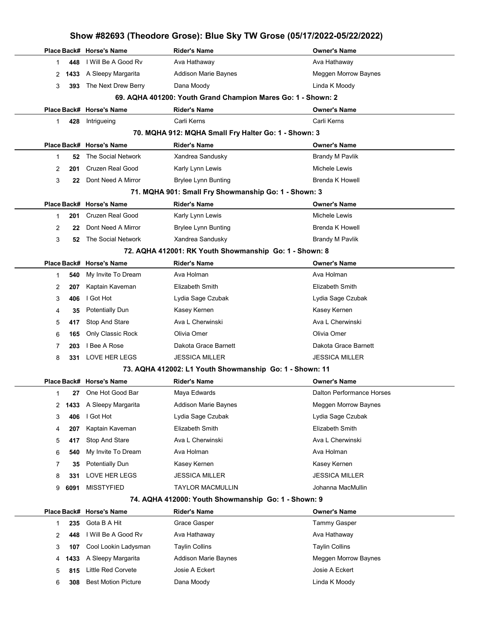|   | Show #82693 (Theodore Grose): Blue Sky TW Grose (05/17/2022-05/22/2022) |                            |                                                              |                           |  |
|---|-------------------------------------------------------------------------|----------------------------|--------------------------------------------------------------|---------------------------|--|
|   |                                                                         | Place Back# Horse's Name   | <b>Rider's Name</b>                                          | <b>Owner's Name</b>       |  |
| 1 | 448                                                                     | I Will Be A Good Rv        | Ava Hathaway                                                 | Ava Hathaway              |  |
| 2 | 1433                                                                    | A Sleepy Margarita         | <b>Addison Marie Baynes</b>                                  | Meggen Morrow Baynes      |  |
| 3 | 393                                                                     | The Next Drew Berry        | Dana Moody                                                   | Linda K Moody             |  |
|   |                                                                         |                            | 69. AQHA 401200: Youth Grand Champion Mares Go: 1 - Shown: 2 |                           |  |
|   |                                                                         | Place Back# Horse's Name   | <b>Rider's Name</b>                                          | <b>Owner's Name</b>       |  |
| 1 | 428                                                                     | Intrigueing                | Carli Kerns                                                  | Carli Kerns               |  |
|   |                                                                         |                            | 70. MQHA 912: MQHA Small Fry Halter Go: 1 - Shown: 3         |                           |  |
|   |                                                                         | Place Back# Horse's Name   | <b>Rider's Name</b>                                          | <b>Owner's Name</b>       |  |
| 1 | 52                                                                      | The Social Network         | Xandrea Sandusky                                             | Brandy M Pavlik           |  |
| 2 | 201                                                                     | <b>Cruzen Real Good</b>    | Karly Lynn Lewis                                             | Michele Lewis             |  |
| 3 | 22                                                                      | Dont Need A Mirror         | Brylee Lynn Bunting                                          | <b>Brenda K Howell</b>    |  |
|   |                                                                         |                            | 71. MQHA 901: Small Fry Showmanship Go: 1 - Shown: 3         |                           |  |
|   |                                                                         | Place Back# Horse's Name   | <b>Rider's Name</b>                                          | <b>Owner's Name</b>       |  |
| 1 | 201                                                                     | <b>Cruzen Real Good</b>    | Karly Lynn Lewis                                             | Michele Lewis             |  |
| 2 | 22                                                                      | Dont Need A Mirror         | <b>Brylee Lynn Bunting</b>                                   | <b>Brenda K Howell</b>    |  |
| 3 | 52                                                                      | The Social Network         | Xandrea Sandusky                                             | <b>Brandy M Pavlik</b>    |  |
|   |                                                                         |                            | 72. AQHA 412001: RK Youth Showmanship Go: 1 - Shown: 8       |                           |  |
|   |                                                                         | Place Back# Horse's Name   | <b>Rider's Name</b>                                          | <b>Owner's Name</b>       |  |
| 1 | 540                                                                     | My Invite To Dream         | Ava Holman                                                   | Ava Holman                |  |
| 2 | 207                                                                     | Kaptain Kaveman            | Elizabeth Smith                                              | <b>Elizabeth Smith</b>    |  |
| 3 | 406                                                                     | I Got Hot                  | Lydia Sage Czubak                                            | Lydia Sage Czubak         |  |
| 4 | 35                                                                      | <b>Potentially Dun</b>     | Kasey Kernen                                                 | Kasey Kernen              |  |
| 5 | 417                                                                     | <b>Stop And Stare</b>      | Ava L Cherwinski                                             | Ava L Cherwinski          |  |
| 6 | 165                                                                     | Only Classic Rock          | Olivia Omer                                                  | Olivia Omer               |  |
| 7 | 203                                                                     | I Bee A Rose               | Dakota Grace Barnett                                         | Dakota Grace Barnett      |  |
| 8 | 331                                                                     | LOVE HER LEGS              | <b>JESSICA MILLER</b>                                        | <b>JESSICA MILLER</b>     |  |
|   |                                                                         |                            | 73. AQHA 412002: L1 Youth Showmanship Go: 1 - Shown: 11      |                           |  |
|   |                                                                         | Place Back# Horse's Name   | <b>Rider's Name</b>                                          | <b>Owner's Name</b>       |  |
| 1 | 27                                                                      | One Hot Good Bar           | Maya Edwards                                                 | Dalton Performance Horses |  |
| 2 | 1433                                                                    | A Sleepy Margarita         | Addison Marie Baynes                                         | Meggen Morrow Baynes      |  |
| 3 | 406                                                                     | I Got Hot                  | Lydia Sage Czubak                                            | Lydia Sage Czubak         |  |
| 4 | 207                                                                     | Kaptain Kaveman            | Elizabeth Smith                                              | Elizabeth Smith           |  |
| 5 | 417                                                                     | Stop And Stare             | Ava L Cherwinski                                             | Ava L Cherwinski          |  |
| 6 | 540                                                                     | My Invite To Dream         | Ava Holman                                                   | Ava Holman                |  |
| 7 | 35                                                                      | <b>Potentially Dun</b>     | Kasey Kernen                                                 | Kasey Kernen              |  |
| 8 | 331                                                                     | LOVE HER LEGS              | <b>JESSICA MILLER</b>                                        | <b>JESSICA MILLER</b>     |  |
| 9 | 6091                                                                    | <b>MISSTYFIED</b>          | <b>TAYLOR MACMULLIN</b>                                      | Johanna MacMullin         |  |
|   |                                                                         |                            | 74. AQHA 412000: Youth Showmanship Go: 1 - Shown: 9          |                           |  |
|   |                                                                         | Place Back# Horse's Name   | <b>Rider's Name</b>                                          | <b>Owner's Name</b>       |  |
| 1 | 235                                                                     | Gota B A Hit               | Grace Gasper                                                 | <b>Tammy Gasper</b>       |  |
| 2 | 448                                                                     | I Will Be A Good Rv        | Ava Hathaway                                                 | Ava Hathaway              |  |
| 3 | 107                                                                     | Cool Lookin Ladysman       | <b>Taylin Collins</b>                                        | <b>Taylin Collins</b>     |  |
| 4 | 1433                                                                    | A Sleepy Margarita         | <b>Addison Marie Baynes</b>                                  | Meggen Morrow Baynes      |  |
| 5 | 815                                                                     | <b>Little Red Corvete</b>  | Josie A Eckert                                               | Josie A Eckert            |  |
| 6 | 308                                                                     | <b>Best Motion Picture</b> | Dana Moody                                                   | Linda K Moody             |  |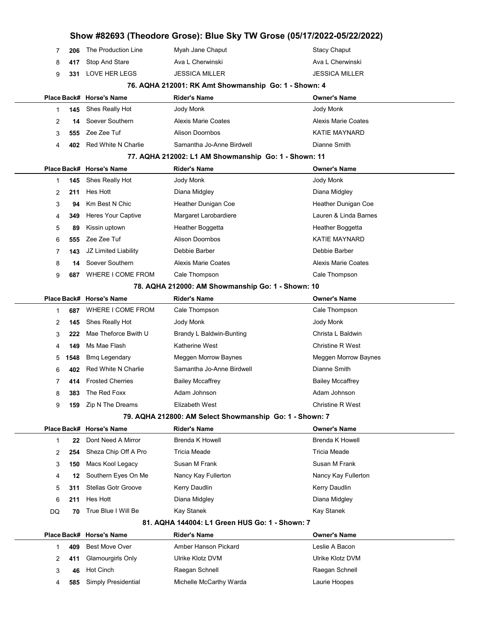| Show #82693 (Theodore Grose): Blue Sky TW Grose (05/17/2022-05/22/2022) |      |                            |                                                         |                            |  |  |
|-------------------------------------------------------------------------|------|----------------------------|---------------------------------------------------------|----------------------------|--|--|
| 7                                                                       | 206  | The Production Line        | Myah Jane Chaput                                        | <b>Stacy Chaput</b>        |  |  |
| 8                                                                       | 417  | Stop And Stare             | Ava L Cherwinski                                        | Ava L Cherwinski           |  |  |
| 9                                                                       | 331  | LOVE HER LEGS              | <b>JESSICA MILLER</b>                                   | <b>JESSICA MILLER</b>      |  |  |
|                                                                         |      |                            | 76. AQHA 212001: RK Amt Showmanship Go: 1 - Shown: 4    |                            |  |  |
|                                                                         |      | Place Back# Horse's Name   | <b>Rider's Name</b>                                     | <b>Owner's Name</b>        |  |  |
| 1                                                                       | 145  | Shes Really Hot            | Jody Monk                                               | Jody Monk                  |  |  |
| 2                                                                       | 14   | Soever Southern            | <b>Alexis Marie Coates</b>                              | <b>Alexis Marie Coates</b> |  |  |
| 3                                                                       | 555  | Zee Zee Tuf                | <b>Alison Doornbos</b>                                  | <b>KATIE MAYNARD</b>       |  |  |
| 4                                                                       | 402  | Red White N Charlie        | Samantha Jo-Anne Birdwell                               | Dianne Smith               |  |  |
|                                                                         |      |                            | 77. AQHA 212002: L1 AM Showmanship Go: 1 - Shown: 11    |                            |  |  |
|                                                                         |      | Place Back# Horse's Name   | Rider's Name                                            | <b>Owner's Name</b>        |  |  |
| 1                                                                       | 145  | Shes Really Hot            | Jody Monk                                               | Jody Monk                  |  |  |
| 2                                                                       | 211  | Hes Hott                   | Diana Midgley                                           | Diana Midgley              |  |  |
| 3                                                                       | 94   | Km Best N Chic             | Heather Dunigan Coe                                     | Heather Dunigan Coe        |  |  |
| 4                                                                       | 349  | Heres Your Captive         | Margaret Larobardiere                                   | Lauren & Linda Barnes      |  |  |
| 5                                                                       | 89   | Kissin uptown              | Heather Boggetta                                        | Heather Boggetta           |  |  |
| 6                                                                       | 555  | Zee Zee Tuf                | <b>Alison Doornbos</b>                                  | <b>KATIE MAYNARD</b>       |  |  |
| 7                                                                       | 143  | JZ Limited Liability       | Debbie Barber                                           | Debbie Barber              |  |  |
| 8                                                                       | 14   | Soever Southern            | Alexis Marie Coates                                     | <b>Alexis Marie Coates</b> |  |  |
| 9                                                                       | 687  | WHERE I COME FROM          | Cale Thompson                                           | Cale Thompson              |  |  |
|                                                                         |      |                            | 78. AQHA 212000: AM Showmanship Go: 1 - Shown: 10       |                            |  |  |
|                                                                         |      | Place Back# Horse's Name   | <b>Rider's Name</b>                                     | <b>Owner's Name</b>        |  |  |
| 1                                                                       | 687  | WHERE I COME FROM          | Cale Thompson                                           | Cale Thompson              |  |  |
| 2                                                                       | 145  | Shes Really Hot            | Jody Monk                                               | Jody Monk                  |  |  |
| 3                                                                       | 222  | Mae Theforce Bwith U       | Brandy L Baldwin-Bunting                                | Christa L Baldwin          |  |  |
| 4                                                                       | 149  | Ms Mae Flash               | Katherine West                                          | <b>Christine R West</b>    |  |  |
| 5                                                                       | 1548 | <b>Bmq Legendary</b>       | Meggen Morrow Baynes                                    | Meggen Morrow Baynes       |  |  |
| 6                                                                       | 402  | Red White N Charlie        | Samantha Jo-Anne Birdwell                               | Dianne Smith               |  |  |
| 7                                                                       | 414  | <b>Frosted Cherries</b>    | <b>Bailey Mccaffrey</b>                                 | <b>Bailey Mccaffrey</b>    |  |  |
| 8                                                                       | 383  | The Red Foxx               | Adam Johnson                                            | Adam Johnson               |  |  |
| 9                                                                       | 159  | Zip N The Dreams           | Elizabeth West                                          | <b>Christine R West</b>    |  |  |
|                                                                         |      |                            | 79. AQHA 212800: AM Select Showmanship Go: 1 - Shown: 7 |                            |  |  |
|                                                                         |      | Place Back# Horse's Name   | <b>Rider's Name</b>                                     | <b>Owner's Name</b>        |  |  |
| 1                                                                       | 22   | Dont Need A Mirror         | <b>Brenda K Howell</b>                                  | <b>Brenda K Howell</b>     |  |  |
| 2                                                                       | 254  | Sheza Chip Off A Pro       | Tricia Meade                                            | <b>Tricia Meade</b>        |  |  |
| 3                                                                       | 150  | Macs Kool Legacy           | Susan M Frank                                           | Susan M Frank              |  |  |
| 4                                                                       | 12   | Southern Eyes On Me        | Nancy Kay Fullerton                                     | Nancy Kay Fullerton        |  |  |
| 5                                                                       | 311  | <b>Stellas Gotr Groove</b> | Kerry Daudlin                                           | Kerry Daudlin              |  |  |
| 6                                                                       | 211  | Hes Hott                   | Diana Midgley                                           | Diana Midgley              |  |  |
| DQ                                                                      | 70   | True Blue I Will Be        | Kay Stanek                                              | Kay Stanek                 |  |  |
|                                                                         |      |                            | 81. AQHA 144004: L1 Green HUS Go: 1 - Shown: 7          |                            |  |  |
|                                                                         |      | Place Back# Horse's Name   | <b>Rider's Name</b>                                     | <b>Owner's Name</b>        |  |  |
| 1                                                                       | 409  | <b>Best Move Over</b>      | Amber Hanson Pickard                                    | Leslie A Bacon             |  |  |
| 2                                                                       | 411  | Glamourgirls Only          | Ulrike Klotz DVM                                        | Ulrike Klotz DVM           |  |  |
| 3                                                                       | 46   | Hot Cinch                  | Raegan Schnell                                          | Raegan Schnell             |  |  |
| 4                                                                       | 585  | Simply Presidential        | Michelle McCarthy Warda                                 | Laurie Hoopes              |  |  |
|                                                                         |      |                            |                                                         |                            |  |  |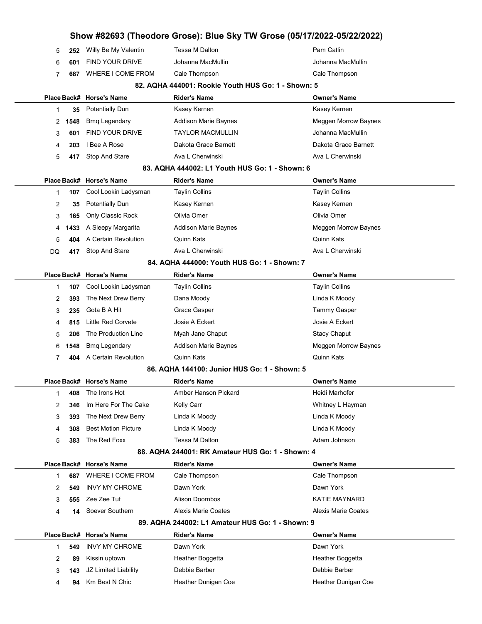|    |      |                            |                                                    | Show #82693 (Theodore Grose): Blue Sky TW Grose (05/17/2022-05/22/2022) |
|----|------|----------------------------|----------------------------------------------------|-------------------------------------------------------------------------|
| 5  | 252  | Willy Be My Valentin       | Tessa M Dalton                                     | Pam Catlin                                                              |
| 6  | 601  | <b>FIND YOUR DRIVE</b>     | Johanna MacMullin                                  | Johanna MacMullin                                                       |
| 7  | 687  | WHERE I COME FROM          | Cale Thompson                                      | Cale Thompson                                                           |
|    |      |                            | 82. AQHA 444001: Rookie Youth HUS Go: 1 - Shown: 5 |                                                                         |
|    |      | Place Back# Horse's Name   | Rider's Name                                       | <b>Owner's Name</b>                                                     |
| 1  | 35   | Potentially Dun            | Kasey Kernen                                       | Kasey Kernen                                                            |
| 2  | 1548 | <b>Bmq Legendary</b>       | Addison Marie Baynes                               | <b>Meggen Morrow Baynes</b>                                             |
| 3  | 601  | <b>FIND YOUR DRIVE</b>     | <b>TAYLOR MACMULLIN</b>                            | Johanna MacMullin                                                       |
| 4  | 203  | I Bee A Rose               | Dakota Grace Barnett                               | Dakota Grace Barnett                                                    |
| 5  | 417  | Stop And Stare             | Ava L Cherwinski                                   | Ava L Cherwinski                                                        |
|    |      |                            | 83. AQHA 444002: L1 Youth HUS Go: 1 - Shown: 6     |                                                                         |
|    |      | Place Back# Horse's Name   | <b>Rider's Name</b>                                | <b>Owner's Name</b>                                                     |
| 1  | 107  | Cool Lookin Ladysman       | <b>Taylin Collins</b>                              | <b>Taylin Collins</b>                                                   |
| 2  | 35   | <b>Potentially Dun</b>     | Kasey Kernen                                       | Kasey Kernen                                                            |
| 3  | 165  | Only Classic Rock          | Olivia Omer                                        | Olivia Omer                                                             |
| 4  | 1433 | A Sleepy Margarita         | <b>Addison Marie Baynes</b>                        | Meggen Morrow Baynes                                                    |
| 5  | 404  | A Certain Revolution       | Quinn Kats                                         | Quinn Kats                                                              |
| DQ | 417  | Stop And Stare             | Ava L Cherwinski                                   | Ava L Cherwinski                                                        |
|    |      |                            | 84. AQHA 444000: Youth HUS Go: 1 - Shown: 7        |                                                                         |
|    |      | Place Back# Horse's Name   | <b>Rider's Name</b>                                | <b>Owner's Name</b>                                                     |
| 1  | 107  | Cool Lookin Ladysman       | <b>Taylin Collins</b>                              | <b>Taylin Collins</b>                                                   |
| 2  | 393  | The Next Drew Berry        | Dana Moody                                         | Linda K Moody                                                           |
| 3  | 235  | Gota B A Hit               | Grace Gasper                                       | Tammy Gasper                                                            |
| 4  | 815  | Little Red Corvete         | Josie A Eckert                                     | Josie A Eckert                                                          |
| 5  | 206  | The Production Line        | Myah Jane Chaput                                   | <b>Stacy Chaput</b>                                                     |
| 6  | 1548 | <b>Bmq Legendary</b>       | <b>Addison Marie Baynes</b>                        | Meggen Morrow Baynes                                                    |
| 7  | 404  | A Certain Revolution       | Quinn Kats                                         | <b>Quinn Kats</b>                                                       |
|    |      |                            | 86. AQHA 144100: Junior HUS Go: 1 - Shown: 5       |                                                                         |
|    |      | Place Back# Horse's Name   | <b>Rider's Name</b>                                | <b>Owner's Name</b>                                                     |
| 1  | 408  | The Irons Hot              | Amber Hanson Pickard                               | Heidi Marhofer                                                          |
| 2  | 346  | Im Here For The Cake       | Kelly Carr                                         | Whitney L Hayman                                                        |
| 3  | 393  | The Next Drew Berry        | Linda K Moody                                      | Linda K Moody                                                           |
| 4  | 308  | <b>Best Motion Picture</b> | Linda K Moody                                      | Linda K Moody                                                           |
| 5  | 383  | The Red Foxx               | Tessa M Dalton                                     | Adam Johnson                                                            |
|    |      |                            | 88. AQHA 244001: RK Amateur HUS Go: 1 - Shown: 4   |                                                                         |
|    |      | Place Back# Horse's Name   | <b>Rider's Name</b>                                | <b>Owner's Name</b>                                                     |
| 1  | 687  | WHERE I COME FROM          | Cale Thompson                                      | Cale Thompson                                                           |
| 2  | 549  | <b>INVY MY CHROME</b>      | Dawn York                                          | Dawn York                                                               |
| 3  | 555  | Zee Zee Tuf                | <b>Alison Doornbos</b>                             | <b>KATIE MAYNARD</b>                                                    |
| 4  | 14   | Soever Southern            | <b>Alexis Marie Coates</b>                         | <b>Alexis Marie Coates</b>                                              |
|    |      |                            | 89. AQHA 244002: L1 Amateur HUS Go: 1 - Shown: 9   |                                                                         |
|    |      | Place Back# Horse's Name   | <b>Rider's Name</b>                                | <b>Owner's Name</b>                                                     |
| 1  | 549  | <b>INVY MY CHROME</b>      | Dawn York                                          | Dawn York                                                               |
| 2  | 89   | Kissin uptown              | Heather Boggetta                                   | Heather Boggetta                                                        |
| 3  | 143  | JZ Limited Liability       | Debbie Barber                                      | Debbie Barber                                                           |
| 4  | 94   | Km Best N Chic             | Heather Dunigan Coe                                | Heather Dunigan Coe                                                     |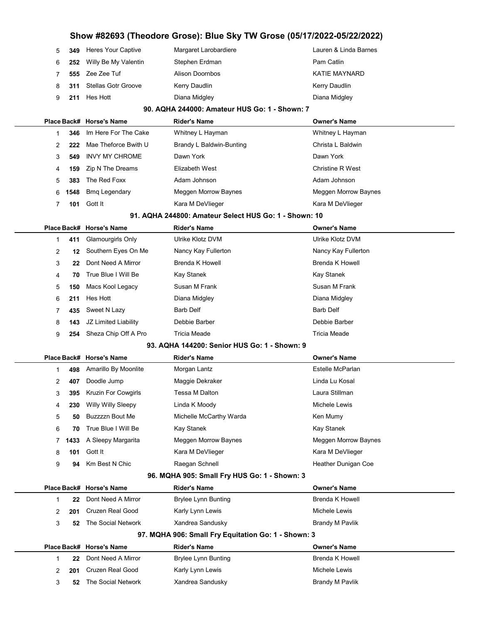|     |     | 5 349 Heres Your Captive  | Margaret Larobardiere  | Lauren & Linda Barnes |
|-----|-----|---------------------------|------------------------|-----------------------|
| 6 — | 252 | Willy Be My Valentin      | Stephen Erdman         | Pam Catlin            |
| 7   |     | 555 Zee Zee Tuf           | <b>Alison Doornbos</b> | <b>KATIE MAYNARD</b>  |
|     |     | 8 311 Stellas Gotr Groove | Kerry Daudlin          | Kerry Daudlin         |
|     |     | 9 211 Hes Hott            | Diana Midgley          | Diana Midgley         |
|     |     |                           |                        |                       |

#### 90. AQHA 244000: Amateur HUS Go: 1 - Shown: 7

|    |      | Place Back# Horse's Name | <b>Rider's Name</b>      | <b>Owner's Name</b>     |
|----|------|--------------------------|--------------------------|-------------------------|
|    | 346  | Im Here For The Cake     | Whitney L Hayman         | Whitney L Hayman        |
|    | 222  | Mae Theforce Bwith U     | Brandy L Baldwin-Bunting | Christa L Baldwin       |
|    | 549  | INVY MY CHROME           | Dawn York                | Dawn York               |
| 4  | 159  | Zip N The Dreams         | Elizabeth West           | <b>Christine R West</b> |
| 5. | 383  | The Red Foxx             | Adam Johnson             | Adam Johnson            |
| 6. | 1548 | <b>Bmg Legendary</b>     | Meggen Morrow Baynes     | Meggen Morrow Baynes    |
|    | 101  | Gott It                  | Kara M DeVlieger         | Kara M DeVlieger        |
|    |      |                          |                          |                         |

#### 91. AQHA 244800: Amateur Select HUS Go: 1 - Shown: 10

|   |     | Place Back# Horse's Name | <b>Rider's Name</b> | <b>Owner's Name</b> |
|---|-----|--------------------------|---------------------|---------------------|
|   | 411 | Glamourgirls Only        | Ulrike Klotz DVM    | Ulrike Klotz DVM    |
| 2 | 12  | Southern Eyes On Me      | Nancy Kay Fullerton | Nancy Kay Fullerton |
| 3 | 22  | Dont Need A Mirror       | Brenda K Howell     | Brenda K Howell     |
| 4 | 70  | True Blue I Will Be      | Kay Stanek          | Kay Stanek          |
| 5 | 150 | Macs Kool Legacy         | Susan M Frank       | Susan M Frank       |
| 6 | 211 | Hes Hott                 | Diana Midgley       | Diana Midgley       |
|   | 435 | Sweet N Lazy             | <b>Barb Delf</b>    | Barb Delf           |
| 8 | 143 | JZ Limited Liability     | Debbie Barber       | Debbie Barber       |
| 9 | 254 | Sheza Chip Off A Pro     | Tricia Meade        | Tricia Meade        |

#### 93. AQHA 144200: Senior HUS Go: 1 - Shown: 9

|   |     | Place Back# Horse's Name   | <b>Rider's Name</b>     | <b>Owner's Name</b>  |
|---|-----|----------------------------|-------------------------|----------------------|
|   | 498 | Amarillo By Moonlite       | Morgan Lantz            | Estelle McParlan     |
| 2 | 407 | Doodle Jump                | Maggie Dekraker         | Linda Lu Kosal       |
| 3 | 395 | <b>Kruzin For Cowgirls</b> | Tessa M Dalton          | Laura Stillman       |
| 4 | 230 | Willy Willy Sleepy         | Linda K Moody           | Michele Lewis        |
| 5 | 50  | Buzzzzn Bout Me            | Michelle McCarthy Warda | Ken Mumy             |
| 6 | 70  | True Blue I Will Be        | Kay Stanek              | Kay Stanek           |
|   |     | 1433 A Sleepy Margarita    | Meggen Morrow Baynes    | Meggen Morrow Baynes |
| 8 | 101 | Gott It                    | Kara M DeVlieger        | Kara M DeVlieger     |
| 9 | 94  | Km Best N Chic             | Raegan Schnell          | Heather Dunigan Coe  |
|   |     |                            |                         |                      |

#### 96. MQHA 905: Small Fry HUS Go: 1 - Shown: 3

|               |     | Place Back# Horse's Name | <b>Rider's Name</b>                                 | <b>Owner's Name</b> |
|---------------|-----|--------------------------|-----------------------------------------------------|---------------------|
|               | 22  | Dont Need A Mirror       | <b>Brylee Lynn Bunting</b>                          | Brenda K Howell     |
| 2             | 201 | Cruzen Real Good         | Karly Lynn Lewis                                    | Michele Lewis       |
| 3             | 52  | The Social Network       | Xandrea Sandusky                                    | Brandy M Pavlik     |
|               |     |                          | 97. MQHA 906: Small Fry Equitation Go: 1 - Shown: 3 |                     |
|               |     |                          |                                                     |                     |
|               |     | Place Back# Horse's Name | <b>Rider's Name</b>                                 | <b>Owner's Name</b> |
|               | 22  | Dont Need A Mirror       | <b>Brylee Lynn Bunting</b>                          | Brenda K Howell     |
| $\mathcal{P}$ | 201 | Cruzen Real Good         | Karly Lynn Lewis                                    | Michele Lewis       |
| 3             | 52  | The Social Network       | Xandrea Sandusky                                    | Brandy M Pavlik     |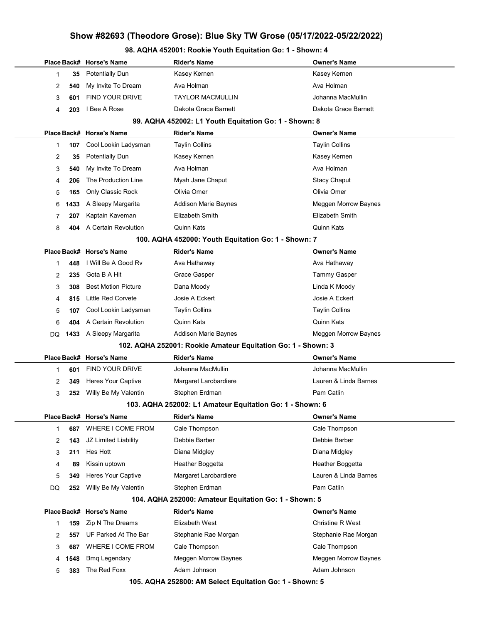# Place Back# Horse's Name **Rider's Name Communist Communist Communist** Communist Place Back America Communist Pla 1 35 Potentially Dun Kasey Kernen Kasey Kernen 2 540 My Invite To Dream Ava Holman Ava Holman Ava Holman 3 601 FIND YOUR DRIVE TAYLOR MACMULLIN CHARGE TO Johanna MacMullin 4 203 I Bee A Rose Dakota Grace Barnett Dakota Grace Barnett 99. AQHA 452002: L1 Youth Equitation Go: 1 - Shown: 8 Place Back# Horse's Name **Rider's Name Communist Communist Communist** Communist Place Back America Communist Pla 1 **107** Cool Lookin Ladysman Taylin Collins Taylin Collins Taylin Collins 2 35 Potentially Dun Kasey Kernen Kasey Kernen 3 540 My Invite To Dream Ava Holman Ava Holman Ava Holman 4 206 The Production Line Myah Jane Chaput Stacy Chaput Stacy Chaput 5 165 Only Classic Rock Olivia Omer Olivia Omer 6 **1433** A Sleepy Margarita **Addison Marie Baynes** Meggen Morrow Baynes 7 207 Kaptain Kaveman Elizabeth Smith Elizabeth Smith 8 404 A Certain Revolution Quinn Kats Quinn Kats 100. AQHA 452000: Youth Equitation Go: 1 - Shown: 7 Place Back# Horse's Name **Rider's Name Communist Communist Communist** Communist Place Back America Communist Pla 1 **448** I Will Be A Good Rv **Ava Hathaway Communist Communist Communist Ava Hathaway Ava Hathaway** 2 235 Gota B A Hit **Grace Gasper** Tammy Gasper Tammy Gasper 3 308 Best Motion Picture **Dana Moody Communist Communist Communist Communist Communist Communist Communist Communist Communist Communist Communist Communist Communist Communist Communist Communist Communist Communist Comm** 4 815 Little Red Corvete Josie A Eckert Josie A Eckert 5 107 Cool Lookin Ladysman Taylin Collins Taylin Collins 6 404 A Certain Revolution Quinn Kats Quinn Kats DQ **1433** A Sleepy Margarita Addison Marie Baynes Mension Meggen Morrow Baynes 102. AQHA 252001: Rookie Amateur Equitation Go: 1 - Shown: 3 Place Back# Horse's Name **Rider's Name Communist Communist Communist** Owner's Name 1 **601** FIND YOUR DRIVE Johanna MacMullin Johanna MacMullin 2 349 Heres Your Captive Margaret Larobardiere **Lauren & Linda Barnes** 3 252 Willy Be My Valentin Stephen Erdman **Pam Catlin** Pam Catlin 103. AQHA 252002: L1 Amateur Equitation Go: 1 - Shown: 6 Place Back# Horse's Name Rider's Name Owner's Name 1 687 WHERE I COME FROM Cale Thompson Cale Thompson 2 143 JZ Limited Liability Debbie Barber Debbie Barber 3 211 Hes Hott **Diana Midgley** Diana Midgley **Diana Midgley** 4 89 Kissin uptown **Heather Boggetta** Heather Boggetta Heather Boggetta 5 349 Heres Your Captive Margaret Larobardiere Lauren & Linda Barnes DQ 252 Willy Be My Valentin Stephen Erdman Pam Catlin Pam Catlin 104. AQHA 252000: Amateur Equitation Go: 1 - Shown: 5 Place Back# Horse's Name Rider's Name Owner's Name 1 159 Zip N The Dreams Elizabeth West Christine R West 2 557 UF Parked At The Bar Stephanie Rae Morgan Stephanie Rae Morgan Stephanie Rae Morgan 3 687 WHERE I COME FROM Cale Thompson Cale Thompson

98. AQHA 452001: Rookie Youth Equitation Go: 1 - Shown: 4

105. AQHA 252800: AM Select Equitation Go: 1 - Shown: 5

4 1548 Bmq Legendary **Meggen Morrow Baynes** Morrow Baynes Meggen Morrow Baynes

5 383 The Red Foxx **Adam Johnson** Adam Johnson Adam Johnson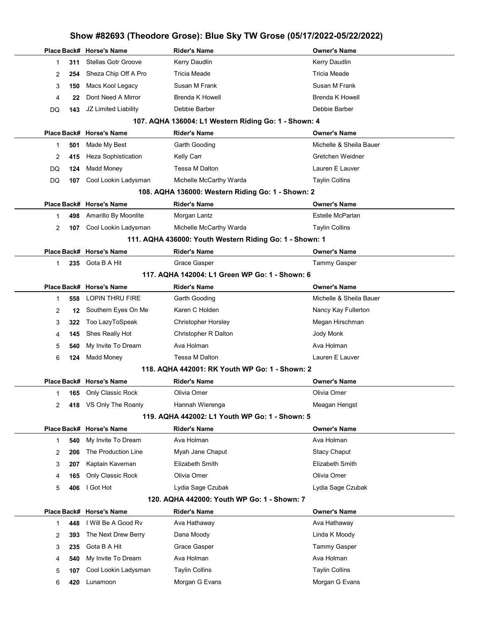|                |     |                            |                                                         | Show #82693 (Theodore Grose): Blue Sky TW Grose (05/17/2022-05/22/2022) |
|----------------|-----|----------------------------|---------------------------------------------------------|-------------------------------------------------------------------------|
|                |     | Place Back# Horse's Name   | <b>Rider's Name</b>                                     | <b>Owner's Name</b>                                                     |
| 1              | 311 | <b>Stellas Gotr Groove</b> | Kerry Daudlin                                           | Kerry Daudlin                                                           |
| 2              | 254 | Sheza Chip Off A Pro       | <b>Tricia Meade</b>                                     | <b>Tricia Meade</b>                                                     |
| 3              | 150 | Macs Kool Legacy           | Susan M Frank                                           | Susan M Frank                                                           |
| 4              | 22  | Dont Need A Mirror         | Brenda K Howell                                         | <b>Brenda K Howell</b>                                                  |
| DQ             | 143 | JZ Limited Liability       | Debbie Barber                                           | Debbie Barber                                                           |
|                |     |                            | 107. AQHA 136004: L1 Western Riding Go: 1 - Shown: 4    |                                                                         |
|                |     | Place Back# Horse's Name   | <b>Rider's Name</b>                                     | <b>Owner's Name</b>                                                     |
| 1              | 501 | Made My Best               | Garth Gooding                                           | Michelle & Sheila Bauer                                                 |
| 2              | 415 | Heza Sophistication        | Kelly Carr                                              | Gretchen Weidner                                                        |
| DQ             | 124 | <b>Madd Money</b>          | Tessa M Dalton                                          | Lauren E Lauver                                                         |
| DQ             | 107 | Cool Lookin Ladysman       | Michelle McCarthy Warda                                 | <b>Taylin Collins</b>                                                   |
|                |     |                            | 108. AQHA 136000: Western Riding Go: 1 - Shown: 2       |                                                                         |
|                |     | Place Back# Horse's Name   | <b>Rider's Name</b>                                     | <b>Owner's Name</b>                                                     |
| 1              | 498 | Amarillo By Moonlite       | Morgan Lantz                                            | Estelle McParlan                                                        |
| $\overline{2}$ | 107 | Cool Lookin Ladysman       | Michelle McCarthy Warda                                 | <b>Taylin Collins</b>                                                   |
|                |     |                            | 111. AQHA 436000: Youth Western Riding Go: 1 - Shown: 1 |                                                                         |
|                |     | Place Back# Horse's Name   | <b>Rider's Name</b>                                     | <b>Owner's Name</b>                                                     |
| 1              | 235 | Gota B A Hit               | Grace Gasper                                            | <b>Tammy Gasper</b>                                                     |
|                |     |                            | 117. AQHA 142004: L1 Green WP Go: 1 - Shown: 6          |                                                                         |
|                |     | Place Back# Horse's Name   | <b>Rider's Name</b>                                     | <b>Owner's Name</b>                                                     |
| 1              | 558 | <b>LOPIN THRU FIRE</b>     | Garth Gooding                                           | Michelle & Sheila Bauer                                                 |
| 2              | 12  | Southern Eyes On Me        | Karen C Holden                                          | Nancy Kay Fullerton                                                     |
| 3              | 322 | Too LazyToSpeak            | <b>Christopher Horsley</b>                              | Megan Hirschman                                                         |
| 4              | 145 | Shes Really Hot            | Christopher R Dalton                                    | Jody Monk                                                               |
| 5              | 540 | My Invite To Dream         | Ava Holman                                              | Ava Holman                                                              |
| 6              | 124 | <b>Madd Money</b>          | Tessa M Dalton                                          | Lauren E Lauver                                                         |
|                |     |                            | 118. AQHA 442001: RK Youth WP Go: 1 - Shown: 2          |                                                                         |
|                |     | Place Back# Horse's Name   | <b>Rider's Name</b>                                     | <b>Owner's Name</b>                                                     |
| 1              | 165 | Only Classic Rock          | Olivia Omer                                             | Olivia Omer                                                             |
| 2              | 418 | VS Only The Roanly         | Hannah Wierenga                                         | Meagan Hengst                                                           |
|                |     |                            | 119. AQHA 442002: L1 Youth WP Go: 1 - Shown: 5          |                                                                         |
|                |     | Place Back# Horse's Name   | <b>Rider's Name</b>                                     | <b>Owner's Name</b>                                                     |
| 1              | 540 | My Invite To Dream         | Ava Holman                                              | Ava Holman                                                              |
| 2              | 206 | The Production Line        | Myah Jane Chaput                                        | <b>Stacy Chaput</b>                                                     |
| 3              | 207 | Kaptain Kaveman            | Elizabeth Smith                                         | Elizabeth Smith                                                         |
| 4              | 165 | Only Classic Rock          | Olivia Omer                                             | Olivia Omer                                                             |
| 5              | 406 | I Got Hot                  | Lydia Sage Czubak                                       | Lydia Sage Czubak                                                       |
|                |     |                            | 120. AQHA 442000: Youth WP Go: 1 - Shown: 7             |                                                                         |
|                |     | Place Back# Horse's Name   | <b>Rider's Name</b>                                     | <b>Owner's Name</b>                                                     |
| 1              | 448 | I Will Be A Good Rv        | Ava Hathaway                                            | Ava Hathaway                                                            |
| 2              | 393 | The Next Drew Berry        | Dana Moody                                              | Linda K Moody                                                           |
| 3              | 235 | Gota B A Hit               | Grace Gasper                                            | Tammy Gasper                                                            |
| 4              | 540 | My Invite To Dream         | Ava Holman                                              | Ava Holman                                                              |
| 5              | 107 | Cool Lookin Ladysman       | <b>Taylin Collins</b>                                   | <b>Taylin Collins</b>                                                   |
| 6              | 420 | Lunamoon                   | Morgan G Evans                                          | Morgan G Evans                                                          |
|                |     |                            |                                                         |                                                                         |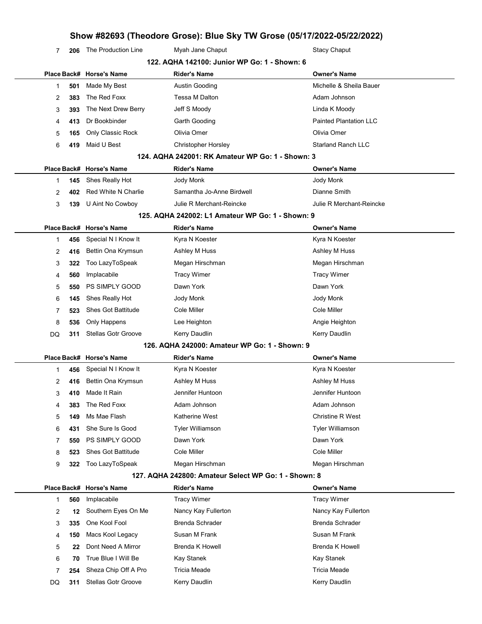7 206 The Production Line Myah Jane Chaput Stacy Chaput Stacy Chaput

|    | 122. AQHA 142100: Junior WP Go: 1 - Shown: 6 |                            |                                                      |                               |  |
|----|----------------------------------------------|----------------------------|------------------------------------------------------|-------------------------------|--|
|    |                                              | Place Back# Horse's Name   | <b>Rider's Name</b>                                  | <b>Owner's Name</b>           |  |
| 1  | 501                                          | Made My Best               | Austin Gooding                                       | Michelle & Sheila Bauer       |  |
| 2  | 383                                          | The Red Foxx               | Tessa M Dalton                                       | Adam Johnson                  |  |
| 3  | 393                                          | The Next Drew Berry        | Jeff S Moody                                         | Linda K Moody                 |  |
| 4  | 413                                          | Dr Bookbinder              | Garth Gooding                                        | <b>Painted Plantation LLC</b> |  |
| 5  | 165                                          | Only Classic Rock          | Olivia Omer                                          | Olivia Omer                   |  |
| 6  | 419                                          | Maid U Best                | <b>Christopher Horsley</b>                           | <b>Starland Ranch LLC</b>     |  |
|    |                                              |                            | 124. AQHA 242001: RK Amateur WP Go: 1 - Shown: 3     |                               |  |
|    |                                              | Place Back# Horse's Name   | <b>Rider's Name</b>                                  | <b>Owner's Name</b>           |  |
| 1  | 145                                          | Shes Really Hot            | Jody Monk                                            | Jody Monk                     |  |
| 2  | 402                                          | Red White N Charlie        | Samantha Jo-Anne Birdwell                            | Dianne Smith                  |  |
| 3  | 139                                          | U Aint No Cowboy           | Julie R Merchant-Reincke                             | Julie R Merchant-Reincke      |  |
|    |                                              |                            | 125. AQHA 242002: L1 Amateur WP Go: 1 - Shown: 9     |                               |  |
|    |                                              | Place Back# Horse's Name   | <b>Rider's Name</b>                                  | <b>Owner's Name</b>           |  |
| 1  | 456                                          | Special N I Know It        | Kyra N Koester                                       | Kyra N Koester                |  |
| 2  | 416                                          | Bettin Ona Krymsun         | Ashley M Huss                                        | Ashley M Huss                 |  |
| 3  | 322                                          | Too LazyToSpeak            | Megan Hirschman                                      | Megan Hirschman               |  |
| 4  | 560                                          | Implacabile                | <b>Tracy Wimer</b>                                   | <b>Tracy Wimer</b>            |  |
| 5  | 550                                          | PS SIMPLY GOOD             | Dawn York                                            | Dawn York                     |  |
| 6  | 145                                          | Shes Really Hot            | Jody Monk                                            | Jody Monk                     |  |
| 7  | 523                                          | Shes Got Battitude         | Cole Miller                                          | Cole Miller                   |  |
| 8  | 536                                          | Only Happens               | Lee Heighton                                         | Angie Heighton                |  |
| DQ | 311                                          | <b>Stellas Gotr Groove</b> | Kerry Daudlin                                        | Kerry Daudlin                 |  |
|    |                                              |                            | 126. AQHA 242000: Amateur WP Go: 1 - Shown: 9        |                               |  |
|    |                                              | Place Back# Horse's Name   | <b>Rider's Name</b>                                  | <b>Owner's Name</b>           |  |
| 1  | 456                                          | Special N I Know It        | Kyra N Koester                                       | Kyra N Koester                |  |
| 2  | 416                                          | Bettin Ona Krymsun         | Ashley M Huss                                        | Ashley M Huss                 |  |
| 3  | 410                                          | Made It Rain               | Jennifer Huntoon                                     | Jennifer Huntoon              |  |
| 4  | 383                                          | The Red Foxx               | Adam Johnson                                         | Adam Johnson                  |  |
| 5  | 149                                          | Ms Mae Flash               | Katherine West                                       | Christine R West              |  |
| 6  | 431                                          | She Sure Is Good           | <b>Tyler Williamson</b>                              | <b>Tyler Williamson</b>       |  |
| 7  | 550                                          | PS SIMPLY GOOD             | Dawn York                                            | Dawn York                     |  |
| 8  | 523                                          | <b>Shes Got Battitude</b>  | Cole Miller                                          | Cole Miller                   |  |
| 9  | 322                                          | Too LazyToSpeak            | Megan Hirschman                                      | Megan Hirschman               |  |
|    |                                              |                            | 127. AQHA 242800: Amateur Select WP Go: 1 - Shown: 8 |                               |  |
|    |                                              | Place Back# Horse's Name   | <b>Rider's Name</b>                                  | <b>Owner's Name</b>           |  |
| 1  | 560                                          | Implacabile                | <b>Tracy Wimer</b>                                   | <b>Tracy Wimer</b>            |  |
| 2  | 12                                           | Southern Eyes On Me        | Nancy Kay Fullerton                                  | Nancy Kay Fullerton           |  |
| 3  | 335                                          | One Kool Fool              | Brenda Schrader                                      | <b>Brenda Schrader</b>        |  |
| 4  | 150                                          | Macs Kool Legacy           | Susan M Frank                                        | Susan M Frank                 |  |
| 5  | 22                                           | Dont Need A Mirror         | <b>Brenda K Howell</b>                               | <b>Brenda K Howell</b>        |  |
| 6  | 70                                           | True Blue I Will Be        | Kay Stanek                                           | Kay Stanek                    |  |
| 7  | 254                                          | Sheza Chip Off A Pro       | Tricia Meade                                         | Tricia Meade                  |  |
| DQ | 311                                          | <b>Stellas Gotr Groove</b> | Kerry Daudlin                                        | Kerry Daudlin                 |  |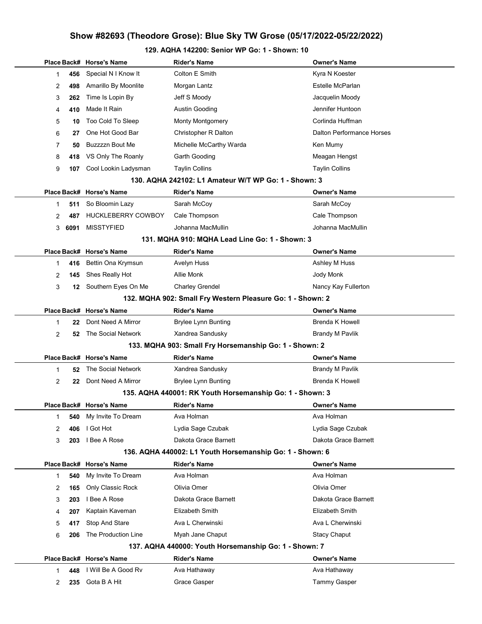### 129. AQHA 142200: Senior WP Go: 1 - Shown: 10

|    |      | Place Back# Horse's Name                                   | <b>Rider's Name</b>                                      | <b>Owner's Name</b>       |  |  |
|----|------|------------------------------------------------------------|----------------------------------------------------------|---------------------------|--|--|
| 1. | 456  | Special N I Know It                                        | Colton E Smith                                           | Kyra N Koester            |  |  |
| 2  | 498  | Amarillo By Moonlite                                       | Morgan Lantz                                             | Estelle McParlan          |  |  |
| 3  | 262  | Time Is Lopin By                                           | Jeff S Moody                                             | Jacquelin Moody           |  |  |
| 4  | 410  | Made It Rain                                               | Austin Gooding                                           | Jennifer Huntoon          |  |  |
| 5  | 10   | Too Cold To Sleep                                          | <b>Monty Montgomery</b>                                  | Corlinda Huffman          |  |  |
| 6  | 27   | One Hot Good Bar                                           | Christopher R Dalton                                     | Dalton Performance Horses |  |  |
| 7  | 50   | Buzzzzn Bout Me                                            | Michelle McCarthy Warda                                  | Ken Mumy                  |  |  |
| 8  | 418  | VS Only The Roanly                                         | Garth Gooding                                            | Meagan Hengst             |  |  |
| 9  | 107  | Cool Lookin Ladysman                                       | <b>Taylin Collins</b>                                    | <b>Taylin Collins</b>     |  |  |
|    |      |                                                            | 130. AQHA 242102: L1 Amateur W/T WP Go: 1 - Shown: 3     |                           |  |  |
|    |      | Place Back# Horse's Name                                   | Rider's Name                                             | <b>Owner's Name</b>       |  |  |
| 1. | 511  | So Bloomin Lazy                                            | Sarah McCoy                                              | Sarah McCoy               |  |  |
| 2  | 487  | <b>HUCKLEBERRY COWBOY</b>                                  | Cale Thompson                                            | Cale Thompson             |  |  |
| 3  | 6091 | <b>MISSTYFIED</b>                                          | Johanna MacMullin                                        | Johanna MacMullin         |  |  |
|    |      |                                                            | 131. MQHA 910: MQHA Lead Line Go: 1 - Shown: 3           |                           |  |  |
|    |      | Place Back# Horse's Name                                   | Rider's Name                                             | <b>Owner's Name</b>       |  |  |
| 1  | 416  | Bettin Ona Krymsun                                         | Avelyn Huss                                              | Ashley M Huss             |  |  |
| 2  | 145  | Shes Really Hot                                            | Allie Monk                                               | Jody Monk                 |  |  |
| 3  |      | 12 Southern Eyes On Me                                     | <b>Charley Grendel</b>                                   | Nancy Kay Fullerton       |  |  |
|    |      | 132. MQHA 902: Small Fry Western Pleasure Go: 1 - Shown: 2 |                                                          |                           |  |  |
|    |      | Place Back# Horse's Name                                   | <b>Rider's Name</b>                                      | <b>Owner's Name</b>       |  |  |
| 1  | 22   | Dont Need A Mirror                                         | <b>Brylee Lynn Bunting</b>                               | <b>Brenda K Howell</b>    |  |  |
| 2  | 52   | The Social Network                                         | Xandrea Sandusky                                         | <b>Brandy M Pavlik</b>    |  |  |
|    |      |                                                            | 133. MQHA 903: Small Fry Horsemanship Go: 1 - Shown: 2   |                           |  |  |
|    |      | Place Back# Horse's Name                                   | <b>Rider's Name</b>                                      | <b>Owner's Name</b>       |  |  |
| 1  | 52   | The Social Network                                         | Xandrea Sandusky                                         | <b>Brandy M Pavlik</b>    |  |  |
| 2  | 22   | Dont Need A Mirror                                         | <b>Brylee Lynn Bunting</b>                               | <b>Brenda K Howell</b>    |  |  |
|    |      |                                                            | 135. AQHA 440001: RK Youth Horsemanship Go: 1 - Shown: 3 |                           |  |  |
|    |      | Place Back# Horse's Name                                   | Rider's Name                                             | <b>Owner's Name</b>       |  |  |
| 1  | 540  | My Invite To Dream                                         | Ava Holman                                               | Ava Holman                |  |  |
| 2  | 406  | I Got Hot                                                  | Lydia Sage Czubak                                        | Lydia Sage Czubak         |  |  |
| 3  | 203  | I Bee A Rose                                               | Dakota Grace Barnett                                     | Dakota Grace Barnett      |  |  |
|    |      |                                                            | 136. AQHA 440002: L1 Youth Horsemanship Go: 1 - Shown: 6 |                           |  |  |
|    |      | Place Back# Horse's Name                                   | <b>Rider's Name</b>                                      | <b>Owner's Name</b>       |  |  |
| 1  | 540  | My Invite To Dream                                         | Ava Holman                                               | Ava Holman                |  |  |
| 2  | 165  | Only Classic Rock                                          | Olivia Omer                                              | Olivia Omer               |  |  |
| 3  | 203  | I Bee A Rose                                               | Dakota Grace Barnett                                     | Dakota Grace Barnett      |  |  |
| 4  | 207  | Kaptain Kaveman                                            | Elizabeth Smith                                          | Elizabeth Smith           |  |  |
| 5  | 417  | Stop And Stare                                             | Ava L Cherwinski                                         | Ava L Cherwinski          |  |  |
| 6  | 206  | The Production Line                                        | Myah Jane Chaput                                         | <b>Stacy Chaput</b>       |  |  |
|    |      |                                                            | 137. AQHA 440000: Youth Horsemanship Go: 1 - Shown: 7    |                           |  |  |
|    |      | Place Back# Horse's Name                                   | <b>Rider's Name</b>                                      | <b>Owner's Name</b>       |  |  |
| 1  | 448  | I Will Be A Good Rv                                        | Ava Hathaway                                             | Ava Hathaway              |  |  |
| 2  | 235  | Gota B A Hit                                               | Grace Gasper                                             | Tammy Gasper              |  |  |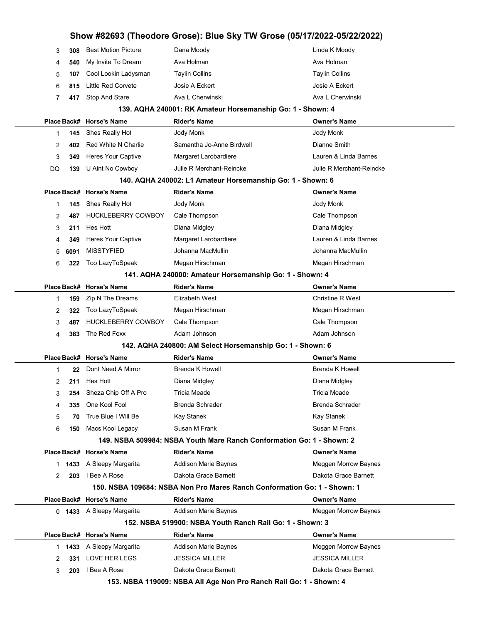|  | Show #82693 (Theodore Grose): Blue Sky TW Grose (05/17/2022-05/22/2022) |      |                                                         |                                                                          |                          |  |  |  |
|--|-------------------------------------------------------------------------|------|---------------------------------------------------------|--------------------------------------------------------------------------|--------------------------|--|--|--|
|  | 3                                                                       | 308  | <b>Best Motion Picture</b>                              | Dana Moody                                                               | Linda K Moody            |  |  |  |
|  | 4                                                                       | 540  | My Invite To Dream                                      | Ava Holman                                                               | Ava Holman               |  |  |  |
|  | 5                                                                       | 107  | Cool Lookin Ladysman                                    | <b>Taylin Collins</b>                                                    | <b>Taylin Collins</b>    |  |  |  |
|  | 6                                                                       | 815  | Little Red Corvete                                      | Josie A Eckert                                                           | Josie A Eckert           |  |  |  |
|  | 7                                                                       | 417  | Stop And Stare                                          | Ava L Cherwinski                                                         | Ava L Cherwinski         |  |  |  |
|  |                                                                         |      |                                                         | 139. AQHA 240001: RK Amateur Horsemanship Go: 1 - Shown: 4               |                          |  |  |  |
|  |                                                                         |      | Place Back# Horse's Name                                | <b>Rider's Name</b>                                                      | <b>Owner's Name</b>      |  |  |  |
|  | 1                                                                       | 145  | Shes Really Hot                                         | Jody Monk                                                                | Jody Monk                |  |  |  |
|  | 2                                                                       | 402  | <b>Red White N Charlie</b>                              | Samantha Jo-Anne Birdwell                                                | Dianne Smith             |  |  |  |
|  | 3                                                                       | 349  | <b>Heres Your Captive</b>                               | Margaret Larobardiere                                                    | Lauren & Linda Barnes    |  |  |  |
|  | DQ                                                                      | 139  | U Aint No Cowboy                                        | Julie R Merchant-Reincke                                                 | Julie R Merchant-Reincke |  |  |  |
|  |                                                                         |      |                                                         | 140. AQHA 240002: L1 Amateur Horsemanship Go: 1 - Shown: 6               |                          |  |  |  |
|  |                                                                         |      | Place Back# Horse's Name                                | <b>Rider's Name</b>                                                      | <b>Owner's Name</b>      |  |  |  |
|  | 1                                                                       | 145  | Shes Really Hot                                         | Jody Monk                                                                | Jody Monk                |  |  |  |
|  | 2                                                                       | 487  | <b>HUCKLEBERRY COWBOY</b>                               | Cale Thompson                                                            | Cale Thompson            |  |  |  |
|  | 3                                                                       | 211  | Hes Hott                                                | Diana Midgley                                                            | Diana Midgley            |  |  |  |
|  | 4                                                                       | 349  | <b>Heres Your Captive</b>                               | Margaret Larobardiere                                                    | Lauren & Linda Barnes    |  |  |  |
|  | 5                                                                       | 6091 | <b>MISSTYFIED</b>                                       | Johanna MacMullin                                                        | Johanna MacMullin        |  |  |  |
|  | 6                                                                       | 322  | Too LazyToSpeak                                         | Megan Hirschman                                                          | Megan Hirschman          |  |  |  |
|  |                                                                         |      | 141. AQHA 240000: Amateur Horsemanship Go: 1 - Shown: 4 |                                                                          |                          |  |  |  |
|  |                                                                         |      | Place Back# Horse's Name                                | <b>Rider's Name</b>                                                      | <b>Owner's Name</b>      |  |  |  |
|  | 1                                                                       | 159  | Zip N The Dreams                                        | Elizabeth West                                                           | <b>Christine R West</b>  |  |  |  |
|  | 2                                                                       | 322  | Too LazyToSpeak                                         | Megan Hirschman                                                          | Megan Hirschman          |  |  |  |
|  | 3                                                                       | 487  | <b>HUCKLEBERRY COWBOY</b>                               | Cale Thompson                                                            | Cale Thompson            |  |  |  |
|  | 4                                                                       | 383  | The Red Foxx                                            | Adam Johnson                                                             | Adam Johnson             |  |  |  |
|  |                                                                         |      |                                                         | 142. AQHA 240800: AM Select Horsemanship Go: 1 - Shown: 6                |                          |  |  |  |
|  |                                                                         |      | Place Back# Horse's Name                                | <b>Rider's Name</b>                                                      | <b>Owner's Name</b>      |  |  |  |
|  | 1                                                                       | 22   | Dont Need A Mirror                                      | <b>Brenda K Howell</b>                                                   | <b>Brenda K Howell</b>   |  |  |  |
|  | $\overline{2}$                                                          |      | 211 Hes Hott                                            | Diana Midgley                                                            | Diana Midgley            |  |  |  |
|  | 3                                                                       | 254  | Sheza Chip Off A Pro                                    | Tricia Meade                                                             | Tricia Meade             |  |  |  |
|  | 4                                                                       | 335  | One Kool Fool                                           | Brenda Schrader                                                          | <b>Brenda Schrader</b>   |  |  |  |
|  | 5                                                                       | 70   | True Blue I Will Be                                     | Kay Stanek                                                               | Kay Stanek               |  |  |  |
|  | 6                                                                       | 150  | Macs Kool Legacy                                        | Susan M Frank                                                            | Susan M Frank            |  |  |  |
|  |                                                                         |      |                                                         | 149. NSBA 509984: NSBA Youth Mare Ranch Conformation Go: 1 - Shown: 2    |                          |  |  |  |
|  |                                                                         |      | Place Back# Horse's Name                                | <b>Rider's Name</b>                                                      | <b>Owner's Name</b>      |  |  |  |
|  |                                                                         |      | 1 1433 A Sleepy Margarita                               | <b>Addison Marie Baynes</b>                                              | Meggen Morrow Baynes     |  |  |  |
|  | 2                                                                       | 203  | I Bee A Rose                                            | Dakota Grace Barnett                                                     | Dakota Grace Barnett     |  |  |  |
|  |                                                                         |      |                                                         | 150. NSBA 109684: NSBA Non Pro Mares Ranch Conformation Go: 1 - Shown: 1 |                          |  |  |  |
|  |                                                                         |      | Place Back# Horse's Name                                | <b>Rider's Name</b>                                                      | <b>Owner's Name</b>      |  |  |  |
|  |                                                                         |      | 0 1433 A Sleepy Margarita                               | <b>Addison Marie Baynes</b>                                              | Meggen Morrow Baynes     |  |  |  |
|  |                                                                         |      |                                                         | 152. NSBA 519900: NSBA Youth Ranch Rail Go: 1 - Shown: 3                 |                          |  |  |  |
|  |                                                                         |      | Place Back# Horse's Name                                | <b>Rider's Name</b>                                                      | <b>Owner's Name</b>      |  |  |  |
|  |                                                                         |      | 1 1433 A Sleepy Margarita                               | Addison Marie Baynes                                                     | Meggen Morrow Baynes     |  |  |  |
|  | 2                                                                       | 331  | LOVE HER LEGS                                           | <b>JESSICA MILLER</b>                                                    | <b>JESSICA MILLER</b>    |  |  |  |
|  | 3                                                                       |      | 203 I Bee A Rose                                        | Dakota Grace Barnett                                                     | Dakota Grace Barnett     |  |  |  |
|  |                                                                         |      |                                                         | 153. NSBA 119009: NSBA All Age Non Pro Ranch Rail Go: 1 - Shown: 4       |                          |  |  |  |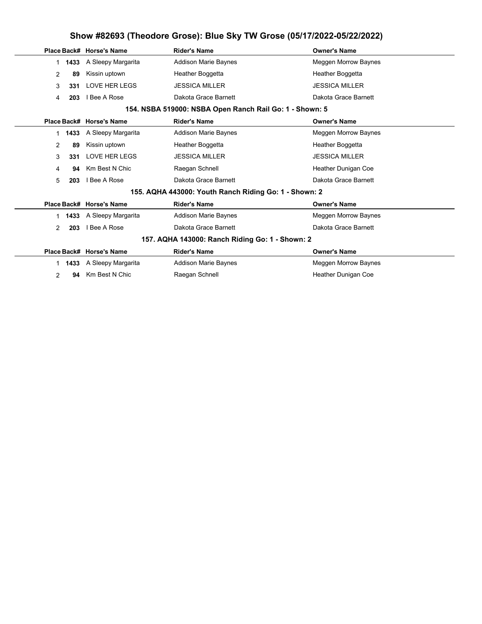|                                                         |      | Place Back# Horse's Name | Rider's Name                                          | <b>Owner's Name</b>        |  |
|---------------------------------------------------------|------|--------------------------|-------------------------------------------------------|----------------------------|--|
| $\mathbf{1}$                                            | 1433 | A Sleepy Margarita       | <b>Addison Marie Baynes</b>                           | Meggen Morrow Baynes       |  |
| 2                                                       | 89   | Kissin uptown            | Heather Boggetta                                      | Heather Boggetta           |  |
| 3                                                       | 331  | <b>LOVE HER LEGS</b>     | <b>JESSICA MILLER</b>                                 | <b>JESSICA MILLER</b>      |  |
| 4                                                       | 203  | I Bee A Rose             | Dakota Grace Barnett                                  | Dakota Grace Barnett       |  |
| 154. NSBA 519000: NSBA Open Ranch Rail Go: 1 - Shown: 5 |      |                          |                                                       |                            |  |
|                                                         |      | Place Back# Horse's Name | <b>Rider's Name</b>                                   | <b>Owner's Name</b>        |  |
| 1.                                                      | 1433 | A Sleepy Margarita       | <b>Addison Marie Baynes</b>                           | Meggen Morrow Baynes       |  |
| 2                                                       | 89   | Kissin uptown            | Heather Boggetta                                      | Heather Boggetta           |  |
| 3                                                       | 331  | <b>LOVE HER LEGS</b>     | <b>JESSICA MILLER</b>                                 | <b>JESSICA MILLER</b>      |  |
| 4                                                       | 94   | Km Best N Chic           | Raegan Schnell                                        | <b>Heather Dunigan Coe</b> |  |
| 5                                                       | 203  | I Bee A Rose             | Dakota Grace Barnett                                  | Dakota Grace Barnett       |  |
|                                                         |      |                          | 155. AQHA 443000: Youth Ranch Riding Go: 1 - Shown: 2 |                            |  |
|                                                         |      | Place Back# Horse's Name | <b>Rider's Name</b>                                   | <b>Owner's Name</b>        |  |
| 1                                                       | 1433 | A Sleepy Margarita       | <b>Addison Marie Baynes</b>                           | Meggen Morrow Baynes       |  |
| 2                                                       | 203  | I Bee A Rose             | Dakota Grace Barnett                                  | Dakota Grace Barnett       |  |
|                                                         |      |                          | 157. AQHA 143000: Ranch Riding Go: 1 - Shown: 2       |                            |  |
|                                                         |      | Place Back# Horse's Name | <b>Rider's Name</b>                                   | <b>Owner's Name</b>        |  |
|                                                         | 1433 | A Sleepy Margarita       | <b>Addison Marie Baynes</b>                           | Meggen Morrow Baynes       |  |
| 2                                                       | 94   | Km Best N Chic           | Raegan Schnell                                        | Heather Dunigan Coe        |  |
|                                                         |      |                          |                                                       |                            |  |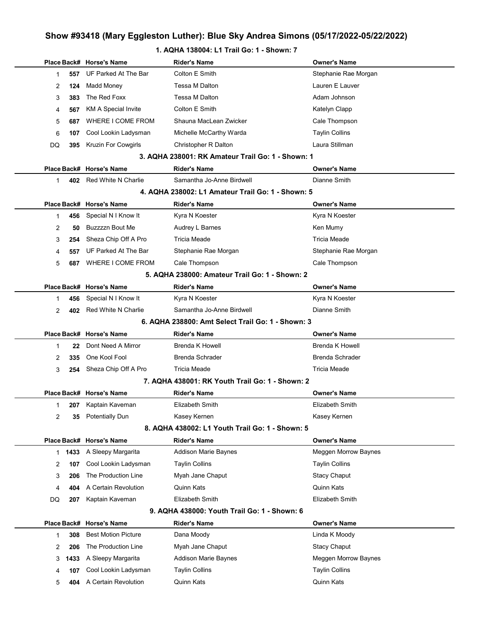# Show #93418 (Mary Eggleston Luther): Blue Sky Andrea Simons (05/17/2022-05/22/2022)

### 1. AQHA 138004: L1 Trail Go: 1 - Shown: 7

|                |      | Place Back# Horse's Name                     | <b>Rider's Name</b>                               | <b>Owner's Name</b>                 |
|----------------|------|----------------------------------------------|---------------------------------------------------|-------------------------------------|
| 1              | 557  | UF Parked At The Bar                         | Colton E Smith                                    | Stephanie Rae Morgan                |
| 2              | 124  | Madd Money                                   | Tessa M Dalton                                    | Lauren E Lauver                     |
| 3              | 383  | The Red Foxx                                 | Tessa M Dalton                                    | Adam Johnson                        |
| 4              | 567  | KM A Special Invite                          | Colton E Smith                                    | Katelyn Clapp                       |
| 5              | 687  | WHERE I COME FROM                            | Shauna MacLean Zwicker                            | Cale Thompson                       |
| 6              | 107  | Cool Lookin Ladysman                         | Michelle McCarthy Warda                           | <b>Taylin Collins</b>               |
| DQ             | 395  | Kruzin For Cowgirls                          | Christopher R Dalton                              | Laura Stillman                      |
|                |      |                                              | 3. AQHA 238001: RK Amateur Trail Go: 1 - Shown: 1 |                                     |
|                |      | Place Back# Horse's Name                     | <b>Rider's Name</b>                               | <b>Owner's Name</b>                 |
| $\mathbf 1$    | 402  | Red White N Charlie                          | Samantha Jo-Anne Birdwell                         | Dianne Smith                        |
|                |      |                                              | 4. AQHA 238002: L1 Amateur Trail Go: 1 - Shown: 5 |                                     |
|                |      | Place Back# Horse's Name                     | <b>Rider's Name</b>                               | <b>Owner's Name</b>                 |
| 1              | 456  | Special N I Know It                          | Kyra N Koester                                    | Kyra N Koester                      |
| 2              | 50   | <b>Buzzzzn Bout Me</b>                       | Audrey L Barnes                                   | Ken Mumy                            |
| 3              | 254  | Sheza Chip Off A Pro                         | Tricia Meade                                      | Tricia Meade                        |
| 4              | 557  | UF Parked At The Bar                         | Stephanie Rae Morgan                              | Stephanie Rae Morgan                |
| 5              | 687  | WHERE I COME FROM                            | Cale Thompson                                     | Cale Thompson                       |
|                |      |                                              | 5. AQHA 238000: Amateur Trail Go: 1 - Shown: 2    |                                     |
|                |      | Place Back# Horse's Name                     | <b>Rider's Name</b>                               | <b>Owner's Name</b>                 |
| 1              | 456  | Special N I Know It                          | Kyra N Koester                                    | Kyra N Koester                      |
| $\overline{2}$ | 402  | Red White N Charlie                          | Samantha Jo-Anne Birdwell                         | Dianne Smith                        |
|                |      |                                              | 6. AQHA 238800: Amt Select Trail Go: 1 - Shown: 3 |                                     |
|                |      | Place Back# Horse's Name                     | <b>Rider's Name</b>                               | <b>Owner's Name</b>                 |
| 1              | 22   | Dont Need A Mirror                           | <b>Brenda K Howell</b>                            | <b>Brenda K Howell</b>              |
| 2              | 335  | One Kool Fool                                | <b>Brenda Schrader</b>                            | <b>Brenda Schrader</b>              |
| 3              | 254  | Sheza Chip Off A Pro                         | <b>Tricia Meade</b>                               | <b>Tricia Meade</b>                 |
|                |      |                                              | 7. AQHA 438001: RK Youth Trail Go: 1 - Shown: 2   |                                     |
|                |      |                                              |                                                   |                                     |
| 1              |      | Place Back# Horse's Name                     | <b>Rider's Name</b>                               | <b>Owner's Name</b>                 |
|                |      | 207 Kaptain Kaveman                          | Elizabeth Smith                                   | Elizabeth Smith                     |
| 2              | 35   | <b>Potentially Dun</b>                       | Kasey Kernen                                      | Kasey Kernen                        |
|                |      |                                              | 8. AQHA 438002: L1 Youth Trail Go: 1 - Shown: 5   |                                     |
|                |      | Place Back# Horse's Name                     | <b>Rider's Name</b>                               | <b>Owner's Name</b>                 |
| 1              | 1433 | A Sleepy Margarita                           | <b>Addison Marie Baynes</b>                       | Meggen Morrow Baynes                |
| 2              | 107  | Cool Lookin Ladysman                         | <b>Taylin Collins</b>                             | <b>Taylin Collins</b>               |
| 3              | 206  | The Production Line                          | Myah Jane Chaput                                  | <b>Stacy Chaput</b>                 |
| 4              | 404  | A Certain Revolution                         | Quinn Kats                                        | Quinn Kats                          |
| DQ             | 207  | Kaptain Kaveman                              | Elizabeth Smith                                   | <b>Elizabeth Smith</b>              |
|                |      |                                              | 9. AQHA 438000: Youth Trail Go: 1 - Shown: 6      |                                     |
|                |      | Place Back# Horse's Name                     | <b>Rider's Name</b>                               | <b>Owner's Name</b>                 |
| 1              | 308  | <b>Best Motion Picture</b>                   | Dana Moody                                        | Linda K Moody                       |
| 2              | 206  | The Production Line                          | Myah Jane Chaput                                  | <b>Stacy Chaput</b>                 |
| 3              | 1433 | A Sleepy Margarita                           | <b>Addison Marie Baynes</b>                       | Meggen Morrow Baynes                |
| 4              | 107  | Cool Lookin Ladysman<br>A Certain Revolution | <b>Taylin Collins</b><br>Quinn Kats               | <b>Taylin Collins</b><br>Quinn Kats |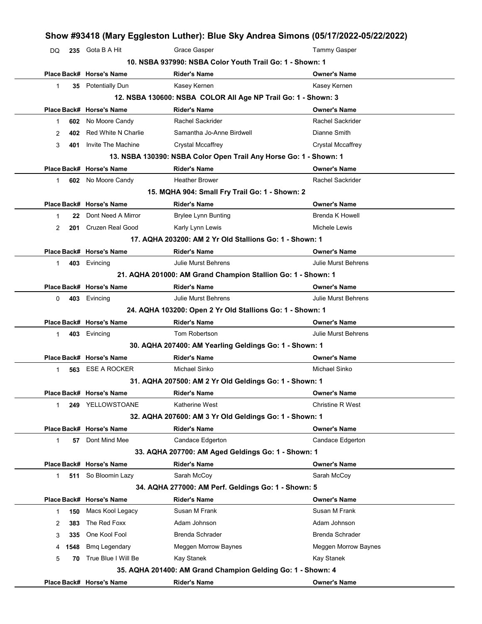|                    | 235 Gota B A Hit         | Grace Gasper                                                      | <b>Tammy Gasper</b>        |
|--------------------|--------------------------|-------------------------------------------------------------------|----------------------------|
|                    |                          | 10. NSBA 937990: NSBA Color Youth Trail Go: 1 - Shown: 1          |                            |
|                    | Place Back# Horse's Name | <b>Rider's Name</b>                                               | <b>Owner's Name</b>        |
| 1                  | 35 Potentially Dun       | Kasey Kernen                                                      | Kasey Kernen               |
|                    |                          | 12. NSBA 130600: NSBA COLOR All Age NP Trail Go: 1 - Shown: 3     |                            |
|                    | Place Back# Horse's Name | <b>Rider's Name</b>                                               | <b>Owner's Name</b>        |
| 602<br>1           | No Moore Candy           | Rachel Sackrider                                                  | <b>Rachel Sackrider</b>    |
| 402<br>2           | Red White N Charlie      | Samantha Jo-Anne Birdwell                                         | Dianne Smith               |
| 3<br>401           | Invite The Machine       | <b>Crystal Mccaffrey</b>                                          | <b>Crystal Mccaffrey</b>   |
|                    |                          | 13. NSBA 130390: NSBA Color Open Trail Any Horse Go: 1 - Shown: 1 |                            |
|                    | Place Back# Horse's Name | <b>Rider's Name</b>                                               | <b>Owner's Name</b>        |
| 1                  | 602 No Moore Candy       | <b>Heather Brower</b>                                             | <b>Rachel Sackrider</b>    |
|                    |                          | 15. MQHA 904: Small Fry Trail Go: 1 - Shown: 2                    |                            |
|                    | Place Back# Horse's Name | <b>Rider's Name</b>                                               | <b>Owner's Name</b>        |
| 22<br>1            | Dont Need A Mirror       | <b>Brylee Lynn Bunting</b>                                        | <b>Brenda K Howell</b>     |
| 2<br>201           | <b>Cruzen Real Good</b>  | Karly Lynn Lewis                                                  | Michele Lewis              |
|                    |                          | 17. AQHA 203200: AM 2 Yr Old Stallions Go: 1 - Shown: 1           |                            |
|                    | Place Back# Horse's Name | <b>Rider's Name</b>                                               | <b>Owner's Name</b>        |
| 1                  | 403 Evincing             | Julie Murst Behrens                                               | <b>Julie Murst Behrens</b> |
|                    |                          | 21. AQHA 201000: AM Grand Champion Stallion Go: 1 - Shown: 1      |                            |
|                    | Place Back# Horse's Name | <b>Rider's Name</b>                                               | Owner's Name               |
| 0                  | 403 Evincing             | Julie Murst Behrens                                               | <b>Julie Murst Behrens</b> |
|                    |                          | 24. AQHA 103200: Open 2 Yr Old Stallions Go: 1 - Shown: 1         |                            |
|                    | Place Back# Horse's Name | <b>Rider's Name</b>                                               | <b>Owner's Name</b>        |
| $\mathbf{1}$       | 403 Evincing             | Tom Robertson                                                     | <b>Julie Murst Behrens</b> |
|                    |                          | 30. AQHA 207400: AM Yearling Geldings Go: 1 - Shown: 1            |                            |
|                    | Place Back# Horse's Name | <b>Rider's Name</b>                                               | <b>Owner's Name</b>        |
| 563<br>1           | <b>ESE A ROCKER</b>      | Michael Sinko                                                     | Michael Sinko              |
|                    |                          | 31. AQHA 207500: AM 2 Yr Old Geldings Go: 1 - Shown: 1            |                            |
|                    |                          |                                                                   |                            |
|                    | Place Back# Horse's Name | <b>Rider's Name</b>                                               | Owner's Name               |
| 249<br>$\mathbf 1$ | YELLOWSTOANE             | Katherine West                                                    | <b>Christine R West</b>    |
|                    |                          | 32. AQHA 207600: AM 3 Yr Old Geldings Go: 1 - Shown: 1            |                            |
|                    | Place Back# Horse's Name | <b>Rider's Name</b>                                               | Owner's Name               |
| 57<br>1            | Dont Mind Mee            | Candace Edgerton                                                  | Candace Edgerton           |
|                    |                          | 33. AQHA 207700: AM Aged Geldings Go: 1 - Shown: 1                |                            |
|                    | Place Back# Horse's Name | <b>Rider's Name</b>                                               | Owner's Name               |
| 511<br>1           | So Bloomin Lazy          | Sarah McCoy                                                       | Sarah McCoy                |
|                    |                          | 34. AQHA 277000: AM Perf. Geldings Go: 1 - Shown: 5               |                            |
|                    | Place Back# Horse's Name | <b>Rider's Name</b>                                               | <b>Owner's Name</b>        |
| 150<br>1           | Macs Kool Legacy         | Susan M Frank                                                     | Susan M Frank              |
| 383<br>2           | The Red Foxx             | Adam Johnson                                                      | Adam Johnson               |
| 3<br>335           | One Kool Fool            | <b>Brenda Schrader</b>                                            | <b>Brenda Schrader</b>     |
| 1548<br>4          | <b>Bmq Legendary</b>     | Meggen Morrow Baynes                                              | Meggen Morrow Baynes       |
| 5<br>70            | True Blue I Will Be      | Kay Stanek                                                        | Kay Stanek                 |
|                    |                          | 35. AQHA 201400: AM Grand Champion Gelding Go: 1 - Shown: 4       |                            |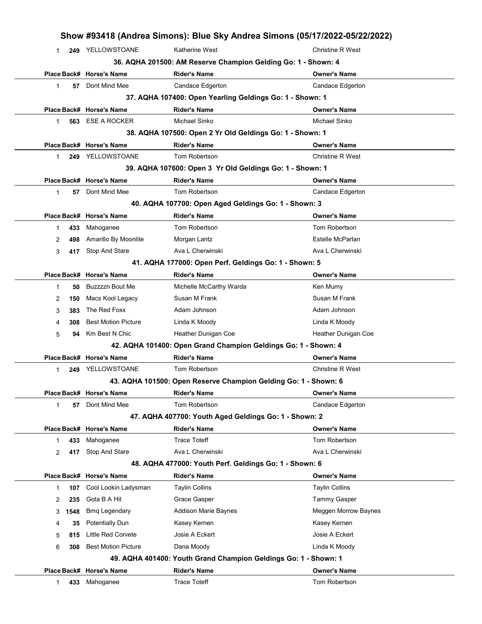|                     |                            | Show #93418 (Andrea Simons): Blue Sky Andrea Simons (05/17/2022-05/22/2022) |                         |
|---------------------|----------------------------|-----------------------------------------------------------------------------|-------------------------|
| 1                   | 249 YELLOWSTOANE           | Katherine West                                                              | <b>Christine R West</b> |
|                     |                            | 36. AQHA 201500: AM Reserve Champion Gelding Go: 1 - Shown: 4               |                         |
|                     | Place Back# Horse's Name   | <b>Rider's Name</b>                                                         | <b>Owner's Name</b>     |
| 57<br>$\mathbf{1}$  | Dont Mind Mee              | Candace Edgerton                                                            | <b>Candace Edgerton</b> |
|                     |                            | 37. AQHA 107400: Open Yearling Geldings Go: 1 - Shown: 1                    |                         |
|                     | Place Back# Horse's Name   | <b>Rider's Name</b>                                                         | <b>Owner's Name</b>     |
| 563<br>$\mathbf 1$  | <b>ESE A ROCKER</b>        | Michael Sinko                                                               | <b>Michael Sinko</b>    |
|                     |                            | 38. AQHA 107500: Open 2 Yr Old Geldings Go: 1 - Shown: 1                    |                         |
|                     | Place Back# Horse's Name   | <b>Rider's Name</b>                                                         | <b>Owner's Name</b>     |
| 1.                  | 249 YELLOWSTOANE           | Tom Robertson                                                               | <b>Christine R West</b> |
|                     |                            | 39. AQHA 107600: Open 3 Yr Old Geldings Go: 1 - Shown: 1                    |                         |
|                     | Place Back# Horse's Name   | <b>Rider's Name</b>                                                         | <b>Owner's Name</b>     |
| $\mathbf{1}$<br>57  | Dont Mind Mee              | Tom Robertson                                                               | Candace Edgerton        |
|                     |                            | 40. AQHA 107700: Open Aged Geldings Go: 1 - Shown: 3                        |                         |
|                     | Place Back# Horse's Name   | <b>Rider's Name</b>                                                         | <b>Owner's Name</b>     |
| 433<br>1            | Mahoganee                  | Tom Robertson                                                               | Tom Robertson           |
| 2<br>498            | Amarillo By Moonlite       | Morgan Lantz                                                                | Estelle McParlan        |
| 3<br>417            | Stop And Stare             | Ava L Cherwinski                                                            | Ava L Cherwinski        |
|                     |                            | 41. AQHA 177000: Open Perf. Geldings Go: 1 - Shown: 5                       |                         |
|                     | Place Back# Horse's Name   | <b>Rider's Name</b>                                                         | <b>Owner's Name</b>     |
| $\mathbf{1}$<br>50  | Buzzzzn Bout Me            | Michelle McCarthy Warda                                                     | Ken Mumy                |
| 150<br>2            | Macs Kool Legacy           | Susan M Frank                                                               | Susan M Frank           |
| 3<br>383            | The Red Foxx               | Adam Johnson                                                                | Adam Johnson            |
| 308<br>4            | <b>Best Motion Picture</b> | Linda K Moody                                                               | Linda K Moody           |
| 5<br>94             | Km Best N Chic             | Heather Dunigan Coe                                                         | Heather Dunigan Coe     |
|                     |                            | 42. AQHA 101400: Open Grand Champion Geldings Go: 1 - Shown: 4              |                         |
|                     | Place Back# Horse's Name   | <b>Rider's Name</b>                                                         | <b>Owner's Name</b>     |
| 1                   | 249 YELLOWSTOANE           | Tom Robertson                                                               | Christine R West        |
|                     |                            | 43. AQHA 101500: Open Reserve Champion Gelding Go: 1 - Shown: 6             |                         |
|                     | Place Back# Horse's Name   | <b>Rider's Name</b>                                                         | <b>Owner's Name</b>     |
| $\mathbf{1}$<br>57  | Dont Mind Mee              | Tom Robertson                                                               | Candace Edgerton        |
|                     |                            | 47. AQHA 407700: Youth Aged Geldings Go: 1 - Shown: 2                       |                         |
|                     | Place Back# Horse's Name   | <b>Rider's Name</b>                                                         | <b>Owner's Name</b>     |
| 433<br>1.           | Mahoganee                  | <b>Trace Toteff</b>                                                         | Tom Robertson           |
| 2<br>417            | Stop And Stare             | Ava L Cherwinski                                                            | Ava L Cherwinski        |
|                     |                            | 48. AQHA 477000: Youth Perf. Geldings Go: 1 - Shown: 6                      |                         |
|                     | Place Back# Horse's Name   | <b>Rider's Name</b>                                                         | <b>Owner's Name</b>     |
| 107<br>$\mathbf{1}$ | Cool Lookin Ladysman       | <b>Taylin Collins</b>                                                       | <b>Taylin Collins</b>   |
| 235<br>2            | Gota B A Hit               | Grace Gasper                                                                | <b>Tammy Gasper</b>     |
| 1548<br>3           | <b>Bmq Legendary</b>       | <b>Addison Marie Baynes</b>                                                 | Meggen Morrow Baynes    |
| 35<br>4             | <b>Potentially Dun</b>     | Kasey Kernen                                                                | Kasey Kernen            |
| 5<br>815            | Little Red Corvete         | Josie A Eckert                                                              | Josie A Eckert          |
| 308<br>6            | <b>Best Motion Picture</b> | Dana Moody                                                                  | Linda K Moody           |
|                     |                            | 49. AQHA 401400: Youth Grand Champion Geldings Go: 1 - Shown: 1             |                         |
|                     | Place Back# Horse's Name   | <b>Rider's Name</b>                                                         | <b>Owner's Name</b>     |
| 433<br>1            | Mahoganee                  | <b>Trace Toteff</b>                                                         | Tom Robertson           |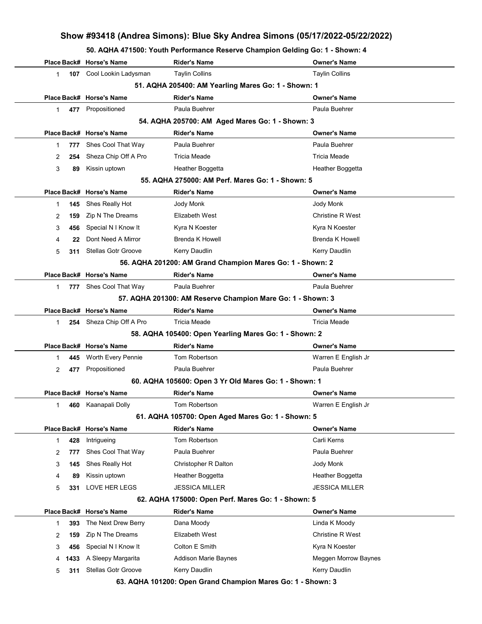50. AQHA 471500: Youth Performance Reserve Champion Gelding Go: 1 - Shown: 4

|    |      | Place Back# Horse's Name   | <b>Rider's Name</b>                                         | <b>Owner's Name</b>     |
|----|------|----------------------------|-------------------------------------------------------------|-------------------------|
| 1  |      | 107 Cool Lookin Ladysman   | <b>Taylin Collins</b>                                       | <b>Taylin Collins</b>   |
|    |      |                            | 51. AQHA 205400: AM Yearling Mares Go: 1 - Shown: 1         |                         |
|    |      | Place Back# Horse's Name   | <b>Rider's Name</b>                                         | <b>Owner's Name</b>     |
| 1  |      | 477 Propositioned          | Paula Buehrer                                               | Paula Buehrer           |
|    |      |                            | 54. AQHA 205700: AM Aged Mares Go: 1 - Shown: 3             |                         |
|    |      | Place Back# Horse's Name   | <b>Rider's Name</b>                                         | <b>Owner's Name</b>     |
| 1  | 777  | Shes Cool That Way         | Paula Buehrer                                               | Paula Buehrer           |
| 2  | 254  | Sheza Chip Off A Pro       | <b>Tricia Meade</b>                                         | <b>Tricia Meade</b>     |
| 3  | 89   | Kissin uptown              | Heather Boggetta                                            | Heather Boggetta        |
|    |      |                            | 55. AQHA 275000: AM Perf. Mares Go: 1 - Shown: 5            |                         |
|    |      | Place Back# Horse's Name   | <b>Rider's Name</b>                                         | <b>Owner's Name</b>     |
| 1  | 145  | Shes Really Hot            | Jody Monk                                                   | Jody Monk               |
| 2  | 159  | Zip N The Dreams           | Elizabeth West                                              | <b>Christine R West</b> |
| 3  | 456  | Special N I Know It        | Kyra N Koester                                              | Kyra N Koester          |
| 4  | 22   | Dont Need A Mirror         | <b>Brenda K Howell</b>                                      | <b>Brenda K Howell</b>  |
| 5  | 311  | <b>Stellas Gotr Groove</b> | Kerry Daudlin                                               | Kerry Daudlin           |
|    |      |                            | 56. AQHA 201200: AM Grand Champion Mares Go: 1 - Shown: 2   |                         |
|    |      | Place Back# Horse's Name   | <b>Rider's Name</b>                                         | <b>Owner's Name</b>     |
| 1  |      | 777 Shes Cool That Way     | Paula Buehrer                                               | Paula Buehrer           |
|    |      |                            | 57. AQHA 201300: AM Reserve Champion Mare Go: 1 - Shown: 3  |                         |
|    |      | Place Back# Horse's Name   | <b>Rider's Name</b>                                         | <b>Owner's Name</b>     |
| 1. |      | 254 Sheza Chip Off A Pro   | Tricia Meade                                                | <b>Tricia Meade</b>     |
|    |      |                            | 58. AQHA 105400: Open Yearling Mares Go: 1 - Shown: 2       |                         |
|    |      | Place Back# Horse's Name   | <b>Rider's Name</b>                                         | <b>Owner's Name</b>     |
| 1  | 445  | Worth Every Pennie         | Tom Robertson                                               | Warren E English Jr     |
| 2  | 477  | Propositioned              | Paula Buehrer                                               | Paula Buehrer           |
|    |      |                            | 60. AQHA 105600: Open 3 Yr Old Mares Go: 1 - Shown: 1       |                         |
|    |      | Place Back# Horse's Name   | <b>Rider's Name</b>                                         | <b>Owner's Name</b>     |
| 1  | 460  | Kaanapali Dolly            | Tom Robertson                                               | Warren E English Jr     |
|    |      |                            | 61. AQHA 105700: Open Aged Mares Go: 1 - Shown: 5           |                         |
|    |      | Place Back# Horse's Name   | <b>Rider's Name</b>                                         | <b>Owner's Name</b>     |
| 1  | 428  | Intrigueing                | Tom Robertson                                               | Carli Kerns             |
| 2  | 777  | Shes Cool That Way         | Paula Buehrer                                               | Paula Buehrer           |
| 3  | 145  | Shes Really Hot            | Christopher R Dalton                                        | Jody Monk               |
| 4  | 89   | Kissin uptown              | Heather Boggetta                                            | Heather Boggetta        |
| 5  | 331  | <b>LOVE HER LEGS</b>       | <b>JESSICA MILLER</b>                                       | <b>JESSICA MILLER</b>   |
|    |      |                            | 62. AQHA 175000: Open Perf. Mares Go: 1 - Shown: 5          |                         |
|    |      | Place Back# Horse's Name   | <b>Rider's Name</b>                                         | <b>Owner's Name</b>     |
| 1  | 393  | The Next Drew Berry        | Dana Moody                                                  | Linda K Moody           |
| 2  | 159  | Zip N The Dreams           | Elizabeth West                                              | <b>Christine R West</b> |
| 3  | 456  | Special N I Know It        | Colton E Smith                                              | Kyra N Koester          |
| 4  | 1433 | A Sleepy Margarita         | <b>Addison Marie Baynes</b>                                 | Meggen Morrow Baynes    |
| 5  | 311  | <b>Stellas Gotr Groove</b> | Kerry Daudlin                                               | Kerry Daudlin           |
|    |      |                            | 63. AQHA 101200: Open Grand Champion Mares Go: 1 - Shown: 3 |                         |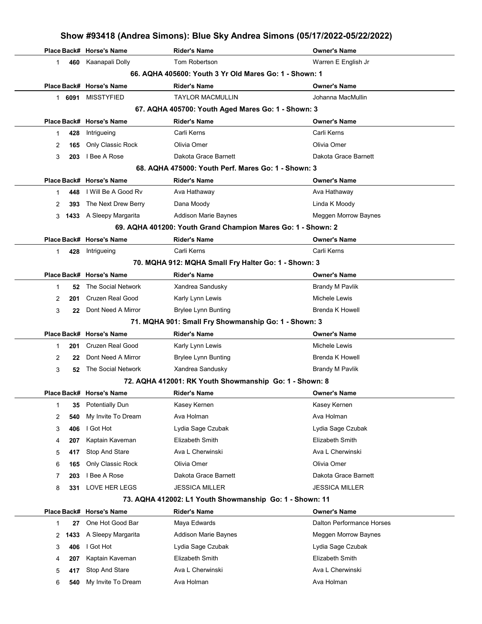|   |        |                          |                                                              | Show #93418 (Andrea Simons): Blue Sky Andrea Simons (05/17/2022-05/22/2022) |
|---|--------|--------------------------|--------------------------------------------------------------|-----------------------------------------------------------------------------|
|   |        | Place Back# Horse's Name | <b>Rider's Name</b>                                          | <b>Owner's Name</b>                                                         |
| 1 | 460    | Kaanapali Dolly          | Tom Robertson                                                | Warren E English Jr                                                         |
|   |        |                          | 66. AQHA 405600: Youth 3 Yr Old Mares Go: 1 - Shown: 1       |                                                                             |
|   |        | Place Back# Horse's Name | Rider's Name                                                 | <b>Owner's Name</b>                                                         |
|   | 1 6091 | <b>MISSTYFIED</b>        | <b>TAYLOR MACMULLIN</b>                                      | Johanna MacMullin                                                           |
|   |        |                          | 67. AQHA 405700: Youth Aged Mares Go: 1 - Shown: 3           |                                                                             |
|   |        | Place Back# Horse's Name | <b>Rider's Name</b>                                          | Owner's Name                                                                |
| 1 | 428    | Intrigueing              | Carli Kerns                                                  | Carli Kerns                                                                 |
| 2 | 165    | Only Classic Rock        | Olivia Omer                                                  | Olivia Omer                                                                 |
| 3 | 203    | I Bee A Rose             | Dakota Grace Barnett                                         | Dakota Grace Barnett                                                        |
|   |        |                          | 68. AQHA 475000: Youth Perf. Mares Go: 1 - Shown: 3          |                                                                             |
|   |        | Place Back# Horse's Name | Rider's Name                                                 | <b>Owner's Name</b>                                                         |
| 1 | 448    | I Will Be A Good Rv      | Ava Hathaway                                                 | Ava Hathaway                                                                |
| 2 | 393    | The Next Drew Berry      | Dana Moody                                                   | Linda K Moody                                                               |
| 3 | 1433   | A Sleepy Margarita       | Addison Marie Baynes                                         | Meggen Morrow Baynes                                                        |
|   |        |                          | 69. AQHA 401200: Youth Grand Champion Mares Go: 1 - Shown: 2 |                                                                             |
|   |        | Place Back# Horse's Name | <b>Rider's Name</b>                                          | <b>Owner's Name</b>                                                         |
| 1 | 428    | Intrigueing              | Carli Kerns                                                  | Carli Kerns                                                                 |
|   |        |                          | 70. MQHA 912: MQHA Small Fry Halter Go: 1 - Shown: 3         |                                                                             |
|   |        | Place Back# Horse's Name | Rider's Name                                                 | Owner's Name                                                                |
| 1 | 52     | The Social Network       | Xandrea Sandusky                                             | <b>Brandy M Pavlik</b>                                                      |
| 2 | 201    | Cruzen Real Good         | Karly Lynn Lewis                                             | Michele Lewis                                                               |
| 3 | 22     | Dont Need A Mirror       | <b>Brylee Lynn Bunting</b>                                   | <b>Brenda K Howell</b>                                                      |
|   |        |                          | 71. MQHA 901: Small Fry Showmanship Go: 1 - Shown: 3         |                                                                             |
|   |        | Place Back# Horse's Name | <b>Rider's Name</b>                                          | Owner's Name                                                                |
| 1 | 201    | Cruzen Real Good         | Karly Lynn Lewis                                             | Michele Lewis                                                               |
| 2 | 22     | Dont Need A Mirror       | <b>Brylee Lynn Bunting</b>                                   | Brenda K Howell                                                             |
| 3 | 52     | The Social Network       | Xandrea Sandusky                                             | <b>Brandy M Pavlik</b>                                                      |
|   |        |                          | 72. AQHA 412001: RK Youth Showmanship  Go: 1 - Shown: 8      |                                                                             |
|   |        | Place Back# Horse's Name | <b>Rider's Name</b>                                          | Owner's Name                                                                |
| 1 | 35     | <b>Potentially Dun</b>   | Kasey Kernen                                                 | Kasey Kernen                                                                |
| 2 | 540    | My Invite To Dream       | Ava Holman                                                   | Ava Holman                                                                  |
| 3 | 406    | I Got Hot                | Lydia Sage Czubak                                            | Lydia Sage Czubak                                                           |
| 4 | 207    | Kaptain Kaveman          | Elizabeth Smith                                              | Elizabeth Smith                                                             |
| 5 | 417    | Stop And Stare           | Ava L Cherwinski                                             | Ava L Cherwinski                                                            |
| 6 | 165    | Only Classic Rock        | Olivia Omer                                                  | Olivia Omer                                                                 |
| 7 | 203    | I Bee A Rose             | Dakota Grace Barnett                                         | Dakota Grace Barnett                                                        |
|   |        | LOVE HER LEGS            | <b>JESSICA MILLER</b>                                        | <b>JESSICA MILLER</b>                                                       |
| 8 | 331    |                          |                                                              |                                                                             |
|   |        |                          | 73. AQHA 412002: L1 Youth Showmanship Go: 1 - Shown: 11      |                                                                             |
|   |        | Place Back# Horse's Name | <b>Rider's Name</b>                                          | Owner's Name<br>Dalton Performance Horses                                   |
| 1 | 27     | One Hot Good Bar         | Maya Edwards                                                 |                                                                             |
| 2 | 1433   | A Sleepy Margarita       | Addison Marie Baynes                                         | Meggen Morrow Baynes                                                        |
| 3 | 406    | I Got Hot                | Lydia Sage Czubak                                            | Lydia Sage Czubak                                                           |
| 4 | 207    | Kaptain Kaveman          | Elizabeth Smith                                              | Elizabeth Smith                                                             |
| 5 | 417    | Stop And Stare           | Ava L Cherwinski                                             | Ava L Cherwinski                                                            |

6 540 My Invite To Dream Ava Holman Ava Holman Ava Holman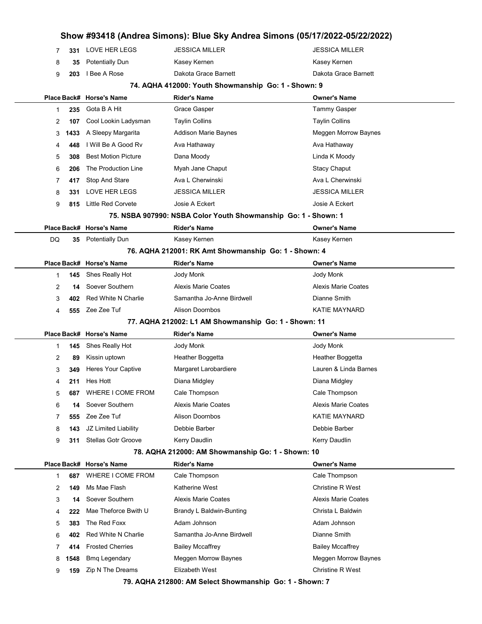|        |            |                                                |                                                                | Show #93418 (Andrea Simons): Blue Sky Andrea Simons (05/17/2022-05/22/2022) |
|--------|------------|------------------------------------------------|----------------------------------------------------------------|-----------------------------------------------------------------------------|
| 7      | 331        | LOVE HER LEGS                                  | <b>JESSICA MILLER</b>                                          | <b>JESSICA MILLER</b>                                                       |
| 8      | 35         | <b>Potentially Dun</b>                         | Kasey Kernen                                                   | Kasey Kernen                                                                |
| 9      | 203        | I Bee A Rose                                   | Dakota Grace Barnett                                           | Dakota Grace Barnett                                                        |
|        |            |                                                | 74. AQHA 412000: Youth Showmanship Go: 1 - Shown: 9            |                                                                             |
|        |            | Place Back# Horse's Name                       | <b>Rider's Name</b>                                            | <b>Owner's Name</b>                                                         |
| 1      | 235        | Gota B A Hit                                   | Grace Gasper                                                   | <b>Tammy Gasper</b>                                                         |
| 2      | 107        | Cool Lookin Ladysman                           | Taylin Collins                                                 | <b>Taylin Collins</b>                                                       |
| 3      | 1433       | A Sleepy Margarita                             | Addison Marie Baynes                                           | Meggen Morrow Baynes                                                        |
| 4      | 448        | I Will Be A Good Rv                            | Ava Hathaway                                                   | Ava Hathaway                                                                |
| 5      | 308        | <b>Best Motion Picture</b>                     | Dana Moody                                                     | Linda K Moody                                                               |
| 6      | 206        | The Production Line                            | Myah Jane Chaput                                               | <b>Stacy Chaput</b>                                                         |
| 7      | 417        | Stop And Stare                                 | Ava L Cherwinski                                               | Ava L Cherwinski                                                            |
| 8      | 331        | LOVE HER LEGS                                  | <b>JESSICA MILLER</b>                                          | <b>JESSICA MILLER</b>                                                       |
| 9      | 815        | <b>Little Red Corvete</b>                      | Josie A Eckert                                                 | Josie A Eckert                                                              |
|        |            |                                                | 75. NSBA 907990: NSBA Color Youth Showmanship Go: 1 - Shown: 1 |                                                                             |
|        |            | Place Back# Horse's Name                       | <b>Rider's Name</b>                                            | <b>Owner's Name</b>                                                         |
| DQ     |            | 35 Potentially Dun                             | Kasey Kernen                                                   | Kasey Kernen                                                                |
|        |            |                                                | 76. AQHA 212001: RK Amt Showmanship Go: 1 - Shown: 4           |                                                                             |
|        |            | Place Back# Horse's Name                       | Rider's Name                                                   | <b>Owner's Name</b>                                                         |
| 1      | 145        | Shes Really Hot                                | Jody Monk                                                      | Jody Monk                                                                   |
| 2      | 14         | Soever Southern                                | <b>Alexis Marie Coates</b>                                     | <b>Alexis Marie Coates</b>                                                  |
| 3      | 402        | Red White N Charlie                            | Samantha Jo-Anne Birdwell                                      | Dianne Smith                                                                |
| 4      |            | 555 Zee Zee Tuf                                | <b>Alison Doornbos</b>                                         | <b>KATIE MAYNARD</b>                                                        |
|        |            |                                                | 77. AQHA 212002: L1 AM Showmanship Go: 1 - Shown: 11           |                                                                             |
|        |            | Place Back# Horse's Name                       | <b>Rider's Name</b>                                            | <b>Owner's Name</b>                                                         |
| 1      | 145        | Shes Really Hot                                | Jody Monk                                                      | Jody Monk                                                                   |
| 2      | 89         | Kissin uptown                                  | Heather Boggetta                                               | Heather Boggetta                                                            |
| 3      | 349        | Heres Your Captive                             | Margaret Larobardiere                                          | Lauren & Linda Barnes                                                       |
| 4      | 211        | Hes Hott                                       | Diana Midgley                                                  | Diana Midgley                                                               |
| 5      | 687        | WHERE I COME FROM                              | Cale Thompson                                                  | Cale Thompson                                                               |
| 6      | 14         | Soever Southern                                | Alexis Marie Coates                                            | <b>Alexis Marie Coates</b>                                                  |
| 7      | 555        | Zee Zee Tuf                                    | <b>Alison Doornbos</b>                                         | <b>KATIE MAYNARD</b>                                                        |
| 8      | 143        | JZ Limited Liability                           | Debbie Barber                                                  | Debbie Barber                                                               |
| 9      | 311        | <b>Stellas Gotr Groove</b>                     | Kerry Daudlin                                                  | Kerry Daudlin                                                               |
|        |            |                                                | 78. AQHA 212000: AM Showmanship Go: 1 - Shown: 10              |                                                                             |
|        |            | Place Back# Horse's Name<br>WHERE I COME FROM  | Rider's Name<br>Cale Thompson                                  | <b>Owner's Name</b><br>Cale Thompson                                        |
| 1      | 687<br>149 | Ms Mae Flash                                   | Katherine West                                                 | <b>Christine R West</b>                                                     |
| 2<br>3 | 14         | Soever Southern                                | Alexis Marie Coates                                            | <b>Alexis Marie Coates</b>                                                  |
|        | 222        | Mae Theforce Bwith U                           | Brandy L Baldwin-Bunting                                       | Christa L Baldwin                                                           |
| 4      |            | The Red Foxx                                   | Adam Johnson                                                   | Adam Johnson                                                                |
| 5      | 383        |                                                |                                                                |                                                                             |
| 6      | 402        | Red White N Charlie<br><b>Frosted Cherries</b> | Samantha Jo-Anne Birdwell                                      | Dianne Smith                                                                |
| 7      | 414        |                                                | <b>Bailey Mccaffrey</b>                                        | <b>Bailey Mccaffrey</b>                                                     |
| 8      | 1548       | <b>Bmq Legendary</b>                           | Meggen Morrow Baynes                                           | Meggen Morrow Baynes                                                        |
| 9      | 159        | Zip N The Dreams                               | Elizabeth West                                                 | <b>Christine R West</b>                                                     |
|        |            |                                                | 79. AQHA 212800: AM Select Showmanship Go: 1 - Shown: 7        |                                                                             |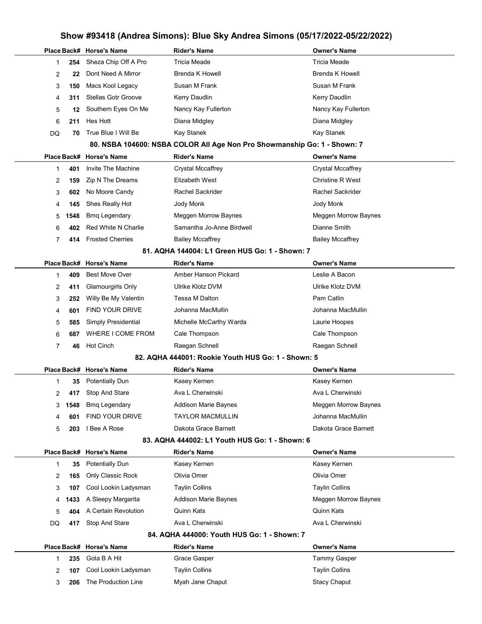# Show #93418 (Andrea Simons): Blue Sky Andrea Simons (05/17/2022-05/22/2022) Place Back# Horse's Name Rider's Name Owner's Name 1 254 Sheza Chip Off A Pro Tricia Meade Tricia Meade Tricia Meade 2 22 Dont Need A Mirror Brenda K Howell **Brenda K Howell** Brenda K Howell 3 150 Macs Kool Legacy Susan M Frank Susan M Frank Susan M Frank 4 311 Stellas Gotr Groove Kerry Daudlin Kerry Daudlin Kerry Daudlin 5 12 Southern Eyes On Me Nancy Kay Fullerton Nancy Kay Fullerton 6 211 Hes Hott Diana Midgley Diana Midgley DQ 70 True Blue I Will Be Kay Stanek Kay Stanek Kay Stanek Kay Stanek 80. NSBA 104600: NSBA COLOR All Age Non Pro Showmanship Go: 1 - Shown: 7 Place Back# Horse's Name Rider's Name Owner's Name 1 **401** Invite The Machine Crystal Mccaffrey Crystal Mccaffrey Crystal Mccaffrey 2 159 Zip N The Dreams Elizabeth West Christine R West 3 602 No Moore Candy **Rachel Sackrider** Rachel Sackrider Rachel Sackrider 4 145 Shes Really Hot Jody Monk Jody Monk 5 1548 Bmq Legendary **Meggen Morrow Baynes** Morrow Baynes Meggen Morrow Baynes 6 402 Red White N Charlie Samantha Jo-Anne Birdwell Dianne Smith 7 414 Frosted Cherries Bailey Mccaffrey Bailey Mccaffrey Bailey Mccaffrey 81. AQHA 144004: L1 Green HUS Go: 1 - Shown: 7 Place Back# Horse's Name Rider's Name Owner's Name 1 **409** Best Move Over **Amber Hanson Pickard Leslie A Bacon** 2 **411** Glamourgirls Only **DRIG ULTAING ULTAING ULTAING ULTAING ULTAING ULTAING ULTAING ULTAING UPPER** 3 252 Willy Be My Valentin Tessa M Dalton **Pam Catlin** Pam Catlin 4 **601** FIND YOUR DRIVE Johanna MacMullin Johanna MacMullin 5 585 Simply Presidential Michelle McCarthy Warda Laurie Hoopes 6 687 WHERE I COME FROM Cale Thompson Cale Thompson 7 46 Hot Cinch **Raegan Schnell** Raegan Schnell Raegan Schnell Raegan Schnell Raegan Schnell 82. AQHA 444001: Rookie Youth HUS Go: 1 - Shown: 5 Place Back# Horse's Name Rider's Name Owner's Name 1 35 Potentially Dun Kasey Kernen Kasey Kernen Kasey Kernen Kasey Kernen 2 417 Stop And Stare **Ava L Cherwinski** Ava L Cherwinski Ava L Cherwinski 3 1548 Bmq Legendary **Addison Marie Baynes** Meggen Morrow Baynes 4 601 FIND YOUR DRIVE TAYLOR MACMULLIN CONTROLLER Johanna MacMullin 5 203 I Bee A Rose Dakota Grace Barnett Dakota Grace Barnett 83. AQHA 444002: L1 Youth HUS Go: 1 - Shown: 6 Place Back# Horse's Name **Rider's Name Communist Accord Place Accord Communist Communist Place Back** 1 35 Potentially Dun Kasey Kernen Kasey Kernen 2 165 Only Classic Rock Olivia Omer Olivia Omer 3 107 Cool Lookin Ladysman Taylin Collins Taylin Collins 4 1433 A Sleepy Margarita Addison Marie Baynes Marchael Meggen Morrow Baynes 5 404 A Certain Revolution Quinn Kats Quinn Kats DQ 417 Stop And Stare Ava L Cherwinski Ava L Cherwinski Ava L Cherwinski 84. AQHA 444000: Youth HUS Go: 1 - Shown: 7 Place Back# Horse's Name **Rider's Name Communist Communist Communist** Communist Place Back America Communist Pla 1 235 Gota B A Hit Grace Gasper Controller Controller Controller Casper Tammy Gasper 2 107 Cool Lookin Ladysman Taylin Collins Taylin Collins Taylin Collins 3 206 The Production Line Myah Jane Chaput Stacy Chaput Stacy Chaput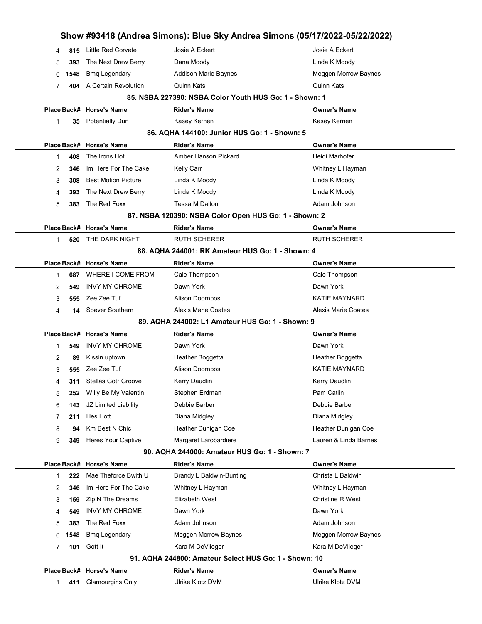|    |      |                            |                                                        | Show #93418 (Andrea Simons): Blue Sky Andrea Simons (05/17/2022-05/22/2022) |
|----|------|----------------------------|--------------------------------------------------------|-----------------------------------------------------------------------------|
| 4  | 815  | Little Red Corvete         | Josie A Eckert                                         | Josie A Eckert                                                              |
| 5  | 393  | The Next Drew Berry        | Dana Moody                                             | Linda K Moody                                                               |
| 6  | 1548 | <b>Bmq Legendary</b>       | <b>Addison Marie Baynes</b>                            | <b>Meggen Morrow Baynes</b>                                                 |
| 7  | 404  | A Certain Revolution       | Quinn Kats                                             | Quinn Kats                                                                  |
|    |      |                            | 85. NSBA 227390: NSBA Color Youth HUS Go: 1 - Shown: 1 |                                                                             |
|    |      | Place Back# Horse's Name   | <b>Rider's Name</b>                                    | <b>Owner's Name</b>                                                         |
| 1  | 35   | <b>Potentially Dun</b>     | Kasey Kernen                                           | Kasey Kernen                                                                |
|    |      |                            | 86. AQHA 144100: Junior HUS Go: 1 - Shown: 5           |                                                                             |
|    |      | Place Back# Horse's Name   | <b>Rider's Name</b>                                    | <b>Owner's Name</b>                                                         |
| 1  | 408  | The Irons Hot              | Amber Hanson Pickard                                   | Heidi Marhofer                                                              |
| 2  | 346  | Im Here For The Cake       | Kelly Carr                                             | Whitney L Hayman                                                            |
| 3  | 308  | <b>Best Motion Picture</b> | Linda K Moody                                          | Linda K Moody                                                               |
| 4  | 393  | The Next Drew Berry        | Linda K Moody                                          | Linda K Moody                                                               |
| 5  | 383  | The Red Foxx               | Tessa M Dalton                                         | Adam Johnson                                                                |
|    |      |                            | 87. NSBA 120390: NSBA Color Open HUS Go: 1 - Shown: 2  |                                                                             |
|    |      | Place Back# Horse's Name   | <b>Rider's Name</b>                                    | <b>Owner's Name</b>                                                         |
| 1. | 520  | THE DARK NIGHT             | <b>RUTH SCHERER</b>                                    | <b>RUTH SCHERER</b>                                                         |
|    |      |                            | 88. AQHA 244001: RK Amateur HUS Go: 1 - Shown: 4       |                                                                             |
|    |      | Place Back# Horse's Name   | <b>Rider's Name</b>                                    | <b>Owner's Name</b>                                                         |
| 1  | 687  | WHERE I COME FROM          | Cale Thompson                                          | Cale Thompson                                                               |
| 2  | 549  | <b>INVY MY CHROME</b>      | Dawn York                                              | Dawn York                                                                   |
| 3  | 555  | Zee Zee Tuf                | <b>Alison Doornbos</b>                                 | <b>KATIE MAYNARD</b>                                                        |
| 4  | 14   | Soever Southern            | <b>Alexis Marie Coates</b>                             | Alexis Marie Coates                                                         |
|    |      |                            | 89. AQHA 244002: L1 Amateur HUS Go: 1 - Shown: 9       |                                                                             |
|    |      | Place Back# Horse's Name   | <b>Rider's Name</b>                                    | <b>Owner's Name</b>                                                         |
| 1  | 549  | <b>INVY MY CHROME</b>      | Dawn York                                              | Dawn York                                                                   |
| 2  | 89   | Kissin uptown              | Heather Boggetta                                       | Heather Boggetta                                                            |
| 3  | 555  | Zee Zee Tuf                | <b>Alison Doornbos</b>                                 | <b>KATIE MAYNARD</b>                                                        |
| 4  | 311  | <b>Stellas Gotr Groove</b> | Kerry Daudlin                                          | Kerry Daudlin                                                               |
| 5  | 252  | Willy Be My Valentin       | Stephen Erdman                                         | Pam Catlin                                                                  |
| 6  | 143  | JZ Limited Liability       | Debbie Barber                                          | Debbie Barber                                                               |
| 7  | 211  | Hes Hott                   | Diana Midgley                                          | Diana Midgley                                                               |
| 8  | 94   | Km Best N Chic             | Heather Dunigan Coe                                    | Heather Dunigan Coe                                                         |
| 9  | 349  | <b>Heres Your Captive</b>  | Margaret Larobardiere                                  | Lauren & Linda Barnes                                                       |
|    |      |                            | 90. AQHA 244000: Amateur HUS Go: 1 - Shown: 7          |                                                                             |
|    |      | Place Back# Horse's Name   | <b>Rider's Name</b>                                    | <b>Owner's Name</b>                                                         |
| 1  | 222  | Mae Theforce Bwith U       | Brandy L Baldwin-Bunting                               | Christa L Baldwin                                                           |
| 2  | 346  | Im Here For The Cake       | Whitney L Hayman                                       | Whitney L Hayman                                                            |
| 3  | 159  | Zip N The Dreams           | Elizabeth West                                         | <b>Christine R West</b>                                                     |
| 4  | 549  | <b>INVY MY CHROME</b>      | Dawn York                                              | Dawn York                                                                   |
| 5  | 383  | The Red Foxx               | Adam Johnson                                           | Adam Johnson                                                                |
| 6  | 1548 | <b>Bmq Legendary</b>       | Meggen Morrow Baynes                                   | Meggen Morrow Baynes                                                        |
| 7  | 101  | Gott It                    | Kara M DeVlieger                                       | Kara M DeVlieger                                                            |
|    |      |                            | 91. AQHA 244800: Amateur Select HUS Go: 1 - Shown: 10  |                                                                             |
|    |      | Place Back# Horse's Name   | <b>Rider's Name</b>                                    | <b>Owner's Name</b>                                                         |
| 1. | 411  | Glamourgirls Only          | Ulrike Klotz DVM                                       | Ulrike Klotz DVM                                                            |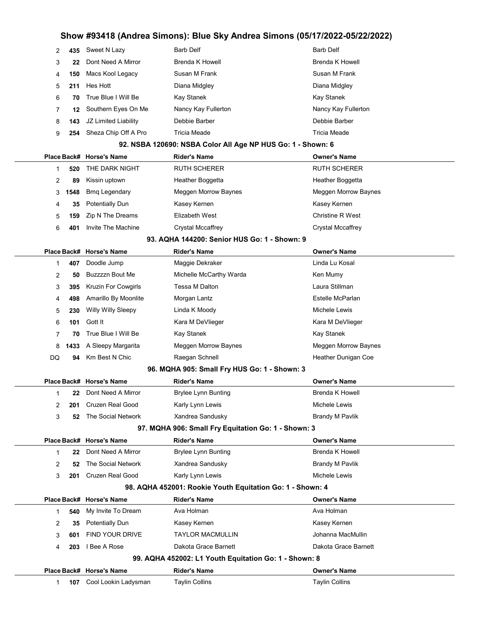|              |             |                                | $100 + 10$ (Andrea Unions). Dido Oky Andrea Unions (VOITITED |                                       |
|--------------|-------------|--------------------------------|--------------------------------------------------------------|---------------------------------------|
| 2            | 435         | Sweet N Lazy                   | <b>Barb Delf</b>                                             | <b>Barb Delf</b>                      |
| 3            | 22          | Dont Need A Mirror             | <b>Brenda K Howell</b>                                       | <b>Brenda K Howell</b>                |
| 4            | 150         | Macs Kool Legacy               | Susan M Frank                                                | Susan M Frank                         |
| 5            | 211         | Hes Hott                       | Diana Midgley                                                | Diana Midgley                         |
| 6            | 70          | True Blue I Will Be            | Kay Stanek                                                   | Kay Stanek                            |
| 7            | 12          | Southern Eyes On Me            | Nancy Kay Fullerton                                          | Nancy Kay Fullerton                   |
| 8            | 143         | JZ Limited Liability           | Debbie Barber                                                | Debbie Barber                         |
| 9            | 254         | Sheza Chip Off A Pro           | <b>Tricia Meade</b>                                          | <b>Tricia Meade</b>                   |
|              |             |                                | 92. NSBA 120690: NSBA Color All Age NP HUS Go: 1 - Shown: 6  |                                       |
|              |             | Place Back# Horse's Name       | <b>Rider's Name</b>                                          | <b>Owner's Name</b>                   |
| 1            | 520         | THE DARK NIGHT                 | <b>RUTH SCHERER</b>                                          | <b>RUTH SCHERER</b>                   |
| 2            | 89          | Kissin uptown                  | Heather Boggetta                                             | Heather Boggetta                      |
| 3            | 1548        | <b>Bmq Legendary</b>           | Meggen Morrow Baynes                                         | Meggen Morrow Baynes                  |
| 4            | 35          | <b>Potentially Dun</b>         | Kasey Kernen                                                 | Kasey Kernen                          |
| 5            | 159         | Zip N The Dreams               | Elizabeth West                                               | <b>Christine R West</b>               |
| 6            | 401         | Invite The Machine             | <b>Crystal Mccaffrey</b>                                     | <b>Crystal Mccaffrey</b>              |
|              |             |                                | 93. AQHA 144200: Senior HUS Go: 1 - Shown: 9                 |                                       |
|              |             |                                |                                                              |                                       |
|              | Place Back# | <b>Horse's Name</b>            | <b>Rider's Name</b>                                          | <b>Owner's Name</b><br>Linda Lu Kosal |
| 1            | 407         | Doodle Jump<br>Buzzzzn Bout Me | Maggie Dekraker                                              |                                       |
| 2            | 50          |                                | Michelle McCarthy Warda<br>Tessa M Dalton                    | Ken Mumy<br>Laura Stillman            |
| 3            | 395         | Kruzin For Cowgirls            |                                                              |                                       |
| 4            | 498         | Amarillo By Moonlite           | Morgan Lantz                                                 | Estelle McParlan                      |
| 5            | 230         | Willy Willy Sleepy             | Linda K Moody                                                | Michele Lewis                         |
| 6            | 101         | Gott It                        | Kara M DeVlieger                                             | Kara M DeVlieger                      |
| 7            | 70          | True Blue I Will Be            | Kay Stanek                                                   | Kay Stanek                            |
| 8            | 1433        | A Sleepy Margarita             | Meggen Morrow Baynes                                         | Meggen Morrow Baynes                  |
| DQ           | 94          | Km Best N Chic                 | Raegan Schnell                                               | Heather Dunigan Coe                   |
|              |             |                                | 96. MQHA 905: Small Fry HUS Go: 1 - Shown: 3                 |                                       |
|              |             | Place Back# Horse's Name       | <b>Rider's Name</b>                                          | Owner's Name                          |
| 1            | 22          | Dont Need A Mirror             | <b>Brylee Lynn Bunting</b>                                   | Brenda K Howell                       |
| 2            | 201         | Cruzen Real Good               | Karly Lynn Lewis                                             | Michele Lewis                         |
| 3            | 52          | The Social Network             | Xandrea Sandusky                                             | <b>Brandy M Pavlik</b>                |
|              |             |                                | 97. MQHA 906: Small Fry Equitation Go: 1 - Shown: 3          |                                       |
|              |             | Place Back# Horse's Name       | <b>Rider's Name</b>                                          | <b>Owner's Name</b>                   |
| $\mathbf{1}$ | 22          | Dont Need A Mirror             | <b>Brylee Lynn Bunting</b>                                   | <b>Brenda K Howell</b>                |
| 2            | 52          | The Social Network             | Xandrea Sandusky                                             | <b>Brandy M Pavlik</b>                |
| 3            | 201         | Cruzen Real Good               | Karly Lynn Lewis                                             | Michele Lewis                         |
|              |             |                                | 98. AQHA 452001: Rookie Youth Equitation Go: 1 - Shown: 4    |                                       |
|              |             | Place Back# Horse's Name       | <b>Rider's Name</b>                                          | <b>Owner's Name</b>                   |
| $\mathbf 1$  | 540         | My Invite To Dream             | Ava Holman                                                   | Ava Holman                            |
| 2            | 35          | <b>Potentially Dun</b>         | Kasey Kernen                                                 | Kasey Kernen                          |
| 3            | 601         | <b>FIND YOUR DRIVE</b>         | <b>TAYLOR MACMULLIN</b>                                      | Johanna MacMullin                     |
| 4            | 203         | I Bee A Rose                   | Dakota Grace Barnett                                         | Dakota Grace Barnett                  |
|              |             |                                | 99. AQHA 452002: L1 Youth Equitation Go: 1 - Shown: 8        |                                       |
|              |             | Place Back# Horse's Name       | <b>Rider's Name</b>                                          | <b>Owner's Name</b>                   |
| 1.           | 107         | Cool Lookin Ladysman           | <b>Taylin Collins</b>                                        | <b>Taylin Collins</b>                 |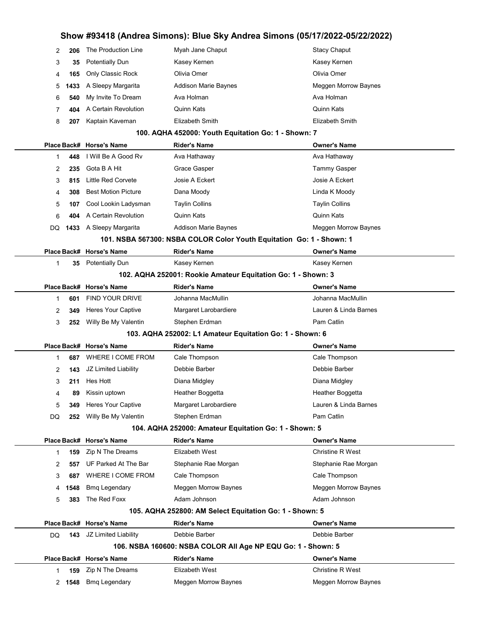| 2 | 206  | The Production Line        | Myah Jane Chaput                                    | <b>Stacy Chaput</b>  |
|---|------|----------------------------|-----------------------------------------------------|----------------------|
| 3 | 35   | <b>Potentially Dun</b>     | Kasey Kernen                                        | Kasey Kernen         |
| 4 | 165  | Only Classic Rock          | Olivia Omer                                         | Olivia Omer          |
| 5 | 1433 | A Sleepy Margarita         | <b>Addison Marie Baynes</b>                         | Meggen Morrow Baynes |
| 6 | 540  | My Invite To Dream         | Ava Holman                                          | Ava Holman           |
|   |      | 404 A Certain Revolution   | Quinn Kats                                          | <b>Quinn Kats</b>    |
| 8 | 207  | Kaptain Kaveman            | Elizabeth Smith                                     | Elizabeth Smith      |
|   |      |                            | 100. AQHA 452000: Youth Equitation Go: 1 - Shown: 7 |                      |
|   |      | Place Back# Horse's Name   | <b>Rider's Name</b>                                 | <b>Owner's Name</b>  |
|   | 448  | I Will Be A Good Rv        | Ava Hathaway                                        | Ava Hathaway         |
| 2 | 235  | Gota B A Hit               | Grace Gasper                                        | Tammy Gasper         |
| 3 | 815  | Little Red Corvete         | Josie A Eckert                                      | Josie A Eckert       |
| 4 | 308  | <b>Best Motion Picture</b> | Dana Moody                                          | Linda K Moody        |

|     | Place Back# Horse's Name | Rider's Name          | <b>Owner's Name</b>   |
|-----|--------------------------|-----------------------|-----------------------|
|     | 601 FIND YOUR DRIVE      | Johanna MacMullin     | Johanna MacMullin     |
| 349 | Heres Your Captive       | Margaret Larobardiere | Lauren & Linda Barnes |
|     | 252 Willy Be My Valentin | Stephen Erdman        | Pam Catlin            |

**107** Cool Lookin Ladysman Taylin Collins **Taylin Collins** Taylin Collins 404 A Certain Revolution Quinn Kats Quinn Kats

Place Back# Horse's Name Rider's Name Owner's Name 35 Potentially Dun Kasey Kernen Kasey Kernen

DQ 1433 A Sleepy Margarita Addison Marie Baynes Meggen Morrow Baynes 101. NSBA 567300: NSBA COLOR Color Youth Equitation Go: 1 - Shown: 1

#### 103. AQHA 252002: L1 Amateur Equitation Go: 1 - Shown: 6

102. AQHA 252001: Rookie Amateur Equitation Go: 1 - Shown: 3

|                                                       |     | Place Back# Horse's Name  | <b>Rider's Name</b>   | <b>Owner's Name</b>   |  |  |  |
|-------------------------------------------------------|-----|---------------------------|-----------------------|-----------------------|--|--|--|
|                                                       | 687 | WHERE I COME FROM         | Cale Thompson         | Cale Thompson         |  |  |  |
| 2                                                     | 143 | JZ Limited Liability      | Debbie Barber         | Debbie Barber         |  |  |  |
| 3                                                     | 211 | Hes Hott                  | Diana Midgley         | Diana Midgley         |  |  |  |
| 4                                                     | 89  | Kissin uptown             | Heather Boggetta      | Heather Boggetta      |  |  |  |
| 5                                                     | 349 | <b>Heres Your Captive</b> | Margaret Larobardiere | Lauren & Linda Barnes |  |  |  |
| DQ                                                    | 252 | Willy Be My Valentin      | Stephen Erdman        | Pam Catlin            |  |  |  |
| 104. AQHA 252000: Amateur Equitation Go: 1 - Shown: 5 |     |                           |                       |                       |  |  |  |

|                                                         |        | Place Back# Horse's Name | <b>Rider's Name</b>  | <b>Owner's Name</b>     |  |  |  |
|---------------------------------------------------------|--------|--------------------------|----------------------|-------------------------|--|--|--|
|                                                         | 159    | Zip N The Dreams         | Elizabeth West       | <b>Christine R West</b> |  |  |  |
| $\mathcal{P}$                                           | 557    | UF Parked At The Bar     | Stephanie Rae Morgan | Stephanie Rae Morgan    |  |  |  |
| 3                                                       | 687    | WHERE I COME FROM        | Cale Thompson        | Cale Thompson           |  |  |  |
|                                                         | 4 1548 | <b>Bmg Legendary</b>     | Meggen Morrow Baynes | Meggen Morrow Baynes    |  |  |  |
| 5.                                                      | 383    | The Red Foxx             | Adam Johnson         | Adam Johnson            |  |  |  |
| 105. AQHA 252800: AM Select Equitation Go: 1 - Shown: 5 |        |                          |                      |                         |  |  |  |
|                                                         |        | Place Back# Horse's Name | <b>Rider's Name</b>  | <b>Owner's Name</b>     |  |  |  |

| DQ.                                                          |  | <b>143</b> JZ Limited Liability | Debbie Barber        | Debbie Barber           |  |  |  |
|--------------------------------------------------------------|--|---------------------------------|----------------------|-------------------------|--|--|--|
| 106. NSBA 160600: NSBA COLOR All Age NP EQU Go: 1 - Shown: 5 |  |                                 |                      |                         |  |  |  |
|                                                              |  | Place Back# Horse's Name        | <b>Rider's Name</b>  | <b>Owner's Name</b>     |  |  |  |
|                                                              |  | <b>159</b> Zip N The Dreams     | Elizabeth West       | <b>Christine R West</b> |  |  |  |
| $\mathcal{P}$                                                |  | <b>1548</b> Bmq Legendary       | Meggen Morrow Baynes | Meggen Morrow Baynes    |  |  |  |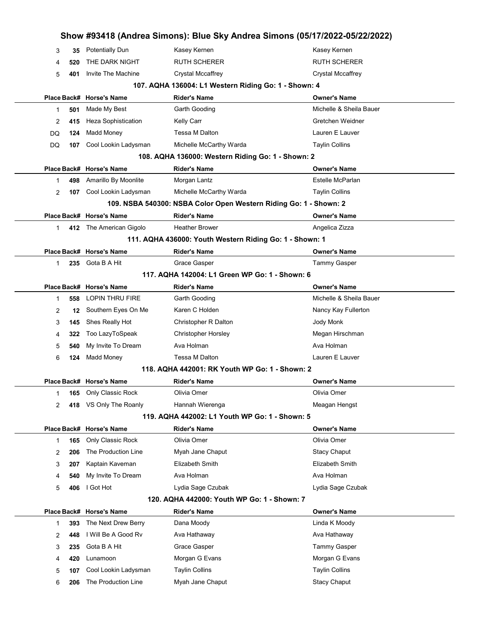|             |     |                          |                                                                   | Show #93418 (Andrea Simons): Blue Sky Andrea Simons (05/17/2022-05/22/2022) |  |
|-------------|-----|--------------------------|-------------------------------------------------------------------|-----------------------------------------------------------------------------|--|
| 3           | 35  | <b>Potentially Dun</b>   | Kasey Kernen                                                      | Kasey Kernen                                                                |  |
| 4           | 520 | THE DARK NIGHT           | RUTH SCHERER                                                      | RUTH SCHERER                                                                |  |
| 5           | 401 | Invite The Machine       | <b>Crystal Mccaffrey</b>                                          | <b>Crystal Mccaffrey</b>                                                    |  |
|             |     |                          | 107. AQHA 136004: L1 Western Riding Go: 1 - Shown: 4              |                                                                             |  |
|             |     | Place Back# Horse's Name | Rider's Name                                                      | Owner's Name                                                                |  |
| 1           | 501 | Made My Best             | Garth Gooding                                                     | Michelle & Sheila Bauer                                                     |  |
| 2           | 415 | Heza Sophistication      | Kelly Carr                                                        | Gretchen Weidner                                                            |  |
| DQ          | 124 | Madd Money               | Tessa M Dalton                                                    | Lauren E Lauver                                                             |  |
| DQ          | 107 | Cool Lookin Ladysman     | Michelle McCarthy Warda                                           | <b>Taylin Collins</b>                                                       |  |
|             |     |                          | 108. AQHA 136000: Western Riding Go: 1 - Shown: 2                 |                                                                             |  |
|             |     | Place Back# Horse's Name | <b>Rider's Name</b>                                               | Owner's Name                                                                |  |
| 1           | 498 | Amarillo By Moonlite     | Morgan Lantz                                                      | Estelle McParlan                                                            |  |
| 2           | 107 | Cool Lookin Ladysman     | Michelle McCarthy Warda                                           | <b>Taylin Collins</b>                                                       |  |
|             |     |                          | 109. NSBA 540300: NSBA Color Open Western Riding Go: 1 - Shown: 2 |                                                                             |  |
|             |     | Place Back# Horse's Name | <b>Rider's Name</b>                                               | <b>Owner's Name</b>                                                         |  |
| $\mathbf 1$ |     | 412 The American Gigolo  | <b>Heather Brower</b>                                             | Angelica Zizza                                                              |  |
|             |     |                          | 111. AQHA 436000: Youth Western Riding Go: 1 - Shown: 1           |                                                                             |  |
|             |     | Place Back# Horse's Name | <b>Rider's Name</b>                                               | Owner's Name                                                                |  |
| 1           |     | 235 Gota B A Hit         | Grace Gasper                                                      | <b>Tammy Gasper</b>                                                         |  |
|             |     |                          | 117. AQHA 142004: L1 Green WP Go: 1 - Shown: 6                    |                                                                             |  |
|             |     | Place Back# Horse's Name | <b>Rider's Name</b>                                               | Owner's Name                                                                |  |
| 1           | 558 | LOPIN THRU FIRE          | Garth Gooding                                                     | Michelle & Sheila Bauer                                                     |  |
| 2           | 12  | Southern Eyes On Me      | Karen C Holden                                                    | Nancy Kay Fullerton                                                         |  |
| 3           | 145 | Shes Really Hot          | Christopher R Dalton                                              | Jody Monk                                                                   |  |
| 4           | 322 | Too LazyToSpeak          | <b>Christopher Horsley</b>                                        | Megan Hirschman                                                             |  |
| 5           | 540 | My Invite To Dream       | Ava Holman                                                        | Ava Holman                                                                  |  |
| 6           | 124 | Madd Money               | <b>Tessa M Dalton</b>                                             | Lauren E Lauver                                                             |  |
|             |     |                          | 118. AQHA 442001: RK Youth WP Go: 1 - Shown: 2                    |                                                                             |  |
|             |     | Place Back# Horse's Name | <b>Rider's Name</b>                                               | Owner's Name                                                                |  |
| 1           | 165 | Only Classic Rock        | Olivia Omer                                                       | Olivia Omer                                                                 |  |
| 2           | 418 | VS Only The Roanly       | Hannah Wierenga                                                   | Meagan Hengst                                                               |  |
|             |     |                          | 119. AQHA 442002: L1 Youth WP Go: 1 - Shown: 5                    |                                                                             |  |
|             |     | Place Back# Horse's Name | <b>Rider's Name</b>                                               | <b>Owner's Name</b>                                                         |  |
| 1           | 165 | Only Classic Rock        | Olivia Omer                                                       | Olivia Omer                                                                 |  |
| 2           | 206 | The Production Line      | Myah Jane Chaput                                                  | <b>Stacy Chaput</b>                                                         |  |
| 3           | 207 | Kaptain Kaveman          | Elizabeth Smith                                                   | <b>Elizabeth Smith</b>                                                      |  |
| 4           | 540 | My Invite To Dream       | Ava Holman                                                        | Ava Holman                                                                  |  |
| 5           | 406 | I Got Hot                | Lydia Sage Czubak                                                 | Lydia Sage Czubak                                                           |  |
|             |     |                          | 120. AQHA 442000: Youth WP Go: 1 - Shown: 7                       |                                                                             |  |
|             |     | Place Back# Horse's Name | <b>Rider's Name</b>                                               | Owner's Name                                                                |  |
| 1           | 393 | The Next Drew Berry      | Dana Moody                                                        | Linda K Moody                                                               |  |
| 2           | 448 | I Will Be A Good Rv      | Ava Hathaway                                                      | Ava Hathaway                                                                |  |
| 3           | 235 | Gota B A Hit             | Grace Gasper                                                      | <b>Tammy Gasper</b>                                                         |  |
| 4           | 420 | Lunamoon                 | Morgan G Evans                                                    | Morgan G Evans                                                              |  |
| 5           | 107 | Cool Lookin Ladysman     | <b>Taylin Collins</b>                                             | <b>Taylin Collins</b>                                                       |  |
| 6           | 206 | The Production Line      | Myah Jane Chaput                                                  | <b>Stacy Chaput</b>                                                         |  |
|             |     |                          |                                                                   |                                                                             |  |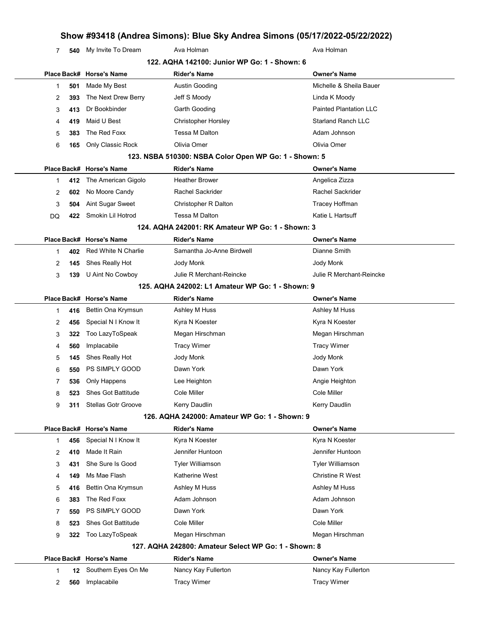**540** My Invite To Dream Ava Holman Ava Holman Ava Holman

|                |     |                            | 122. AQHA 142100: Junior WP Go: 1 - Shown: 6          |                               |
|----------------|-----|----------------------------|-------------------------------------------------------|-------------------------------|
|                |     | Place Back# Horse's Name   | Rider's Name                                          | <b>Owner's Name</b>           |
| 1              | 501 | Made My Best               | <b>Austin Gooding</b>                                 | Michelle & Sheila Bauer       |
| 2              | 393 | The Next Drew Berry        | Jeff S Moody                                          | Linda K Moody                 |
| 3              | 413 | Dr Bookbinder              | Garth Gooding                                         | <b>Painted Plantation LLC</b> |
| 4              | 419 | Maid U Best                | <b>Christopher Horsley</b>                            | <b>Starland Ranch LLC</b>     |
| 5              | 383 | The Red Foxx               | <b>Tessa M Dalton</b>                                 | Adam Johnson                  |
| 6              | 165 | Only Classic Rock          | Olivia Omer                                           | Olivia Omer                   |
|                |     |                            | 123. NSBA 510300: NSBA Color Open WP Go: 1 - Shown: 5 |                               |
|                |     | Place Back# Horse's Name   | <b>Rider's Name</b>                                   | <b>Owner's Name</b>           |
| 1              | 412 | The American Gigolo        | <b>Heather Brower</b>                                 | Angelica Zizza                |
| 2              | 602 | No Moore Candy             | Rachel Sackrider                                      | Rachel Sackrider              |
| 3              | 504 | Aint Sugar Sweet           | Christopher R Dalton                                  | Tracey Hoffman                |
| DQ             | 422 | Smokin Lil Hotrod          | <b>Tessa M Dalton</b>                                 | Katie L Hartsuff              |
|                |     |                            | 124. AQHA 242001: RK Amateur WP Go: 1 - Shown: 3      |                               |
|                |     | Place Back# Horse's Name   | <b>Rider's Name</b>                                   | <b>Owner's Name</b>           |
| 1              | 402 | Red White N Charlie        | Samantha Jo-Anne Birdwell                             | Dianne Smith                  |
| 2              | 145 | Shes Really Hot            | Jody Monk                                             | Jody Monk                     |
| 3              | 139 | U Aint No Cowboy           | Julie R Merchant-Reincke                              | Julie R Merchant-Reincke      |
|                |     |                            | 125. AQHA 242002: L1 Amateur WP Go: 1 - Shown: 9      |                               |
|                |     | Place Back# Horse's Name   | <b>Rider's Name</b>                                   | <b>Owner's Name</b>           |
| 1              | 416 | Bettin Ona Krymsun         | Ashley M Huss                                         | Ashley M Huss                 |
| 2              | 456 | Special N I Know It        | Kyra N Koester                                        | Kyra N Koester                |
| 3              | 322 | Too LazyToSpeak            | Megan Hirschman                                       | Megan Hirschman               |
| 4              | 560 | Implacabile                | <b>Tracy Wimer</b>                                    | <b>Tracy Wimer</b>            |
| 5              | 145 | Shes Really Hot            | Jody Monk                                             | Jody Monk                     |
| 6              | 550 | <b>PS SIMPLY GOOD</b>      | Dawn York                                             | Dawn York                     |
| 7              | 536 | Only Happens               | Lee Heighton                                          | Angie Heighton                |
| 8              | 523 | <b>Shes Got Battitude</b>  | Cole Miller                                           | Cole Miller                   |
| 9              | 311 | <b>Stellas Gotr Groove</b> | Kerry Daudlin                                         | Kerry Daudlin                 |
|                |     |                            | 126. AQHA 242000: Amateur WP Go: 1 - Shown: 9         |                               |
|                |     | Place Back# Horse's Name   | <b>Rider's Name</b>                                   | <b>Owner's Name</b>           |
| 1              | 456 | Special N I Know It        | Kyra N Koester                                        | Kyra N Koester                |
| 2              | 410 | Made It Rain               | Jennifer Huntoon                                      | Jennifer Huntoon              |
| 3              | 431 | She Sure Is Good           | <b>Tyler Williamson</b>                               | <b>Tyler Williamson</b>       |
| 4              | 149 | Ms Mae Flash               | <b>Katherine West</b>                                 | <b>Christine R West</b>       |
| 5              | 416 | Bettin Ona Krymsun         | Ashley M Huss                                         | Ashley M Huss                 |
| 6              | 383 | The Red Foxx               | Adam Johnson                                          | Adam Johnson                  |
| $\overline{7}$ | 550 | PS SIMPLY GOOD             | Dawn York                                             | Dawn York                     |
| 8              | 523 | <b>Shes Got Battitude</b>  | Cole Miller                                           | Cole Miller                   |
| 9              | 322 | Too LazyToSpeak            | Megan Hirschman                                       | Megan Hirschman               |
|                |     |                            | 127. AQHA 242800: Amateur Select WP Go: 1 - Shown: 8  |                               |
|                |     | Place Back# Horse's Name   | <b>Rider's Name</b>                                   | <b>Owner's Name</b>           |
| 1              | 12  | Southern Eyes On Me        | Nancy Kay Fullerton                                   | Nancy Kay Fullerton           |
| 2              | 560 | Implacabile                | <b>Tracy Wimer</b>                                    | <b>Tracy Wimer</b>            |
|                |     |                            |                                                       |                               |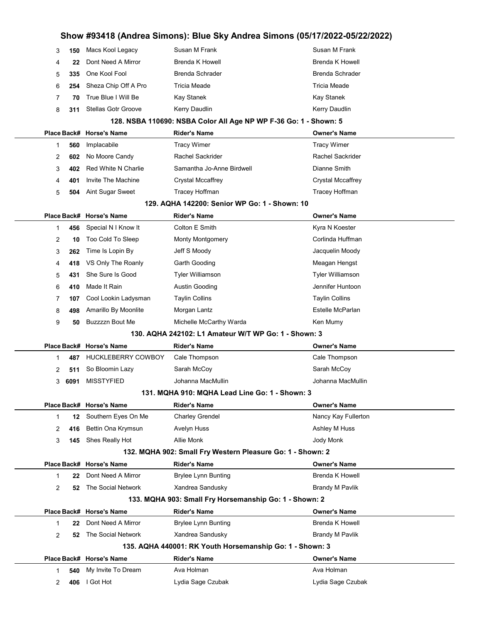|                |      |                                                      | Show #93418 (Andrea Simons): Blue Sky Andrea Simons (05/17/2022-05/22/2022) |                          |  |  |
|----------------|------|------------------------------------------------------|-----------------------------------------------------------------------------|--------------------------|--|--|
| 3              | 150  | Macs Kool Legacy                                     | Susan M Frank                                                               | Susan M Frank            |  |  |
| 4              | 22   | Dont Need A Mirror                                   | <b>Brenda K Howell</b>                                                      | <b>Brenda K Howell</b>   |  |  |
| 5              | 335  | One Kool Fool                                        | <b>Brenda Schrader</b>                                                      | <b>Brenda Schrader</b>   |  |  |
| 6              | 254  | Sheza Chip Off A Pro                                 | <b>Tricia Meade</b>                                                         | Tricia Meade             |  |  |
| 7              | 70   | True Blue I Will Be                                  | Kay Stanek                                                                  | Kay Stanek               |  |  |
| 8              | 311  | <b>Stellas Gotr Groove</b>                           | Kerry Daudlin                                                               | Kerry Daudlin            |  |  |
|                |      |                                                      | 128. NSBA 110690: NSBA Color All Age NP WP F-36 Go: 1 - Shown: 5            |                          |  |  |
|                |      | Place Back# Horse's Name                             | <b>Rider's Name</b>                                                         | <b>Owner's Name</b>      |  |  |
| 1              | 560  | Implacabile                                          | <b>Tracy Wimer</b>                                                          | <b>Tracy Wimer</b>       |  |  |
| 2              | 602  | No Moore Candy                                       | Rachel Sackrider                                                            | Rachel Sackrider         |  |  |
| 3              | 402  | <b>Red White N Charlie</b>                           | Samantha Jo-Anne Birdwell                                                   | Dianne Smith             |  |  |
| 4              | 401  | Invite The Machine                                   | Crystal Mccaffrey                                                           | <b>Crystal Mccaffrey</b> |  |  |
| 5              | 504  | Aint Sugar Sweet                                     | Tracey Hoffman                                                              | Tracey Hoffman           |  |  |
|                |      |                                                      | 129. AQHA 142200: Senior WP Go: 1 - Shown: 10                               |                          |  |  |
|                |      | Place Back# Horse's Name                             | <b>Rider's Name</b>                                                         | <b>Owner's Name</b>      |  |  |
| 1              | 456  | Special N I Know It                                  | Colton E Smith                                                              | Kyra N Koester           |  |  |
| 2              | 10   | Too Cold To Sleep                                    | <b>Monty Montgomery</b>                                                     | Corlinda Huffman         |  |  |
| 3              | 262  | Time Is Lopin By                                     | Jeff S Moody                                                                | Jacquelin Moody          |  |  |
| 4              | 418  | VS Only The Roanly                                   | Garth Gooding                                                               | Meagan Hengst            |  |  |
| 5              | 431  | She Sure Is Good                                     | Tyler Williamson                                                            | <b>Tyler Williamson</b>  |  |  |
| 6              | 410  | Made It Rain                                         | Austin Gooding                                                              | Jennifer Huntoon         |  |  |
| 7              | 107  | Cool Lookin Ladysman                                 | <b>Taylin Collins</b>                                                       | Taylin Collins           |  |  |
| 8              | 498  | Amarillo By Moonlite                                 | Morgan Lantz                                                                | Estelle McParlan         |  |  |
| 9              | 50   | <b>Buzzzzn Bout Me</b>                               | Michelle McCarthy Warda                                                     | Ken Mumy                 |  |  |
|                |      | 130. AQHA 242102: L1 Amateur W/T WP Go: 1 - Shown: 3 |                                                                             |                          |  |  |
|                |      | Place Back# Horse's Name                             | <b>Rider's Name</b>                                                         | <b>Owner's Name</b>      |  |  |
| 1              | 487  | <b>HUCKLEBERRY COWBOY</b>                            | Cale Thompson                                                               | Cale Thompson            |  |  |
| 2              | 511  | So Bloomin Lazy                                      | Sarah McCoy                                                                 | Sarah McCoy              |  |  |
| 3              | 6091 | <b>MISSTYFIED</b>                                    | Johanna MacMullin                                                           | Johanna MacMullin        |  |  |
|                |      |                                                      | 131. MQHA 910: MQHA Lead Line Go: 1 - Shown: 3                              |                          |  |  |
|                |      | Place Back# Horse's Name                             | <b>Rider's Name</b>                                                         | <b>Owner's Name</b>      |  |  |
| 1              |      | 12 Southern Eyes On Me                               | <b>Charley Grendel</b>                                                      | Nancy Kay Fullerton      |  |  |
| 2              | 416  | Bettin Ona Krymsun                                   | Avelyn Huss                                                                 | Ashley M Huss            |  |  |
| 3              | 145  | Shes Really Hot                                      | Allie Monk                                                                  | Jody Monk                |  |  |
|                |      |                                                      | 132. MQHA 902: Small Fry Western Pleasure Go: 1 - Shown: 2                  |                          |  |  |
|                |      | Place Back# Horse's Name                             | <b>Rider's Name</b>                                                         | <b>Owner's Name</b>      |  |  |
| 1              | 22   | Dont Need A Mirror                                   | <b>Brylee Lynn Bunting</b>                                                  | <b>Brenda K Howell</b>   |  |  |
| $\overline{c}$ | 52   | The Social Network                                   | Xandrea Sandusky                                                            | <b>Brandy M Pavlik</b>   |  |  |
|                |      |                                                      | 133. MQHA 903: Small Fry Horsemanship Go: 1 - Shown: 2                      |                          |  |  |
|                |      | Place Back# Horse's Name                             | <b>Rider's Name</b>                                                         | <b>Owner's Name</b>      |  |  |
| 1              | 22   | Dont Need A Mirror                                   | <b>Brylee Lynn Bunting</b>                                                  | <b>Brenda K Howell</b>   |  |  |
| 2              | 52   | The Social Network                                   | Xandrea Sandusky                                                            | Brandy M Pavlik          |  |  |
|                |      |                                                      | 135. AQHA 440001: RK Youth Horsemanship Go: 1 - Shown: 3                    |                          |  |  |
|                |      | Place Back# Horse's Name                             | <b>Rider's Name</b>                                                         | <b>Owner's Name</b>      |  |  |
| 1              | 540  | My Invite To Dream                                   | Ava Holman                                                                  | Ava Holman               |  |  |
| 2              | 406  | I Got Hot                                            | Lydia Sage Czubak                                                           | Lydia Sage Czubak        |  |  |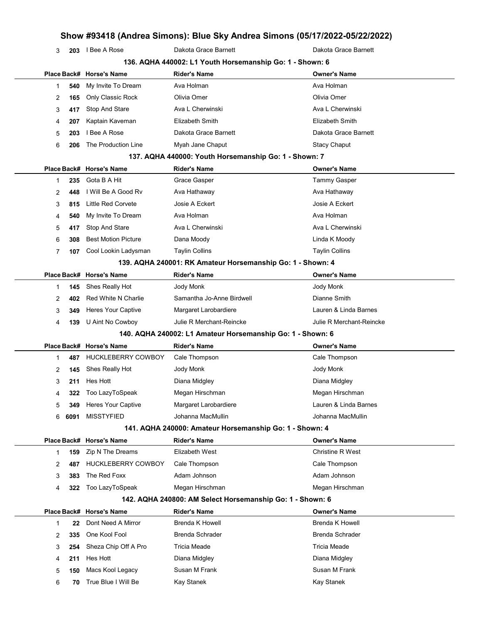3 203 I Bee A Rose **Dakota Grace Barnett** Dakota Grace Barnett

|                |      |                            | 136. AQHA 440002: L1 Youth Horsemanship Go: 1 - Shown: 6   |                          |
|----------------|------|----------------------------|------------------------------------------------------------|--------------------------|
|                |      | Place Back# Horse's Name   | Rider's Name                                               | <b>Owner's Name</b>      |
| 1              | 540  | My Invite To Dream         | Ava Holman                                                 | Ava Holman               |
| 2              | 165  | Only Classic Rock          | Olivia Omer                                                | Olivia Omer              |
| 3              | 417  | Stop And Stare             | Ava L Cherwinski                                           | Ava L Cherwinski         |
| 4              | 207  | Kaptain Kaveman            | Elizabeth Smith                                            | Elizabeth Smith          |
| 5              | 203  | I Bee A Rose               | Dakota Grace Barnett                                       | Dakota Grace Barnett     |
| 6              | 206  | The Production Line        | Myah Jane Chaput                                           | <b>Stacy Chaput</b>      |
|                |      |                            | 137. AQHA 440000: Youth Horsemanship Go: 1 - Shown: 7      |                          |
|                |      | Place Back# Horse's Name   | Rider's Name                                               | <b>Owner's Name</b>      |
| 1              | 235  | Gota B A Hit               | Grace Gasper                                               | <b>Tammy Gasper</b>      |
| 2              | 448  | I Will Be A Good Rv        | Ava Hathaway                                               | Ava Hathaway             |
| 3              | 815  | <b>Little Red Corvete</b>  | Josie A Eckert                                             | Josie A Eckert           |
| 4              | 540  | My Invite To Dream         | Ava Holman                                                 | Ava Holman               |
| 5              | 417  | Stop And Stare             | Ava L Cherwinski                                           | Ava L Cherwinski         |
| 6              | 308  | <b>Best Motion Picture</b> | Dana Moody                                                 | Linda K Moody            |
| $\overline{7}$ | 107  | Cool Lookin Ladysman       | <b>Taylin Collins</b>                                      | <b>Taylin Collins</b>    |
|                |      |                            | 139. AQHA 240001: RK Amateur Horsemanship Go: 1 - Shown: 4 |                          |
|                |      | Place Back# Horse's Name   | <b>Rider's Name</b>                                        | <b>Owner's Name</b>      |
| 1              | 145  | Shes Really Hot            | Jody Monk                                                  | Jody Monk                |
| 2              | 402  | Red White N Charlie        | Samantha Jo-Anne Birdwell                                  | Dianne Smith             |
| 3              | 349  | Heres Your Captive         | Margaret Larobardiere                                      | Lauren & Linda Barnes    |
| 4              | 139  | U Aint No Cowboy           | Julie R Merchant-Reincke                                   | Julie R Merchant-Reincke |
|                |      |                            | 140. AQHA 240002: L1 Amateur Horsemanship Go: 1 - Shown: 6 |                          |
|                |      | Place Back# Horse's Name   | <b>Rider's Name</b>                                        | <b>Owner's Name</b>      |
| 1              | 487  | <b>HUCKLEBERRY COWBOY</b>  | Cale Thompson                                              | Cale Thompson            |
| 2              | 145  | Shes Really Hot            | Jody Monk                                                  | Jody Monk                |
| 3              | 211  | Hes Hott                   | Diana Midgley                                              | Diana Midgley            |
| 4              | 322  | Too LazyToSpeak            | Megan Hirschman                                            | Megan Hirschman          |
| 5              | 349  | <b>Heres Your Captive</b>  | Margaret Larobardiere                                      | Lauren & Linda Barnes    |
| 6              | 6091 | <b>MISSTYFIED</b>          | Johanna MacMullin                                          | Johanna MacMullin        |
|                |      |                            | 141. AQHA 240000: Amateur Horsemanship Go: 1 - Shown: 4    |                          |
|                |      | Place Back# Horse's Name   | <b>Rider's Name</b>                                        | <b>Owner's Name</b>      |
| 1              | 159  | Zip N The Dreams           | Elizabeth West                                             | <b>Christine R West</b>  |
| 2              | 487  | <b>HUCKLEBERRY COWBOY</b>  | Cale Thompson                                              | Cale Thompson            |
| 3              | 383  | The Red Foxx               | Adam Johnson                                               | Adam Johnson             |
| 4              | 322  | Too LazyToSpeak            | Megan Hirschman                                            | Megan Hirschman          |
|                |      |                            | 142. AQHA 240800: AM Select Horsemanship Go: 1 - Shown: 6  |                          |
|                |      | Place Back# Horse's Name   | <b>Rider's Name</b>                                        | <b>Owner's Name</b>      |
| 1              | 22   | Dont Need A Mirror         | <b>Brenda K Howell</b>                                     | <b>Brenda K Howell</b>   |
| 2              | 335  | One Kool Fool              | <b>Brenda Schrader</b>                                     | <b>Brenda Schrader</b>   |
| 3              | 254  | Sheza Chip Off A Pro       | Tricia Meade                                               | Tricia Meade             |
| 4              | 211  | Hes Hott                   | Diana Midgley                                              | Diana Midgley            |
| 5              | 150  | Macs Kool Legacy           | Susan M Frank                                              | Susan M Frank            |
| 6              | 70   | True Blue I Will Be        | Kay Stanek                                                 | Kay Stanek               |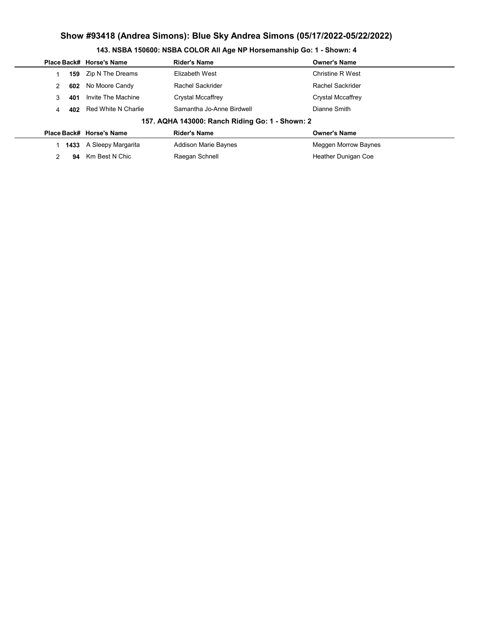|                                                 |      | Place Back# Horse's Name | <b>Rider's Name</b>         | <b>Owner's Name</b>     |  |  |  |  |
|-------------------------------------------------|------|--------------------------|-----------------------------|-------------------------|--|--|--|--|
|                                                 | 159  | Zip N The Dreams         | Elizabeth West              | <b>Christine R West</b> |  |  |  |  |
| 2                                               | 602  | No Moore Candy           | Rachel Sackrider            | Rachel Sackrider        |  |  |  |  |
| 3                                               | 401  | Invite The Machine       | Crystal Mccaffrey           | Crystal Mccaffrey       |  |  |  |  |
| 4                                               | 402  | Red White N Charlie      | Samantha Jo-Anne Birdwell   | Dianne Smith            |  |  |  |  |
| 157. AQHA 143000: Ranch Riding Go: 1 - Shown: 2 |      |                          |                             |                         |  |  |  |  |
|                                                 |      | Place Back# Horse's Name | <b>Rider's Name</b>         | <b>Owner's Name</b>     |  |  |  |  |
|                                                 | 1433 | A Sleepy Margarita       | <b>Addison Marie Baynes</b> | Meggen Morrow Baynes    |  |  |  |  |
| 2                                               | 94   | Km Best N Chic           | Raegan Schnell              | Heather Dunigan Coe     |  |  |  |  |
|                                                 |      |                          |                             |                         |  |  |  |  |

# 143. NSBA 150600: NSBA COLOR All Age NP Horsemanship Go: 1 - Shown: 4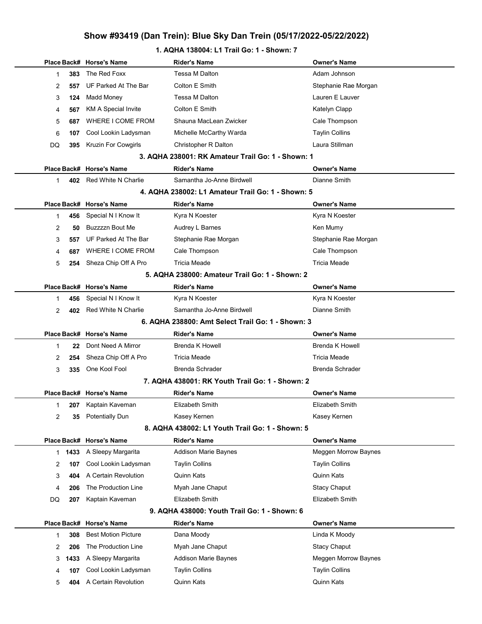### 1. AQHA 138004: L1 Trail Go: 1 - Shown: 7

|                |            | Place Back# Horse's Name                     | <b>Rider's Name</b>                               | <b>Owner's Name</b>                 |
|----------------|------------|----------------------------------------------|---------------------------------------------------|-------------------------------------|
| 1              | 383        | The Red Foxx                                 | Tessa M Dalton                                    | Adam Johnson                        |
| 2              | 557        | UF Parked At The Bar                         | Colton E Smith                                    | Stephanie Rae Morgan                |
| 3              | 124        | Madd Money                                   | Tessa M Dalton                                    | Lauren E Lauver                     |
| 4              | 567        | <b>KM A Special Invite</b>                   | Colton E Smith                                    | Katelyn Clapp                       |
| 5              | 687        | WHERE I COME FROM                            | Shauna MacLean Zwicker                            | Cale Thompson                       |
| 6              | 107        | Cool Lookin Ladysman                         | Michelle McCarthy Warda                           | <b>Taylin Collins</b>               |
| DQ             | 395        | <b>Kruzin For Cowgirls</b>                   | Christopher R Dalton                              | Laura Stillman                      |
|                |            |                                              | 3. AQHA 238001: RK Amateur Trail Go: 1 - Shown: 1 |                                     |
|                |            | Place Back# Horse's Name                     | <b>Rider's Name</b>                               | <b>Owner's Name</b>                 |
| 1              | 402        | Red White N Charlie                          | Samantha Jo-Anne Birdwell                         | Dianne Smith                        |
|                |            |                                              | 4. AQHA 238002: L1 Amateur Trail Go: 1 - Shown: 5 |                                     |
|                |            | Place Back# Horse's Name                     | <b>Rider's Name</b>                               | <b>Owner's Name</b>                 |
| 1              | 456        | Special N I Know It                          | Kyra N Koester                                    | Kyra N Koester                      |
| 2              | 50         | Buzzzzn Bout Me                              | Audrey L Barnes                                   | Ken Mumy                            |
| 3              | 557        | UF Parked At The Bar                         | Stephanie Rae Morgan                              | Stephanie Rae Morgan                |
| 4              | 687        | WHERE I COME FROM                            | Cale Thompson                                     | Cale Thompson                       |
| 5              | 254        | Sheza Chip Off A Pro                         | Tricia Meade                                      | <b>Tricia Meade</b>                 |
|                |            |                                              | 5. AQHA 238000: Amateur Trail Go: 1 - Shown: 2    |                                     |
|                |            | Place Back# Horse's Name                     | <b>Rider's Name</b>                               | <b>Owner's Name</b>                 |
| 1              | 456        | Special N I Know It                          | Kyra N Koester                                    | Kyra N Koester                      |
| $\overline{2}$ | 402        | Red White N Charlie                          | Samantha Jo-Anne Birdwell                         | Dianne Smith                        |
|                |            |                                              | 6. AQHA 238800: Amt Select Trail Go: 1 - Shown: 3 |                                     |
|                |            | Place Back# Horse's Name                     | <b>Rider's Name</b>                               | <b>Owner's Name</b>                 |
|                |            |                                              |                                                   |                                     |
| 1              | 22         | Dont Need A Mirror                           | <b>Brenda K Howell</b>                            | <b>Brenda K Howell</b>              |
| 2              | 254        | Sheza Chip Off A Pro                         | Tricia Meade                                      | <b>Tricia Meade</b>                 |
| 3              | 335        | One Kool Fool                                | <b>Brenda Schrader</b>                            | <b>Brenda Schrader</b>              |
|                |            |                                              | 7. AQHA 438001: RK Youth Trail Go: 1 - Shown: 2   |                                     |
|                |            | Place Back# Horse's Name                     | <b>Rider's Name</b>                               | <b>Owner's Name</b>                 |
| 1              | 207        | Kaptain Kaveman                              | Elizabeth Smith                                   | Elizabeth Smith                     |
| 2              | 35         | <b>Potentially Dun</b>                       | Kasey Kernen                                      | Kasey Kernen                        |
|                |            |                                              | 8. AQHA 438002: L1 Youth Trail Go: 1 - Shown: 5   |                                     |
|                |            | Place Back# Horse's Name                     | <b>Rider's Name</b>                               | <b>Owner's Name</b>                 |
| 1.             | 1433       | A Sleepy Margarita                           | <b>Addison Marie Baynes</b>                       | Meggen Morrow Baynes                |
| 2              | 107        | Cool Lookin Ladysman                         | <b>Taylin Collins</b>                             | <b>Taylin Collins</b>               |
| 3              | 404        | A Certain Revolution                         | Quinn Kats                                        | Quinn Kats                          |
| 4              | 206        | The Production Line                          | Myah Jane Chaput                                  | <b>Stacy Chaput</b>                 |
| DQ             | 207        | Kaptain Kaveman                              | Elizabeth Smith                                   | Elizabeth Smith                     |
|                |            |                                              | 9. AQHA 438000: Youth Trail Go: 1 - Shown: 6      |                                     |
|                |            | Place Back# Horse's Name                     | <b>Rider's Name</b>                               | <b>Owner's Name</b>                 |
| 1              | 308        | <b>Best Motion Picture</b>                   | Dana Moody                                        | Linda K Moody                       |
| 2              | 206        | The Production Line                          | Myah Jane Chaput                                  | <b>Stacy Chaput</b>                 |
| 3              | 1433       | A Sleepy Margarita                           | <b>Addison Marie Baynes</b>                       | Meggen Morrow Baynes                |
| 4<br>5         | 107<br>404 | Cool Lookin Ladysman<br>A Certain Revolution | <b>Taylin Collins</b><br>Quinn Kats               | <b>Taylin Collins</b><br>Quinn Kats |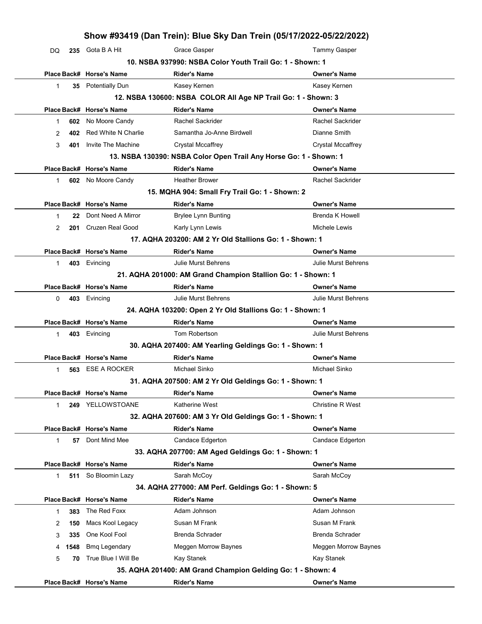| 235 Gota B A Hit<br>Place Back# Horse's Name<br>35 Potentially Dun<br>Place Back# Horse's Name<br>No Moore Candy<br>Red White N Charlie<br>Invite The Machine<br>Place Back# Horse's Name<br>602 No Moore Candy<br>Place Back# Horse's Name<br>Dont Need A Mirror<br>Cruzen Real Good<br>Place Back# Horse's Name | <b>Grace Gasper</b><br>10. NSBA 937990: NSBA Color Youth Trail Go: 1 - Shown: 1<br><b>Rider's Name</b><br>Kasey Kernen<br>12. NSBA 130600: NSBA COLOR All Age NP Trail Go: 1 - Shown: 3<br><b>Rider's Name</b><br>Rachel Sackrider<br>Samantha Jo-Anne Birdwell<br><b>Crystal Mccaffrey</b><br>13. NSBA 130390: NSBA Color Open Trail Any Horse Go: 1 - Shown: 1<br><b>Rider's Name</b><br><b>Heather Brower</b><br>15. MQHA 904: Small Fry Trail Go: 1 - Shown: 2<br><b>Rider's Name</b><br><b>Brylee Lynn Bunting</b><br>Karly Lynn Lewis | <b>Tammy Gasper</b><br><b>Owner's Name</b><br>Kasey Kernen<br><b>Owner's Name</b><br>Rachel Sackrider<br>Dianne Smith<br>Crystal Mccaffrey<br><b>Owner's Name</b><br><b>Rachel Sackrider</b><br><b>Owner's Name</b>                                                                                                                                                                                                                                                                                                     |
|-------------------------------------------------------------------------------------------------------------------------------------------------------------------------------------------------------------------------------------------------------------------------------------------------------------------|---------------------------------------------------------------------------------------------------------------------------------------------------------------------------------------------------------------------------------------------------------------------------------------------------------------------------------------------------------------------------------------------------------------------------------------------------------------------------------------------------------------------------------------------|-------------------------------------------------------------------------------------------------------------------------------------------------------------------------------------------------------------------------------------------------------------------------------------------------------------------------------------------------------------------------------------------------------------------------------------------------------------------------------------------------------------------------|
|                                                                                                                                                                                                                                                                                                                   |                                                                                                                                                                                                                                                                                                                                                                                                                                                                                                                                             |                                                                                                                                                                                                                                                                                                                                                                                                                                                                                                                         |
|                                                                                                                                                                                                                                                                                                                   |                                                                                                                                                                                                                                                                                                                                                                                                                                                                                                                                             |                                                                                                                                                                                                                                                                                                                                                                                                                                                                                                                         |
|                                                                                                                                                                                                                                                                                                                   |                                                                                                                                                                                                                                                                                                                                                                                                                                                                                                                                             |                                                                                                                                                                                                                                                                                                                                                                                                                                                                                                                         |
|                                                                                                                                                                                                                                                                                                                   |                                                                                                                                                                                                                                                                                                                                                                                                                                                                                                                                             |                                                                                                                                                                                                                                                                                                                                                                                                                                                                                                                         |
|                                                                                                                                                                                                                                                                                                                   |                                                                                                                                                                                                                                                                                                                                                                                                                                                                                                                                             |                                                                                                                                                                                                                                                                                                                                                                                                                                                                                                                         |
|                                                                                                                                                                                                                                                                                                                   |                                                                                                                                                                                                                                                                                                                                                                                                                                                                                                                                             |                                                                                                                                                                                                                                                                                                                                                                                                                                                                                                                         |
|                                                                                                                                                                                                                                                                                                                   |                                                                                                                                                                                                                                                                                                                                                                                                                                                                                                                                             |                                                                                                                                                                                                                                                                                                                                                                                                                                                                                                                         |
|                                                                                                                                                                                                                                                                                                                   |                                                                                                                                                                                                                                                                                                                                                                                                                                                                                                                                             |                                                                                                                                                                                                                                                                                                                                                                                                                                                                                                                         |
|                                                                                                                                                                                                                                                                                                                   |                                                                                                                                                                                                                                                                                                                                                                                                                                                                                                                                             |                                                                                                                                                                                                                                                                                                                                                                                                                                                                                                                         |
|                                                                                                                                                                                                                                                                                                                   |                                                                                                                                                                                                                                                                                                                                                                                                                                                                                                                                             |                                                                                                                                                                                                                                                                                                                                                                                                                                                                                                                         |
|                                                                                                                                                                                                                                                                                                                   |                                                                                                                                                                                                                                                                                                                                                                                                                                                                                                                                             |                                                                                                                                                                                                                                                                                                                                                                                                                                                                                                                         |
|                                                                                                                                                                                                                                                                                                                   |                                                                                                                                                                                                                                                                                                                                                                                                                                                                                                                                             |                                                                                                                                                                                                                                                                                                                                                                                                                                                                                                                         |
|                                                                                                                                                                                                                                                                                                                   |                                                                                                                                                                                                                                                                                                                                                                                                                                                                                                                                             |                                                                                                                                                                                                                                                                                                                                                                                                                                                                                                                         |
|                                                                                                                                                                                                                                                                                                                   |                                                                                                                                                                                                                                                                                                                                                                                                                                                                                                                                             |                                                                                                                                                                                                                                                                                                                                                                                                                                                                                                                         |
|                                                                                                                                                                                                                                                                                                                   |                                                                                                                                                                                                                                                                                                                                                                                                                                                                                                                                             | <b>Brenda K Howell</b>                                                                                                                                                                                                                                                                                                                                                                                                                                                                                                  |
|                                                                                                                                                                                                                                                                                                                   |                                                                                                                                                                                                                                                                                                                                                                                                                                                                                                                                             | Michele Lewis                                                                                                                                                                                                                                                                                                                                                                                                                                                                                                           |
|                                                                                                                                                                                                                                                                                                                   | 17. AQHA 203200: AM 2 Yr Old Stallions Go: 1 - Shown: 1                                                                                                                                                                                                                                                                                                                                                                                                                                                                                     |                                                                                                                                                                                                                                                                                                                                                                                                                                                                                                                         |
|                                                                                                                                                                                                                                                                                                                   | <b>Rider's Name</b>                                                                                                                                                                                                                                                                                                                                                                                                                                                                                                                         | <b>Owner's Name</b>                                                                                                                                                                                                                                                                                                                                                                                                                                                                                                     |
| 403 Evincing                                                                                                                                                                                                                                                                                                      | Julie Murst Behrens                                                                                                                                                                                                                                                                                                                                                                                                                                                                                                                         | <b>Julie Murst Behrens</b>                                                                                                                                                                                                                                                                                                                                                                                                                                                                                              |
|                                                                                                                                                                                                                                                                                                                   | 21. AQHA 201000: AM Grand Champion Stallion Go: 1 - Shown: 1                                                                                                                                                                                                                                                                                                                                                                                                                                                                                |                                                                                                                                                                                                                                                                                                                                                                                                                                                                                                                         |
|                                                                                                                                                                                                                                                                                                                   | <b>Rider's Name</b>                                                                                                                                                                                                                                                                                                                                                                                                                                                                                                                         | Owner's Name                                                                                                                                                                                                                                                                                                                                                                                                                                                                                                            |
|                                                                                                                                                                                                                                                                                                                   | Julie Murst Behrens                                                                                                                                                                                                                                                                                                                                                                                                                                                                                                                         | Julie Murst Behrens                                                                                                                                                                                                                                                                                                                                                                                                                                                                                                     |
|                                                                                                                                                                                                                                                                                                                   |                                                                                                                                                                                                                                                                                                                                                                                                                                                                                                                                             |                                                                                                                                                                                                                                                                                                                                                                                                                                                                                                                         |
|                                                                                                                                                                                                                                                                                                                   | <b>Rider's Name</b>                                                                                                                                                                                                                                                                                                                                                                                                                                                                                                                         | <b>Owner's Name</b>                                                                                                                                                                                                                                                                                                                                                                                                                                                                                                     |
|                                                                                                                                                                                                                                                                                                                   | Tom Robertson                                                                                                                                                                                                                                                                                                                                                                                                                                                                                                                               | <b>Julie Murst Behrens</b>                                                                                                                                                                                                                                                                                                                                                                                                                                                                                              |
|                                                                                                                                                                                                                                                                                                                   |                                                                                                                                                                                                                                                                                                                                                                                                                                                                                                                                             |                                                                                                                                                                                                                                                                                                                                                                                                                                                                                                                         |
|                                                                                                                                                                                                                                                                                                                   | <b>Rider's Name</b>                                                                                                                                                                                                                                                                                                                                                                                                                                                                                                                         | <b>Owner's Name</b>                                                                                                                                                                                                                                                                                                                                                                                                                                                                                                     |
|                                                                                                                                                                                                                                                                                                                   | Michael Sinko                                                                                                                                                                                                                                                                                                                                                                                                                                                                                                                               | Michael Sinko                                                                                                                                                                                                                                                                                                                                                                                                                                                                                                           |
|                                                                                                                                                                                                                                                                                                                   |                                                                                                                                                                                                                                                                                                                                                                                                                                                                                                                                             |                                                                                                                                                                                                                                                                                                                                                                                                                                                                                                                         |
|                                                                                                                                                                                                                                                                                                                   | <b>Rider's Name</b>                                                                                                                                                                                                                                                                                                                                                                                                                                                                                                                         | Owner's Name                                                                                                                                                                                                                                                                                                                                                                                                                                                                                                            |
|                                                                                                                                                                                                                                                                                                                   | Katherine West                                                                                                                                                                                                                                                                                                                                                                                                                                                                                                                              | <b>Christine R West</b>                                                                                                                                                                                                                                                                                                                                                                                                                                                                                                 |
|                                                                                                                                                                                                                                                                                                                   |                                                                                                                                                                                                                                                                                                                                                                                                                                                                                                                                             |                                                                                                                                                                                                                                                                                                                                                                                                                                                                                                                         |
|                                                                                                                                                                                                                                                                                                                   |                                                                                                                                                                                                                                                                                                                                                                                                                                                                                                                                             | Owner's Name                                                                                                                                                                                                                                                                                                                                                                                                                                                                                                            |
|                                                                                                                                                                                                                                                                                                                   |                                                                                                                                                                                                                                                                                                                                                                                                                                                                                                                                             | Candace Edgerton                                                                                                                                                                                                                                                                                                                                                                                                                                                                                                        |
|                                                                                                                                                                                                                                                                                                                   |                                                                                                                                                                                                                                                                                                                                                                                                                                                                                                                                             |                                                                                                                                                                                                                                                                                                                                                                                                                                                                                                                         |
|                                                                                                                                                                                                                                                                                                                   |                                                                                                                                                                                                                                                                                                                                                                                                                                                                                                                                             | Owner's Name                                                                                                                                                                                                                                                                                                                                                                                                                                                                                                            |
|                                                                                                                                                                                                                                                                                                                   |                                                                                                                                                                                                                                                                                                                                                                                                                                                                                                                                             | Sarah McCoy                                                                                                                                                                                                                                                                                                                                                                                                                                                                                                             |
|                                                                                                                                                                                                                                                                                                                   |                                                                                                                                                                                                                                                                                                                                                                                                                                                                                                                                             |                                                                                                                                                                                                                                                                                                                                                                                                                                                                                                                         |
|                                                                                                                                                                                                                                                                                                                   |                                                                                                                                                                                                                                                                                                                                                                                                                                                                                                                                             | <b>Owner's Name</b>                                                                                                                                                                                                                                                                                                                                                                                                                                                                                                     |
|                                                                                                                                                                                                                                                                                                                   |                                                                                                                                                                                                                                                                                                                                                                                                                                                                                                                                             | Adam Johnson                                                                                                                                                                                                                                                                                                                                                                                                                                                                                                            |
|                                                                                                                                                                                                                                                                                                                   |                                                                                                                                                                                                                                                                                                                                                                                                                                                                                                                                             | Susan M Frank                                                                                                                                                                                                                                                                                                                                                                                                                                                                                                           |
|                                                                                                                                                                                                                                                                                                                   |                                                                                                                                                                                                                                                                                                                                                                                                                                                                                                                                             |                                                                                                                                                                                                                                                                                                                                                                                                                                                                                                                         |
| One Kool Fool                                                                                                                                                                                                                                                                                                     |                                                                                                                                                                                                                                                                                                                                                                                                                                                                                                                                             | <b>Brenda Schrader</b>                                                                                                                                                                                                                                                                                                                                                                                                                                                                                                  |
| <b>Bmq Legendary</b>                                                                                                                                                                                                                                                                                              | Meggen Morrow Baynes                                                                                                                                                                                                                                                                                                                                                                                                                                                                                                                        | Meggen Morrow Baynes                                                                                                                                                                                                                                                                                                                                                                                                                                                                                                    |
|                                                                                                                                                                                                                                                                                                                   | Kay Stanek                                                                                                                                                                                                                                                                                                                                                                                                                                                                                                                                  | Kay Stanek                                                                                                                                                                                                                                                                                                                                                                                                                                                                                                              |
| True Blue I Will Be                                                                                                                                                                                                                                                                                               | 35. AQHA 201400: AM Grand Champion Gelding Go: 1 - Shown: 4                                                                                                                                                                                                                                                                                                                                                                                                                                                                                 |                                                                                                                                                                                                                                                                                                                                                                                                                                                                                                                         |
| 511                                                                                                                                                                                                                                                                                                               | Place Back# Horse's Name<br>403 Evincing<br>Place Back# Horse's Name<br>403 Evincing<br>Place Back# Horse's Name<br><b>ESE A ROCKER</b><br>Place Back# Horse's Name<br>YELLOWSTOANE<br>Place Back# Horse's Name<br>Dont Mind Mee<br>Place Back# Horse's Name<br>So Bloomin Lazy<br>Place Back# Horse's Name<br>The Red Foxx<br>Macs Kool Legacy                                                                                                                                                                                             | 24. AQHA 103200: Open 2 Yr Old Stallions Go: 1 - Shown: 1<br>30. AQHA 207400: AM Yearling Geldings Go: 1 - Shown: 1<br>31. AQHA 207500: AM 2 Yr Old Geldings Go: 1 - Shown: 1<br>32. AQHA 207600: AM 3 Yr Old Geldings Go: 1 - Shown: 1<br><b>Rider's Name</b><br>Candace Edgerton<br>33. AQHA 207700: AM Aged Geldings Go: 1 - Shown: 1<br><b>Rider's Name</b><br>Sarah McCoy<br>34. AQHA 277000: AM Perf. Geldings Go: 1 - Shown: 5<br><b>Rider's Name</b><br>Adam Johnson<br>Susan M Frank<br><b>Brenda Schrader</b> |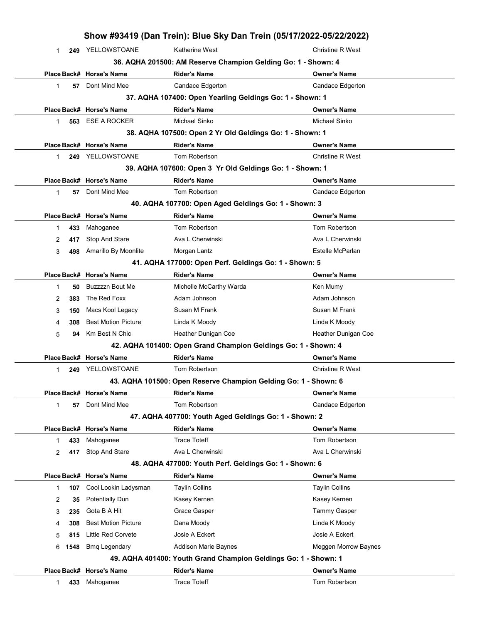|   |      |                            | Show #93419 (Dan Trein): Blue Sky Dan Trein (05/17/2022-05/22/2022) |                         |
|---|------|----------------------------|---------------------------------------------------------------------|-------------------------|
| 1 |      | 249 YELLOWSTOANE           | Katherine West                                                      | <b>Christine R West</b> |
|   |      |                            | 36. AQHA 201500: AM Reserve Champion Gelding Go: 1 - Shown: 4       |                         |
|   |      | Place Back# Horse's Name   | <b>Rider's Name</b>                                                 | <b>Owner's Name</b>     |
| 1 | 57   | Dont Mind Mee              | Candace Edgerton                                                    | Candace Edgerton        |
|   |      |                            | 37. AQHA 107400: Open Yearling Geldings Go: 1 - Shown: 1            |                         |
|   |      | Place Back# Horse's Name   | <b>Rider's Name</b>                                                 | <b>Owner's Name</b>     |
| 1 | 563  | <b>ESE A ROCKER</b>        | Michael Sinko                                                       | Michael Sinko           |
|   |      |                            | 38. AQHA 107500: Open 2 Yr Old Geldings Go: 1 - Shown: 1            |                         |
|   |      | Place Back# Horse's Name   | <b>Rider's Name</b>                                                 | <b>Owner's Name</b>     |
| 1 | 249  | YELLOWSTOANE               | Tom Robertson                                                       | <b>Christine R West</b> |
|   |      |                            | 39. AQHA 107600: Open 3 Yr Old Geldings Go: 1 - Shown: 1            |                         |
|   |      | Place Back# Horse's Name   | <b>Rider's Name</b>                                                 | <b>Owner's Name</b>     |
| 1 | 57   | Dont Mind Mee              | Tom Robertson                                                       | Candace Edgerton        |
|   |      |                            | 40. AQHA 107700: Open Aged Geldings Go: 1 - Shown: 3                |                         |
|   |      | Place Back# Horse's Name   | <b>Rider's Name</b>                                                 | <b>Owner's Name</b>     |
| 1 | 433  | Mahoganee                  | Tom Robertson                                                       | Tom Robertson           |
| 2 | 417  | Stop And Stare             | Ava L Cherwinski                                                    | Ava L Cherwinski        |
| 3 | 498  | Amarillo By Moonlite       | Morgan Lantz                                                        | Estelle McParlan        |
|   |      |                            | 41. AQHA 177000: Open Perf. Geldings Go: 1 - Shown: 5               |                         |
|   |      | Place Back# Horse's Name   | <b>Rider's Name</b>                                                 | <b>Owner's Name</b>     |
| 1 | 50   | Buzzzzn Bout Me            | Michelle McCarthy Warda                                             | Ken Mumy                |
| 2 | 383  | The Red Foxx               | Adam Johnson                                                        | Adam Johnson            |
| 3 | 150  | Macs Kool Legacy           | Susan M Frank                                                       | Susan M Frank           |
| 4 | 308  | <b>Best Motion Picture</b> | Linda K Moody                                                       | Linda K Moody           |
| 5 | 94   | Km Best N Chic             | Heather Dunigan Coe                                                 | Heather Dunigan Coe     |
|   |      |                            | 42. AQHA 101400: Open Grand Champion Geldings Go: 1 - Shown: 4      |                         |
|   |      | Place Back# Horse's Name   | <b>Rider's Name</b>                                                 | Owner's Name            |
| 1 | 249  | YELLOWSTOANE               | Tom Robertson                                                       | <b>Christine R West</b> |
|   |      |                            | 43. AQHA 101500: Open Reserve Champion Gelding Go: 1 - Shown: 6     |                         |
|   |      | Place Back# Horse's Name   | <b>Rider's Name</b>                                                 | <b>Owner's Name</b>     |
| 1 | 57   | Dont Mind Mee              | Tom Robertson                                                       | <b>Candace Edgerton</b> |
|   |      |                            | 47. AQHA 407700: Youth Aged Geldings Go: 1 - Shown: 2               |                         |
|   |      | Place Back# Horse's Name   | <b>Rider's Name</b>                                                 | <b>Owner's Name</b>     |
| 1 | 433  | Mahoganee                  | Trace Toteff                                                        | Tom Robertson           |
| 2 | 417  | Stop And Stare             | Ava L Cherwinski                                                    | Ava L Cherwinski        |
|   |      |                            | 48. AQHA 477000: Youth Perf. Geldings Go: 1 - Shown: 6              |                         |
|   |      | Place Back# Horse's Name   | <b>Rider's Name</b>                                                 | <b>Owner's Name</b>     |
| 1 | 107  | Cool Lookin Ladysman       | <b>Taylin Collins</b>                                               | <b>Taylin Collins</b>   |
| 2 | 35   | <b>Potentially Dun</b>     | Kasey Kernen                                                        | Kasey Kernen            |
| 3 | 235  | Gota B A Hit               | Grace Gasper                                                        | <b>Tammy Gasper</b>     |
| 4 | 308  | <b>Best Motion Picture</b> | Dana Moody                                                          | Linda K Moody           |
| 5 | 815  | Little Red Corvete         | Josie A Eckert                                                      | Josie A Eckert          |
| 6 | 1548 | <b>Bmq Legendary</b>       | Addison Marie Baynes                                                | Meggen Morrow Baynes    |
|   |      |                            | 49. AQHA 401400: Youth Grand Champion Geldings Go: 1 - Shown: 1     |                         |
|   |      | Place Back# Horse's Name   | <b>Rider's Name</b>                                                 | <b>Owner's Name</b>     |
| 1 | 433  | Mahoganee                  | <b>Trace Toteff</b>                                                 | Tom Robertson           |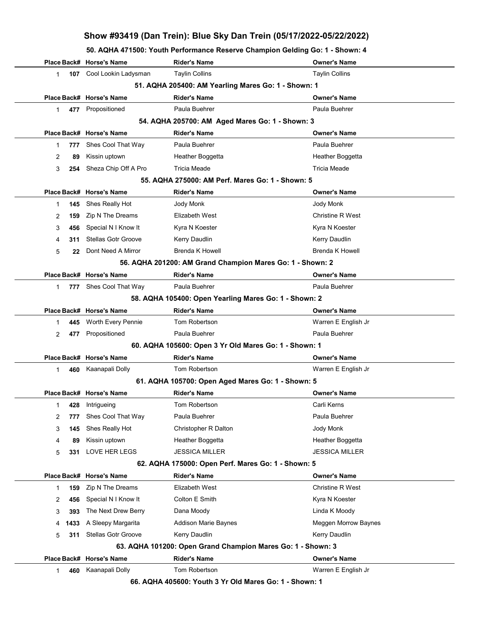| 50. AQHA 471500: Youth Performance Reserve Champion Gelding Go: 1 - Shown: 4 |  |  |
|------------------------------------------------------------------------------|--|--|
|                                                                              |  |  |

|                                                     |      | Place Back# Horse's Name   | <b>Rider's Name</b>                                         | <b>Owner's Name</b>     |  |  |  |
|-----------------------------------------------------|------|----------------------------|-------------------------------------------------------------|-------------------------|--|--|--|
| $\mathbf{1}$                                        |      | 107 Cool Lookin Ladysman   | <b>Taylin Collins</b>                                       | <b>Taylin Collins</b>   |  |  |  |
| 51. AQHA 205400: AM Yearling Mares Go: 1 - Shown: 1 |      |                            |                                                             |                         |  |  |  |
|                                                     |      | Place Back# Horse's Name   | <b>Rider's Name</b>                                         | <b>Owner's Name</b>     |  |  |  |
| 1                                                   |      | 477 Propositioned          | Paula Buehrer                                               | Paula Buehrer           |  |  |  |
|                                                     |      |                            | 54. AQHA 205700: AM Aged Mares Go: 1 - Shown: 3             |                         |  |  |  |
|                                                     |      | Place Back# Horse's Name   | <b>Rider's Name</b>                                         | <b>Owner's Name</b>     |  |  |  |
| 1                                                   | 777  | Shes Cool That Way         | Paula Buehrer                                               | Paula Buehrer           |  |  |  |
| 2                                                   | 89   | Kissin uptown              | Heather Boggetta                                            | Heather Boggetta        |  |  |  |
| 3                                                   | 254  | Sheza Chip Off A Pro       | <b>Tricia Meade</b>                                         | <b>Tricia Meade</b>     |  |  |  |
|                                                     |      |                            | 55. AQHA 275000: AM Perf. Mares Go: 1 - Shown: 5            |                         |  |  |  |
|                                                     |      | Place Back# Horse's Name   | <b>Rider's Name</b>                                         | <b>Owner's Name</b>     |  |  |  |
| $\mathbf{1}$                                        | 145  | Shes Really Hot            | Jody Monk                                                   | Jody Monk               |  |  |  |
| 2                                                   | 159  | Zip N The Dreams           | Elizabeth West                                              | <b>Christine R West</b> |  |  |  |
| 3                                                   | 456  | Special N I Know It        | Kyra N Koester                                              | Kyra N Koester          |  |  |  |
| 4                                                   | 311  | <b>Stellas Gotr Groove</b> | Kerry Daudlin                                               | <b>Kerry Daudlin</b>    |  |  |  |
| 5                                                   | 22   | Dont Need A Mirror         | <b>Brenda K Howell</b>                                      | <b>Brenda K Howell</b>  |  |  |  |
|                                                     |      |                            | 56. AQHA 201200: AM Grand Champion Mares Go: 1 - Shown: 2   |                         |  |  |  |
|                                                     |      | Place Back# Horse's Name   | <b>Rider's Name</b>                                         | <b>Owner's Name</b>     |  |  |  |
| $\mathbf 1$                                         |      | 777 Shes Cool That Way     | Paula Buehrer                                               | Paula Buehrer           |  |  |  |
|                                                     |      |                            | 58. AQHA 105400: Open Yearling Mares Go: 1 - Shown: 2       |                         |  |  |  |
|                                                     |      | Place Back# Horse's Name   | Rider's Name                                                | <b>Owner's Name</b>     |  |  |  |
| 1                                                   | 445  | Worth Every Pennie         | Tom Robertson                                               | Warren E English Jr     |  |  |  |
| 2                                                   | 477  | Propositioned              | Paula Buehrer                                               | Paula Buehrer           |  |  |  |
|                                                     |      |                            | 60. AQHA 105600: Open 3 Yr Old Mares Go: 1 - Shown: 1       |                         |  |  |  |
|                                                     |      | Place Back# Horse's Name   | <b>Rider's Name</b>                                         | <b>Owner's Name</b>     |  |  |  |
| $\mathbf 1$                                         |      | 460 Kaanapali Dolly        | Tom Robertson                                               | Warren E English Jr     |  |  |  |
|                                                     |      |                            | 61. AQHA 105700: Open Aged Mares Go: 1 - Shown: 5           |                         |  |  |  |
|                                                     |      | Place Back# Horse's Name   | <b>Rider's Name</b>                                         | <b>Owner's Name</b>     |  |  |  |
| 1                                                   |      | 428 Intrigueing            | Tom Robertson                                               | Carli Kerns             |  |  |  |
| 2                                                   | 777  | Shes Cool That Way         | Paula Buehrer                                               | Paula Buehrer           |  |  |  |
| 3                                                   | 145  | Shes Really Hot            | Christopher R Dalton                                        | Jody Monk               |  |  |  |
| 4                                                   | 89   | Kissin uptown              | Heather Boggetta                                            | Heather Boggetta        |  |  |  |
| 5                                                   | 331  | LOVE HER LEGS              | <b>JESSICA MILLER</b>                                       | <b>JESSICA MILLER</b>   |  |  |  |
|                                                     |      |                            | 62. AQHA 175000: Open Perf. Mares Go: 1 - Shown: 5          |                         |  |  |  |
|                                                     |      | Place Back# Horse's Name   | Rider's Name                                                | <b>Owner's Name</b>     |  |  |  |
| 1                                                   | 159  | Zip N The Dreams           | Elizabeth West                                              | Christine R West        |  |  |  |
| 2                                                   | 456  | Special N I Know It        | Colton E Smith                                              | Kyra N Koester          |  |  |  |
| 3                                                   | 393  | The Next Drew Berry        | Dana Moody                                                  | Linda K Moody           |  |  |  |
| 4                                                   | 1433 | A Sleepy Margarita         | Addison Marie Baynes                                        | Meggen Morrow Baynes    |  |  |  |
| 5                                                   | 311  | <b>Stellas Gotr Groove</b> | Kerry Daudlin                                               | Kerry Daudlin           |  |  |  |
|                                                     |      |                            | 63. AQHA 101200: Open Grand Champion Mares Go: 1 - Shown: 3 |                         |  |  |  |
|                                                     |      | Place Back# Horse's Name   | <b>Rider's Name</b>                                         | <b>Owner's Name</b>     |  |  |  |
| 1                                                   | 460  | Kaanapali Dolly            | Tom Robertson                                               | Warren E English Jr     |  |  |  |
|                                                     |      |                            | 66. AQHA 405600: Youth 3 Yr Old Mares Go: 1 - Shown: 1      |                         |  |  |  |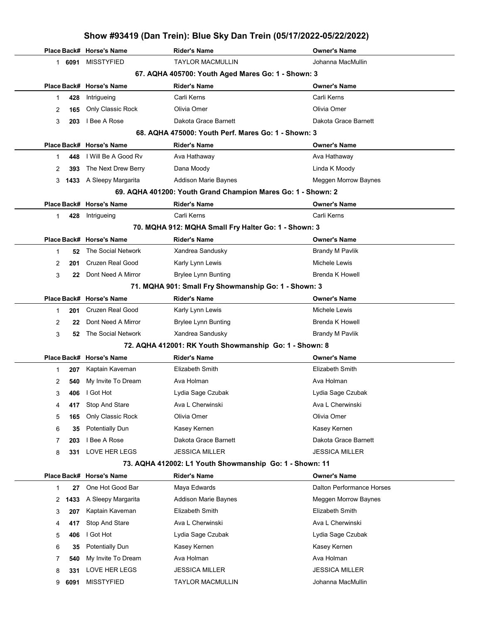|        |            | Show #93419 (Dan Trein): Blue Sky Dan Trein (05/17/2022-05/22/2022) |                                                              |                                               |  |  |
|--------|------------|---------------------------------------------------------------------|--------------------------------------------------------------|-----------------------------------------------|--|--|
|        |            | Place Back# Horse's Name                                            | <b>Rider's Name</b>                                          | <b>Owner's Name</b>                           |  |  |
|        | 1 6091     | <b>MISSTYFIED</b>                                                   | <b>TAYLOR MACMULLIN</b>                                      | Johanna MacMullin                             |  |  |
|        |            |                                                                     | 67. AQHA 405700: Youth Aged Mares Go: 1 - Shown: 3           |                                               |  |  |
|        |            | Place Back# Horse's Name                                            | Rider's Name                                                 | <b>Owner's Name</b>                           |  |  |
| 1      | 428        | Intrigueing                                                         | Carli Kerns                                                  | Carli Kerns                                   |  |  |
| 2      | 165        | Only Classic Rock                                                   | Olivia Omer                                                  | Olivia Omer                                   |  |  |
| 3      | 203        | I Bee A Rose                                                        | Dakota Grace Barnett                                         | Dakota Grace Barnett                          |  |  |
|        |            |                                                                     | 68. AQHA 475000: Youth Perf. Mares Go: 1 - Shown: 3          |                                               |  |  |
|        |            | Place Back# Horse's Name                                            | <b>Rider's Name</b>                                          | <b>Owner's Name</b>                           |  |  |
| 1.     | 448        | I Will Be A Good Rv                                                 | Ava Hathaway                                                 | Ava Hathaway                                  |  |  |
| 2      | 393        | The Next Drew Berry                                                 | Dana Moody                                                   | Linda K Moody                                 |  |  |
| 3      | 1433       | A Sleepy Margarita                                                  | <b>Addison Marie Baynes</b>                                  | Meggen Morrow Baynes                          |  |  |
|        |            |                                                                     | 69. AQHA 401200: Youth Grand Champion Mares Go: 1 - Shown: 2 |                                               |  |  |
|        |            | Place Back# Horse's Name                                            | Rider's Name                                                 | <b>Owner's Name</b>                           |  |  |
| 1.     | 428        | Intrigueing                                                         | Carli Kerns                                                  | Carli Kerns                                   |  |  |
|        |            |                                                                     | 70. MQHA 912: MQHA Small Fry Halter Go: 1 - Shown: 3         |                                               |  |  |
|        |            | Place Back# Horse's Name                                            | <b>Rider's Name</b>                                          | <b>Owner's Name</b>                           |  |  |
| 1      | 52         | The Social Network                                                  | Xandrea Sandusky                                             | Brandy M Pavlik                               |  |  |
| 2      | 201        | <b>Cruzen Real Good</b>                                             | Karly Lynn Lewis                                             | Michele Lewis                                 |  |  |
| 3      | 22         | Dont Need A Mirror                                                  | <b>Brylee Lynn Bunting</b>                                   | <b>Brenda K Howell</b>                        |  |  |
|        |            |                                                                     | 71. MQHA 901: Small Fry Showmanship Go: 1 - Shown: 3         |                                               |  |  |
|        |            | Place Back# Horse's Name                                            | <b>Rider's Name</b>                                          | <b>Owner's Name</b>                           |  |  |
| 1      | 201        | <b>Cruzen Real Good</b>                                             | Karly Lynn Lewis                                             | Michele Lewis                                 |  |  |
| 2      | 22         | Dont Need A Mirror                                                  | <b>Brylee Lynn Bunting</b>                                   | <b>Brenda K Howell</b>                        |  |  |
| 3      | 52         | The Social Network                                                  | Xandrea Sandusky                                             | <b>Brandy M Pavlik</b>                        |  |  |
|        |            |                                                                     | 72. AQHA 412001: RK Youth Showmanship Go: 1 - Shown: 8       |                                               |  |  |
|        |            | Place Back# Horse's Name                                            | Rider's Name                                                 | <b>Owner's Name</b><br><b>Elizabeth Smith</b> |  |  |
| 1      | 207        | Kaptain Kaveman<br>My Invite To Dream                               | Elizabeth Smith                                              | Ava Holman                                    |  |  |
| 2      | 540        | I Got Hot                                                           | Ava Holman<br>Lydia Sage Czubak                              | Lydia Sage Czubak                             |  |  |
| 3      | 406<br>417 | Stop And Stare                                                      | Ava L Cherwinski                                             | Ava L Cherwinski                              |  |  |
| 4<br>5 | 165        | Only Classic Rock                                                   | Olivia Omer                                                  | Olivia Omer                                   |  |  |
| 6      | 35         | <b>Potentially Dun</b>                                              | Kasey Kernen                                                 | Kasey Kernen                                  |  |  |
| 7      | 203        | I Bee A Rose                                                        | Dakota Grace Barnett                                         | Dakota Grace Barnett                          |  |  |
| 8      | 331        | LOVE HER LEGS                                                       | <b>JESSICA MILLER</b>                                        | <b>JESSICA MILLER</b>                         |  |  |
|        |            |                                                                     | 73. AQHA 412002: L1 Youth Showmanship Go: 1 - Shown: 11      |                                               |  |  |
|        |            | Place Back# Horse's Name                                            | Rider's Name                                                 | <b>Owner's Name</b>                           |  |  |
| 1      | 27         | One Hot Good Bar                                                    | Maya Edwards                                                 | Dalton Performance Horses                     |  |  |
| 2      | 1433       | A Sleepy Margarita                                                  | Addison Marie Baynes                                         | Meggen Morrow Baynes                          |  |  |
| 3      | 207        | Kaptain Kaveman                                                     | Elizabeth Smith                                              | Elizabeth Smith                               |  |  |
| 4      | 417        | Stop And Stare                                                      | Ava L Cherwinski                                             | Ava L Cherwinski                              |  |  |
| 5      | 406        | I Got Hot                                                           | Lydia Sage Czubak                                            | Lydia Sage Czubak                             |  |  |
| 6      | 35         | <b>Potentially Dun</b>                                              | Kasey Kernen                                                 | Kasey Kernen                                  |  |  |
| 7      | 540        | My Invite To Dream                                                  | Ava Holman                                                   | Ava Holman                                    |  |  |
| 8      | 331        | LOVE HER LEGS                                                       | JESSICA MILLER                                               | <b>JESSICA MILLER</b>                         |  |  |
| 9      | 6091       | <b>MISSTYFIED</b>                                                   | <b>TAYLOR MACMULLIN</b>                                      | Johanna MacMullin                             |  |  |
|        |            |                                                                     |                                                              |                                               |  |  |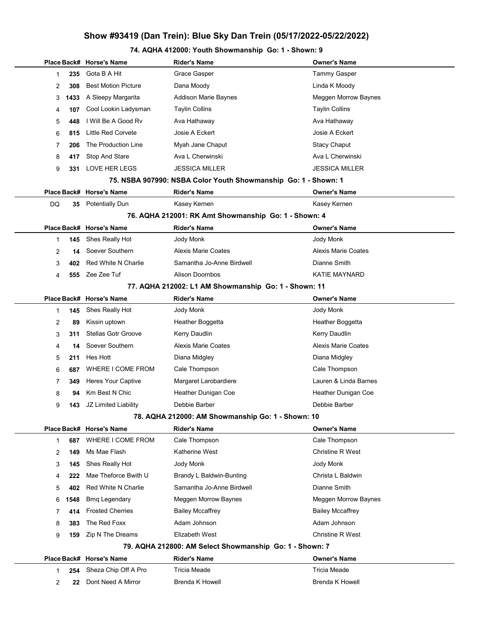# 74. AQHA 412000: Youth Showmanship Go: 1 - Shown: 9

|                |      | Place Back# Horse's Name   | <b>Rider's Name</b>                                            | Owner's Name            |
|----------------|------|----------------------------|----------------------------------------------------------------|-------------------------|
| 1              | 235  | Gota B A Hit               | Grace Gasper                                                   | <b>Tammy Gasper</b>     |
| 2              | 308  | <b>Best Motion Picture</b> | Dana Moody                                                     | Linda K Moody           |
| 3              | 1433 | A Sleepy Margarita         | Addison Marie Baynes                                           | Meggen Morrow Baynes    |
| 4              | 107  | Cool Lookin Ladysman       | <b>Taylin Collins</b>                                          | <b>Taylin Collins</b>   |
| 5              | 448  | I Will Be A Good Rv        | Ava Hathaway                                                   | Ava Hathaway            |
| 6              | 815  | Little Red Corvete         | Josie A Eckert                                                 | Josie A Eckert          |
| 7              | 206  | The Production Line        | Myah Jane Chaput                                               | <b>Stacy Chaput</b>     |
| 8              | 417  | Stop And Stare             | Ava L Cherwinski                                               | Ava L Cherwinski        |
| 9              | 331  | <b>LOVE HER LEGS</b>       | <b>JESSICA MILLER</b>                                          | <b>JESSICA MILLER</b>   |
|                |      |                            | 75. NSBA 907990: NSBA Color Youth Showmanship Go: 1 - Shown: 1 |                         |
|                |      | Place Back# Horse's Name   | <b>Rider's Name</b>                                            | Owner's Name            |
| DQ             | 35   | <b>Potentially Dun</b>     | Kasey Kernen                                                   | Kasey Kernen            |
|                |      |                            | 76. AQHA 212001: RK Amt Showmanship Go: 1 - Shown: 4           |                         |
|                |      | Place Back# Horse's Name   | <b>Rider's Name</b>                                            | <b>Owner's Name</b>     |
| 1              | 145  | Shes Really Hot            | Jody Monk                                                      | Jody Monk               |
| 2              | 14   | Soever Southern            | <b>Alexis Marie Coates</b>                                     | Alexis Marie Coates     |
| 3              | 402  | <b>Red White N Charlie</b> | Samantha Jo-Anne Birdwell                                      | Dianne Smith            |
| 4              | 555  | Zee Zee Tuf                | <b>Alison Doornbos</b>                                         | <b>KATIE MAYNARD</b>    |
|                |      |                            | 77. AQHA 212002: L1 AM Showmanship Go: 1 - Shown: 11           |                         |
|                |      | Place Back# Horse's Name   | <b>Rider's Name</b>                                            | Owner's Name            |
| 1              | 145  | Shes Really Hot            | Jody Monk                                                      | Jody Monk               |
| 2              | 89   | Kissin uptown              | Heather Boggetta                                               | Heather Boggetta        |
| 3              | 311  | <b>Stellas Gotr Groove</b> | Kerry Daudlin                                                  | Kerry Daudlin           |
| 4              | 14   | Soever Southern            | Alexis Marie Coates                                            | Alexis Marie Coates     |
| 5              | 211  | Hes Hott                   | Diana Midgley                                                  | Diana Midgley           |
| 6              | 687  | WHERE I COME FROM          | Cale Thompson                                                  | Cale Thompson           |
| 7              | 349  | Heres Your Captive         | Margaret Larobardiere                                          | Lauren & Linda Barnes   |
| 8              | 94   | Km Best N Chic             | Heather Dunigan Coe                                            | Heather Dunigan Coe     |
| 9              | 143  | JZ Limited Liability       | Debbie Barber                                                  | Debbie Barber           |
|                |      |                            | 78. AQHA 212000: AM Showmanship Go: 1 - Shown: 10              |                         |
|                |      | Place Back# Horse's Name   | <b>Rider's Name</b>                                            | Owner's Name            |
| 1              | 687  | WHERE I COME FROM          | Cale Thompson                                                  | Cale Thompson           |
| 2              | 149  | Ms Mae Flash               | Katherine West                                                 | <b>Christine R West</b> |
| 3              | 145  | Shes Really Hot            | Jody Monk                                                      | Jody Monk               |
| 4              | 222  | Mae Theforce Bwith U       | Brandy L Baldwin-Bunting                                       | Christa L Baldwin       |
| 5              | 402  | Red White N Charlie        | Samantha Jo-Anne Birdwell                                      | Dianne Smith            |
| 6              | 1548 | <b>Bmq Legendary</b>       | <b>Meggen Morrow Baynes</b>                                    | Meggen Morrow Baynes    |
| 7              | 414  | <b>Frosted Cherries</b>    | <b>Bailey Mccaffrey</b>                                        | <b>Bailey Mccaffrey</b> |
| 8              | 383  | The Red Foxx               | Adam Johnson                                                   | Adam Johnson            |
| 9              | 159  | Zip N The Dreams           | Elizabeth West                                                 | <b>Christine R West</b> |
|                |      |                            | 79. AQHA 212800: AM Select Showmanship Go: 1 - Shown: 7        |                         |
|                |      | Place Back# Horse's Name   | <b>Rider's Name</b>                                            | <b>Owner's Name</b>     |
| 1              | 254  | Sheza Chip Off A Pro       | <b>Tricia Meade</b>                                            | <b>Tricia Meade</b>     |
| $\overline{2}$ | 22   | Dont Need A Mirror         | <b>Brenda K Howell</b>                                         | <b>Brenda K Howell</b>  |
|                |      |                            |                                                                |                         |

 $\overline{\phantom{a}}$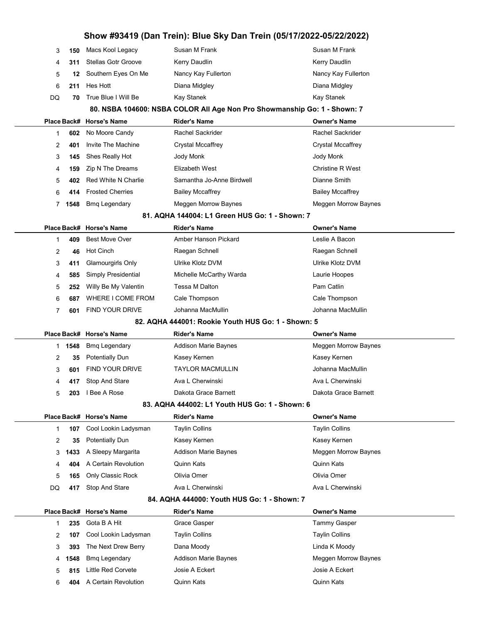| Show #93419 (Dan Trein): Blue Sky Dan Trein (05/17/2022-05/22/2022) |        |                            |                                                                          |                             |  |  |  |
|---------------------------------------------------------------------|--------|----------------------------|--------------------------------------------------------------------------|-----------------------------|--|--|--|
| 3                                                                   | 150    | Macs Kool Legacy           | Susan M Frank                                                            | Susan M Frank               |  |  |  |
| 4                                                                   | 311    | <b>Stellas Gotr Groove</b> | Kerry Daudlin                                                            | Kerry Daudlin               |  |  |  |
| 5                                                                   | 12     | Southern Eyes On Me        | Nancy Kay Fullerton                                                      | Nancy Kay Fullerton         |  |  |  |
| 6                                                                   | 211    | Hes Hott                   | Diana Midgley                                                            | Diana Midgley               |  |  |  |
| DQ                                                                  | 70     | True Blue I Will Be        | Kay Stanek                                                               | Kay Stanek                  |  |  |  |
|                                                                     |        |                            | 80. NSBA 104600: NSBA COLOR All Age Non Pro Showmanship Go: 1 - Shown: 7 |                             |  |  |  |
|                                                                     |        | Place Back# Horse's Name   | <b>Rider's Name</b>                                                      | <b>Owner's Name</b>         |  |  |  |
| 1                                                                   | 602    | No Moore Candy             | Rachel Sackrider                                                         | Rachel Sackrider            |  |  |  |
| 2                                                                   | 401    | Invite The Machine         | <b>Crystal Mccaffrey</b>                                                 | <b>Crystal Mccaffrey</b>    |  |  |  |
| 3                                                                   | 145    | Shes Really Hot            | Jody Monk                                                                | Jody Monk                   |  |  |  |
| 4                                                                   | 159    | Zip N The Dreams           | Elizabeth West                                                           | <b>Christine R West</b>     |  |  |  |
| 5                                                                   | 402    | Red White N Charlie        | Samantha Jo-Anne Birdwell                                                | Dianne Smith                |  |  |  |
| 6                                                                   | 414    | <b>Frosted Cherries</b>    | <b>Bailey Mccaffrey</b>                                                  | <b>Bailey Mccaffrey</b>     |  |  |  |
| 7                                                                   | 1548   | <b>Bmq Legendary</b>       | Meggen Morrow Baynes                                                     | Meggen Morrow Baynes        |  |  |  |
|                                                                     |        |                            | 81. AQHA 144004: L1 Green HUS Go: 1 - Shown: 7                           |                             |  |  |  |
|                                                                     |        | Place Back# Horse's Name   | <b>Rider's Name</b>                                                      | <b>Owner's Name</b>         |  |  |  |
| 1                                                                   | 409    | <b>Best Move Over</b>      | Amber Hanson Pickard                                                     | Leslie A Bacon              |  |  |  |
| 2                                                                   | 46     | Hot Cinch                  | Raegan Schnell                                                           | Raegan Schnell              |  |  |  |
| 3                                                                   | 411    | Glamourgirls Only          | Ulrike Klotz DVM                                                         | Ulrike Klotz DVM            |  |  |  |
| 4                                                                   | 585    | Simply Presidential        | Michelle McCarthy Warda                                                  | Laurie Hoopes               |  |  |  |
| 5                                                                   | 252    | Willy Be My Valentin       | Tessa M Dalton                                                           | Pam Catlin                  |  |  |  |
| 6                                                                   | 687    | WHERE I COME FROM          | Cale Thompson                                                            | Cale Thompson               |  |  |  |
| 7                                                                   | 601    | <b>FIND YOUR DRIVE</b>     | Johanna MacMullin                                                        | Johanna MacMullin           |  |  |  |
|                                                                     |        |                            | 82. AQHA 444001: Rookie Youth HUS Go: 1 - Shown: 5                       |                             |  |  |  |
|                                                                     |        | Place Back# Horse's Name   | <b>Rider's Name</b>                                                      | <b>Owner's Name</b>         |  |  |  |
|                                                                     | 1 1548 | <b>Bmq Legendary</b>       | <b>Addison Marie Baynes</b>                                              | Meggen Morrow Baynes        |  |  |  |
| 2                                                                   | 35     | <b>Potentially Dun</b>     | Kasey Kernen                                                             | Kasey Kernen                |  |  |  |
| 3                                                                   | 601    | FIND YOUR DRIVE            | <b>TAYLOR MACMULLIN</b>                                                  | Johanna MacMullin           |  |  |  |
| 4                                                                   | 417    | Stop And Stare             | Ava L Cherwinski                                                         | Ava L Cherwinski            |  |  |  |
| 5                                                                   | 203    | I Bee A Rose               | Dakota Grace Barnett                                                     | Dakota Grace Barnett        |  |  |  |
|                                                                     |        |                            | 83. AQHA 444002: L1 Youth HUS Go: 1 - Shown: 6                           |                             |  |  |  |
|                                                                     |        | Place Back# Horse's Name   | <b>Rider's Name</b>                                                      | <b>Owner's Name</b>         |  |  |  |
| 1                                                                   | 107    | Cool Lookin Ladysman       | <b>Taylin Collins</b>                                                    | <b>Taylin Collins</b>       |  |  |  |
| 2                                                                   | 35     | Potentially Dun            | Kasey Kernen                                                             | Kasey Kernen                |  |  |  |
| 3                                                                   | 1433   | A Sleepy Margarita         | Addison Marie Baynes                                                     | <b>Meggen Morrow Baynes</b> |  |  |  |
| 4                                                                   | 404    | A Certain Revolution       | Quinn Kats                                                               | Quinn Kats                  |  |  |  |
| 5                                                                   | 165    | Only Classic Rock          | Olivia Omer                                                              | Olivia Omer                 |  |  |  |
| DQ                                                                  | 417    | <b>Stop And Stare</b>      | Ava L Cherwinski                                                         | Ava L Cherwinski            |  |  |  |
|                                                                     |        |                            | 84. AQHA 444000: Youth HUS Go: 1 - Shown: 7                              |                             |  |  |  |
|                                                                     |        | Place Back# Horse's Name   | <b>Rider's Name</b>                                                      | <b>Owner's Name</b>         |  |  |  |
| 1                                                                   | 235    | Gota B A Hit               | Grace Gasper                                                             | <b>Tammy Gasper</b>         |  |  |  |

| 235  | Gota B A Hit         | Grace Gasper                | Tammy Gasper         |
|------|----------------------|-----------------------------|----------------------|
| 107  | Cool Lookin Ladysman | Taylin Collins              | Taylin Collins       |
| 393  | The Next Drew Berry  | Dana Moody                  | Linda K Moody        |
| 1548 | <b>Bmg Legendary</b> | <b>Addison Marie Baynes</b> | Meggen Morrow Baynes |
| 815  | Little Red Corvete   | Josie A Eckert              | Josie A Eckert       |
| 404  |                      | Quinn Kats                  | Quinn Kats           |
|      |                      | A Certain Revolution        |                      |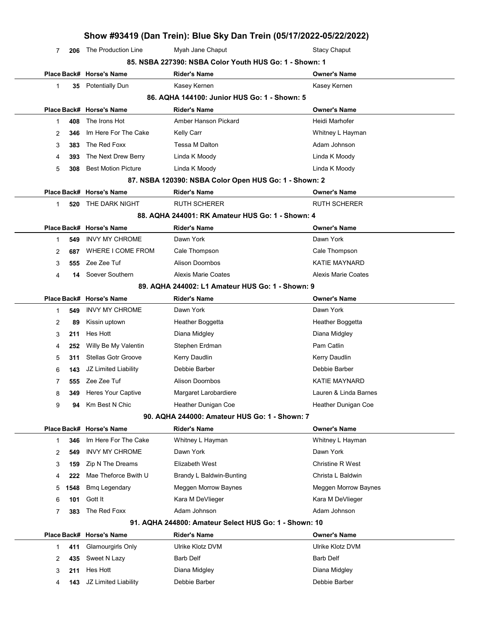|   |      |                            | Show #93419 (Dan Trein): Blue Sky Dan Trein (05/17/2022-05/22/2022) |                         |
|---|------|----------------------------|---------------------------------------------------------------------|-------------------------|
| 7 | 206  | The Production Line        | Myah Jane Chaput                                                    | <b>Stacy Chaput</b>     |
|   |      |                            | 85. NSBA 227390: NSBA Color Youth HUS Go: 1 - Shown: 1              |                         |
|   |      | Place Back# Horse's Name   | <b>Rider's Name</b>                                                 | <b>Owner's Name</b>     |
| 1 | 35   | <b>Potentially Dun</b>     | Kasey Kernen                                                        | Kasey Kernen            |
|   |      |                            | 86. AQHA 144100: Junior HUS Go: 1 - Shown: 5                        |                         |
|   |      | Place Back# Horse's Name   | <b>Rider's Name</b>                                                 | <b>Owner's Name</b>     |
| 1 | 408  | The Irons Hot              | Amber Hanson Pickard                                                | Heidi Marhofer          |
| 2 | 346  | Im Here For The Cake       | Kelly Carr                                                          | Whitney L Hayman        |
| 3 | 383  | The Red Foxx               | Tessa M Dalton                                                      | Adam Johnson            |
| 4 | 393  | The Next Drew Berry        | Linda K Moody                                                       | Linda K Moody           |
| 5 | 308  | <b>Best Motion Picture</b> | Linda K Moody                                                       | Linda K Moody           |
|   |      |                            | 87. NSBA 120390: NSBA Color Open HUS Go: 1 - Shown: 2               |                         |
|   |      | Place Back# Horse's Name   | <b>Rider's Name</b>                                                 | <b>Owner's Name</b>     |
| 1 | 520  | THE DARK NIGHT             | <b>RUTH SCHERER</b>                                                 | <b>RUTH SCHERER</b>     |
|   |      |                            | 88. AQHA 244001: RK Amateur HUS Go: 1 - Shown: 4                    |                         |
|   |      | Place Back# Horse's Name   | <b>Rider's Name</b>                                                 | <b>Owner's Name</b>     |
| 1 | 549  | <b>INVY MY CHROME</b>      | Dawn York                                                           | Dawn York               |
| 2 | 687  | WHERE I COME FROM          | Cale Thompson                                                       | Cale Thompson           |
| 3 | 555  | Zee Zee Tuf                | <b>Alison Doornbos</b>                                              | <b>KATIE MAYNARD</b>    |
| 4 | 14   | Soever Southern            | <b>Alexis Marie Coates</b>                                          | Alexis Marie Coates     |
|   |      |                            | 89. AQHA 244002: L1 Amateur HUS Go: 1 - Shown: 9                    |                         |
|   |      | Place Back# Horse's Name   | <b>Rider's Name</b>                                                 | <b>Owner's Name</b>     |
| 1 | 549  | <b>INVY MY CHROME</b>      | Dawn York                                                           | Dawn York               |
| 2 | 89   | Kissin uptown              | Heather Boggetta                                                    | Heather Boggetta        |
| 3 | 211  | Hes Hott                   | Diana Midgley                                                       | Diana Midgley           |
| 4 | 252  | Willy Be My Valentin       | Stephen Erdman                                                      | Pam Catlin              |
| 5 | 311  | <b>Stellas Gotr Groove</b> | <b>Kerry Daudlin</b>                                                | Kerry Daudlin           |
| 6 | 143  | JZ Limited Liability       | Debbie Barber                                                       | Debbie Barber           |
| 7 | 555  | Zee Zee Tuf                | Alison Doornbos                                                     | KATIE MAYNARD           |
| 8 | 349  | <b>Heres Your Captive</b>  | Margaret Larobardiere                                               | Lauren & Linda Barnes   |
| 9 | 94   | Km Best N Chic             | Heather Dunigan Coe                                                 | Heather Dunigan Coe     |
|   |      |                            | 90. AQHA 244000: Amateur HUS Go: 1 - Shown: 7                       |                         |
|   |      | Place Back# Horse's Name   | <b>Rider's Name</b>                                                 | <b>Owner's Name</b>     |
| 1 | 346  | Im Here For The Cake       | Whitney L Hayman                                                    | Whitney L Hayman        |
| 2 | 549  | <b>INVY MY CHROME</b>      | Dawn York                                                           | Dawn York               |
| 3 | 159  | Zip N The Dreams           | Elizabeth West                                                      | <b>Christine R West</b> |
| 4 | 222  | Mae Theforce Bwith U       | Brandy L Baldwin-Bunting                                            | Christa L Baldwin       |
| 5 | 1548 | <b>Bmq Legendary</b>       | Meggen Morrow Baynes                                                | Meggen Morrow Baynes    |
| 6 | 101  | Gott It                    | Kara M DeVlieger                                                    | Kara M DeVlieger        |
| 7 | 383  | The Red Foxx               | Adam Johnson                                                        | Adam Johnson            |
|   |      |                            | 91. AQHA 244800: Amateur Select HUS Go: 1 - Shown: 10               |                         |
|   |      | Place Back# Horse's Name   | <b>Rider's Name</b>                                                 | <b>Owner's Name</b>     |
| 1 | 411  | Glamourgirls Only          | Ulrike Klotz DVM                                                    | Ulrike Klotz DVM        |
| 2 | 435  | Sweet N Lazy               | Barb Delf                                                           | <b>Barb Delf</b>        |
| 3 | 211  | Hes Hott                   | Diana Midgley                                                       | Diana Midgley           |
| 4 | 143  | JZ Limited Liability       | Debbie Barber                                                       | Debbie Barber           |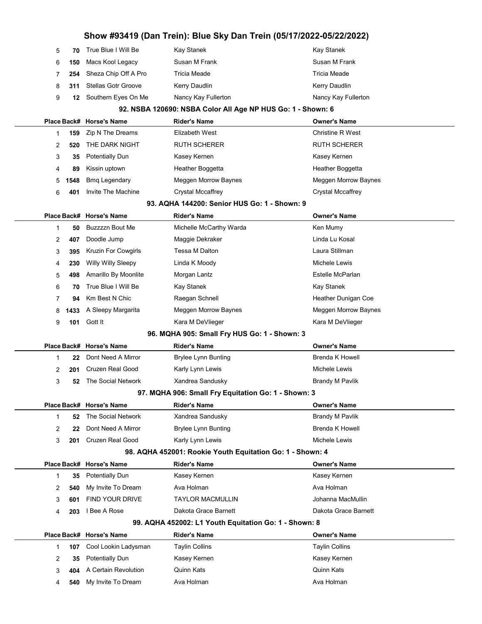| Show #93419 (Dan Trein): Blue Sky Dan Trein (05/17/2022-05/22/2022) |      |                                            |                                                             |                          |  |
|---------------------------------------------------------------------|------|--------------------------------------------|-------------------------------------------------------------|--------------------------|--|
| 5                                                                   | 70   | True Blue I Will Be                        | Kay Stanek                                                  | Kay Stanek               |  |
| 6                                                                   | 150  | Macs Kool Legacy                           | Susan M Frank                                               | Susan M Frank            |  |
| 7                                                                   | 254  | Sheza Chip Off A Pro                       | Tricia Meade                                                | Tricia Meade             |  |
| 8                                                                   | 311  | <b>Stellas Gotr Groove</b>                 | Kerry Daudlin                                               | Kerry Daudlin            |  |
| 9                                                                   | 12   | Southern Eyes On Me                        | Nancy Kay Fullerton                                         | Nancy Kay Fullerton      |  |
|                                                                     |      |                                            | 92. NSBA 120690: NSBA Color All Age NP HUS Go: 1 - Shown: 6 |                          |  |
|                                                                     |      | Place Back# Horse's Name                   | <b>Rider's Name</b>                                         | <b>Owner's Name</b>      |  |
| $\mathbf{1}$                                                        | 159  | Zip N The Dreams                           | Elizabeth West                                              | Christine R West         |  |
| 2                                                                   | 520  | THE DARK NIGHT                             | <b>RUTH SCHERER</b>                                         | RUTH SCHERER             |  |
| 3                                                                   | 35   | <b>Potentially Dun</b>                     | Kasey Kernen                                                | Kasey Kernen             |  |
| 4                                                                   | 89   | Kissin uptown                              | Heather Boggetta                                            | Heather Boggetta         |  |
| 5                                                                   | 1548 | <b>Bmq Legendary</b>                       | Meggen Morrow Baynes                                        | Meggen Morrow Baynes     |  |
| 6                                                                   | 401  | Invite The Machine                         | <b>Crystal Mccaffrey</b>                                    | <b>Crystal Mccaffrey</b> |  |
|                                                                     |      |                                            | 93. AQHA 144200: Senior HUS Go: 1 - Shown: 9                |                          |  |
|                                                                     |      | Place Back# Horse's Name                   | <b>Rider's Name</b>                                         | <b>Owner's Name</b>      |  |
| 1                                                                   | 50   | <b>Buzzzzn Bout Me</b>                     | Michelle McCarthy Warda                                     | Ken Mumy                 |  |
| 2                                                                   | 407  | Doodle Jump                                | Maggie Dekraker                                             | Linda Lu Kosal           |  |
| 3                                                                   | 395  | <b>Kruzin For Cowgirls</b>                 | Tessa M Dalton                                              | Laura Stillman           |  |
| 4                                                                   | 230  | <b>Willy Willy Sleepy</b>                  | Linda K Moody                                               | Michele Lewis            |  |
| 5                                                                   | 498  | Amarillo By Moonlite                       | Morgan Lantz                                                | Estelle McParlan         |  |
| 6                                                                   | 70   | True Blue I Will Be                        | Kay Stanek                                                  | Kay Stanek               |  |
| 7                                                                   | 94   | Km Best N Chic                             | Raegan Schnell                                              | Heather Dunigan Coe      |  |
| 8                                                                   | 1433 | A Sleepy Margarita                         | Meggen Morrow Baynes                                        | Meggen Morrow Baynes     |  |
| 9                                                                   | 101  | Gott It                                    | Kara M DeVlieger                                            | Kara M DeVlieger         |  |
|                                                                     |      |                                            | 96. MQHA 905: Small Fry HUS Go: 1 - Shown: 3                |                          |  |
|                                                                     |      |                                            |                                                             | Owner's Name             |  |
|                                                                     |      | Place Back# Horse's Name                   | <b>Rider's Name</b>                                         |                          |  |
| 1                                                                   | 22   | Dont Need A Mirror                         | <b>Brylee Lynn Bunting</b>                                  | Brenda K Howell          |  |
| 2                                                                   | 201  | Cruzen Real Good                           | Karly Lynn Lewis                                            | Michele Lewis            |  |
| 3                                                                   | 52   | The Social Network                         | Xandrea Sandusky                                            | <b>Brandy M Pavlik</b>   |  |
|                                                                     |      |                                            | 97. MQHA 906: Small Fry Equitation Go: 1 - Shown: 3         |                          |  |
|                                                                     |      | Place Back# Horse's Name                   | <b>Rider's Name</b>                                         | <b>Owner's Name</b>      |  |
| $\mathbf 1$                                                         | 52   | The Social Network                         | Xandrea Sandusky                                            | <b>Brandy M Pavlik</b>   |  |
| 2                                                                   | 22   | Dont Need A Mirror                         | <b>Brylee Lynn Bunting</b>                                  | <b>Brenda K Howell</b>   |  |
| 3                                                                   | 201  | <b>Cruzen Real Good</b>                    | Karly Lynn Lewis                                            | Michele Lewis            |  |
|                                                                     |      |                                            | 98. AQHA 452001: Rookie Youth Equitation Go: 1 - Shown: 4   |                          |  |
|                                                                     |      | Place Back# Horse's Name                   | <b>Rider's Name</b>                                         | Owner's Name             |  |
| 1                                                                   | 35   | <b>Potentially Dun</b>                     | Kasey Kernen                                                | Kasey Kernen             |  |
| 2                                                                   | 540  | My Invite To Dream                         | Ava Holman                                                  | Ava Holman               |  |
| 3                                                                   | 601  | FIND YOUR DRIVE                            | <b>TAYLOR MACMULLIN</b>                                     | Johanna MacMullin        |  |
| 4                                                                   | 203  | I Bee A Rose                               | Dakota Grace Barnett                                        | Dakota Grace Barnett     |  |
|                                                                     |      |                                            | 99. AQHA 452002: L1 Youth Equitation Go: 1 - Shown: 8       |                          |  |
|                                                                     |      | Place Back# Horse's Name                   | <b>Rider's Name</b>                                         | <b>Owner's Name</b>      |  |
| $\mathbf 1$                                                         | 107  | Cool Lookin Ladysman                       | <b>Taylin Collins</b>                                       | Taylin Collins           |  |
| 2                                                                   | 35   | <b>Potentially Dun</b>                     | Kasey Kernen                                                | Kasey Kernen             |  |
| 3                                                                   | 404  | A Certain Revolution<br>My Invite To Dream | Quinn Kats<br>Ava Holman                                    | Quinn Kats<br>Ava Holman |  |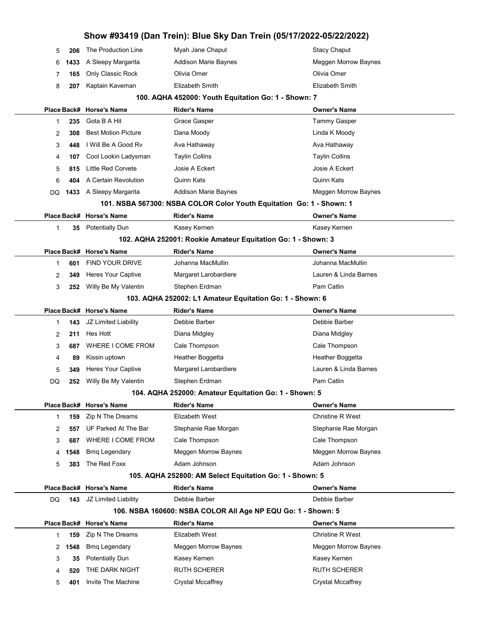|    |      |                            |                                                                      | Show #93419 (Dan Trein): Blue Sky Dan Trein (05/17/2022-05/22/2022) |
|----|------|----------------------------|----------------------------------------------------------------------|---------------------------------------------------------------------|
| 5  | 206  | The Production Line        | Myah Jane Chaput                                                     | <b>Stacy Chaput</b>                                                 |
| 6  | 1433 | A Sleepy Margarita         | <b>Addison Marie Baynes</b>                                          | <b>Meggen Morrow Baynes</b>                                         |
| 7  | 165  | Only Classic Rock          | Olivia Omer                                                          | Olivia Omer                                                         |
| 8  | 207  | Kaptain Kaveman            | Elizabeth Smith                                                      | Elizabeth Smith                                                     |
|    |      |                            | 100. AQHA 452000: Youth Equitation Go: 1 - Shown: 7                  |                                                                     |
|    |      | Place Back# Horse's Name   | <b>Rider's Name</b>                                                  | <b>Owner's Name</b>                                                 |
| 1  | 235  | Gota B A Hit               | Grace Gasper                                                         | Tammy Gasper                                                        |
| 2  | 308  | <b>Best Motion Picture</b> | Dana Moody                                                           | Linda K Moody                                                       |
| 3  | 448  | I Will Be A Good Rv        | Ava Hathaway                                                         | Ava Hathaway                                                        |
| 4  | 107  | Cool Lookin Ladysman       | <b>Taylin Collins</b>                                                | <b>Taylin Collins</b>                                               |
| 5  | 815  | <b>Little Red Corvete</b>  | Josie A Eckert                                                       | Josie A Eckert                                                      |
| 6  | 404  | A Certain Revolution       | <b>Quinn Kats</b>                                                    | Quinn Kats                                                          |
| DQ |      | 1433 A Sleepy Margarita    | <b>Addison Marie Baynes</b>                                          | Meggen Morrow Baynes                                                |
|    |      |                            | 101. NSBA 567300: NSBA COLOR Color Youth Equitation Go: 1 - Shown: 1 |                                                                     |
|    |      | Place Back# Horse's Name   | <b>Rider's Name</b>                                                  | <b>Owner's Name</b>                                                 |
| 1  | 35   | <b>Potentially Dun</b>     | Kasey Kernen                                                         | Kasey Kernen                                                        |
|    |      |                            | 102. AQHA 252001: Rookie Amateur Equitation Go: 1 - Shown: 3         |                                                                     |
|    |      | Place Back# Horse's Name   | <b>Rider's Name</b>                                                  | <b>Owner's Name</b>                                                 |
| 1  | 601  | <b>FIND YOUR DRIVE</b>     | Johanna MacMullin                                                    | Johanna MacMullin                                                   |
| 2  | 349  | Heres Your Captive         | Margaret Larobardiere                                                | Lauren & Linda Barnes                                               |
| 3  | 252  | Willy Be My Valentin       | Stephen Erdman                                                       | Pam Catlin                                                          |
|    |      |                            | 103. AQHA 252002: L1 Amateur Equitation Go: 1 - Shown: 6             |                                                                     |
|    |      | Place Back# Horse's Name   | <b>Rider's Name</b>                                                  | <b>Owner's Name</b>                                                 |
| 1  | 143  | JZ Limited Liability       | Debbie Barber                                                        | Debbie Barber                                                       |
| 2  | 211  | Hes Hott                   | Diana Midgley                                                        | Diana Midgley                                                       |
| 3  | 687  | WHERE I COME FROM          | Cale Thompson                                                        | Cale Thompson                                                       |
| 4  | 89   | Kissin uptown              | Heather Boggetta                                                     | Heather Boggetta                                                    |
| 5  | 349  | Heres Your Captive         | Margaret Larobardiere                                                | Lauren & Linda Barnes                                               |
| DQ | 252  | Willy Be My Valentin       | Stephen Erdman                                                       | Pam Catlin                                                          |
|    |      |                            | 104. AQHA 252000: Amateur Equitation Go: 1 - Shown: 5                |                                                                     |
|    |      | Place Back# Horse's Name   | <b>Rider's Name</b>                                                  | <b>Owner's Name</b>                                                 |
| 1  | 159  | Zip N The Dreams           | Elizabeth West                                                       | Christine R West                                                    |
| 2  | 557  | UF Parked At The Bar       | Stephanie Rae Morgan                                                 | Stephanie Rae Morgan                                                |
| 3  | 687  | WHERE I COME FROM          | Cale Thompson                                                        | Cale Thompson                                                       |
| 4  | 1548 | <b>Bmq Legendary</b>       | Meggen Morrow Baynes                                                 | Meggen Morrow Baynes                                                |
| 5  | 383  | The Red Foxx               | Adam Johnson                                                         | Adam Johnson                                                        |
|    |      |                            | 105. AQHA 252800: AM Select Equitation Go: 1 - Shown: 5              |                                                                     |
|    |      | Place Back# Horse's Name   | <b>Rider's Name</b>                                                  | <b>Owner's Name</b>                                                 |
| DQ | 143  | JZ Limited Liability       | Debbie Barber                                                        | Debbie Barber                                                       |
|    |      |                            | 106. NSBA 160600: NSBA COLOR All Age NP EQU Go: 1 - Shown: 5         |                                                                     |
|    |      | Place Back# Horse's Name   | <b>Rider's Name</b>                                                  | <b>Owner's Name</b>                                                 |
| 1  | 159  | Zip N The Dreams           | Elizabeth West                                                       | Christine R West                                                    |
| 2  | 1548 | <b>Bmq Legendary</b>       | Meggen Morrow Baynes                                                 | Meggen Morrow Baynes                                                |
| 3  | 35   | <b>Potentially Dun</b>     | Kasey Kernen                                                         | Kasey Kernen                                                        |
| 4  | 520  | THE DARK NIGHT             | <b>RUTH SCHERER</b>                                                  | <b>RUTH SCHERER</b>                                                 |
| 5  | 401  | Invite The Machine         | <b>Crystal Mccaffrey</b>                                             | <b>Crystal Mccaffrey</b>                                            |
|    |      |                            |                                                                      |                                                                     |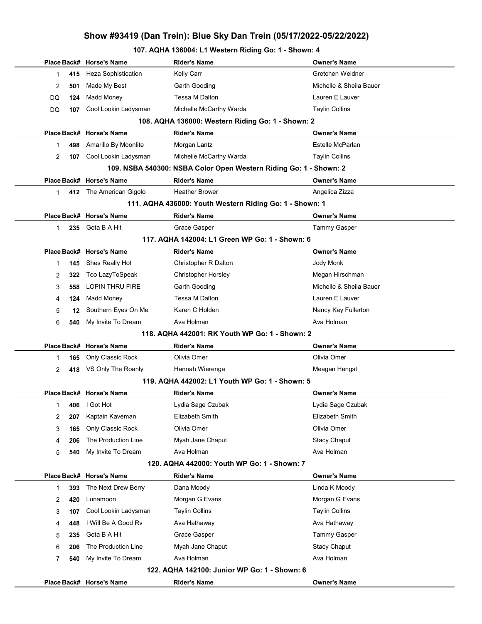# 107. AQHA 136004: L1 Western Riding Go: 1 - Shown: 4

|                                              |     | Place Back# Horse's Name   | <b>Rider's Name</b>                                               | <b>Owner's Name</b>     |  |
|----------------------------------------------|-----|----------------------------|-------------------------------------------------------------------|-------------------------|--|
| 1                                            | 415 | <b>Heza Sophistication</b> | Kelly Carr                                                        | Gretchen Weidner        |  |
| 2                                            | 501 | Made My Best               | Garth Gooding                                                     | Michelle & Sheila Bauer |  |
| DQ                                           | 124 | Madd Money                 | Tessa M Dalton                                                    | Lauren E Lauver         |  |
| DQ                                           | 107 | Cool Lookin Ladysman       | Michelle McCarthy Warda                                           | <b>Taylin Collins</b>   |  |
|                                              |     |                            | 108. AQHA 136000: Western Riding Go: 1 - Shown: 2                 |                         |  |
|                                              |     | Place Back# Horse's Name   | <b>Rider's Name</b>                                               | <b>Owner's Name</b>     |  |
| 1                                            | 498 | Amarillo By Moonlite       | Morgan Lantz                                                      | Estelle McParlan        |  |
| 2                                            | 107 | Cool Lookin Ladysman       | Michelle McCarthy Warda                                           | <b>Taylin Collins</b>   |  |
|                                              |     |                            | 109. NSBA 540300: NSBA Color Open Western Riding Go: 1 - Shown: 2 |                         |  |
|                                              |     | Place Back# Horse's Name   | <b>Rider's Name</b>                                               | <b>Owner's Name</b>     |  |
| 1                                            |     | 412 The American Gigolo    | <b>Heather Brower</b>                                             | Angelica Zizza          |  |
|                                              |     |                            | 111. AQHA 436000: Youth Western Riding Go: 1 - Shown: 1           |                         |  |
|                                              |     | Place Back# Horse's Name   | Rider's Name                                                      | <b>Owner's Name</b>     |  |
| $\mathbf{1}$                                 | 235 | Gota B A Hit               | <b>Grace Gasper</b>                                               | <b>Tammy Gasper</b>     |  |
|                                              |     |                            | 117. AQHA 142004: L1 Green WP Go: 1 - Shown: 6                    |                         |  |
|                                              |     | Place Back# Horse's Name   | <b>Rider's Name</b>                                               | <b>Owner's Name</b>     |  |
| 1                                            | 145 | Shes Really Hot            | Christopher R Dalton                                              | Jody Monk               |  |
| 2                                            | 322 | Too LazyToSpeak            | <b>Christopher Horsley</b>                                        | Megan Hirschman         |  |
| 3                                            | 558 | <b>LOPIN THRU FIRE</b>     | Garth Gooding                                                     | Michelle & Sheila Bauer |  |
| 4                                            | 124 | Madd Money                 | Tessa M Dalton                                                    | Lauren E Lauver         |  |
| 5                                            | 12  | Southern Eyes On Me        | Karen C Holden                                                    | Nancy Kay Fullerton     |  |
| 6                                            | 540 | My Invite To Dream         | Ava Holman                                                        | Ava Holman              |  |
|                                              |     |                            | 118. AQHA 442001: RK Youth WP Go: 1 - Shown: 2                    |                         |  |
|                                              |     | Place Back# Horse's Name   | <b>Rider's Name</b>                                               | <b>Owner's Name</b>     |  |
| 1                                            | 165 | Only Classic Rock          | Olivia Omer                                                       | Olivia Omer             |  |
| 2                                            | 418 | VS Only The Roanly         | Hannah Wierenga                                                   | Meagan Hengst           |  |
|                                              |     |                            | 119. AQHA 442002: L1 Youth WP Go: 1 - Shown: 5                    |                         |  |
|                                              |     | Place Back# Horse's Name   | <b>Rider's Name</b>                                               | <b>Owner's Name</b>     |  |
| 1                                            |     | 406   Got Hot              | Lydia Sage Czubak                                                 | Lydia Sage Czubak       |  |
| 2                                            | 207 | Kaptain Kaveman            | Elizabeth Smith                                                   | Elizabeth Smith         |  |
| 3                                            | 165 | Only Classic Rock          | Olivia Omer                                                       | Olivia Omer             |  |
| 4                                            | 206 | The Production Line        | Myah Jane Chaput                                                  | <b>Stacy Chaput</b>     |  |
| 5                                            | 540 | My Invite To Dream         | Ava Holman                                                        | Ava Holman              |  |
| 120. AQHA 442000: Youth WP Go: 1 - Shown: 7  |     |                            |                                                                   |                         |  |
|                                              |     | Place Back# Horse's Name   | Rider's Name                                                      | <b>Owner's Name</b>     |  |
| 1                                            | 393 | The Next Drew Berry        | Dana Moody                                                        | Linda K Moody           |  |
| 2                                            | 420 | Lunamoon                   | Morgan G Evans                                                    | Morgan G Evans          |  |
| 3                                            | 107 | Cool Lookin Ladysman       | <b>Taylin Collins</b>                                             | <b>Taylin Collins</b>   |  |
| 4                                            | 448 | I Will Be A Good Rv        | Ava Hathaway                                                      | Ava Hathaway            |  |
| 5                                            | 235 | Gota B A Hit               | <b>Grace Gasper</b>                                               | Tammy Gasper            |  |
| 6                                            | 206 | The Production Line        | Myah Jane Chaput                                                  | <b>Stacy Chaput</b>     |  |
| 7                                            | 540 | My Invite To Dream         | Ava Holman                                                        | Ava Holman              |  |
| 122. AQHA 142100: Junior WP Go: 1 - Shown: 6 |     |                            |                                                                   |                         |  |
|                                              |     | Place Back# Horse's Name   | <b>Rider's Name</b>                                               | <b>Owner's Name</b>     |  |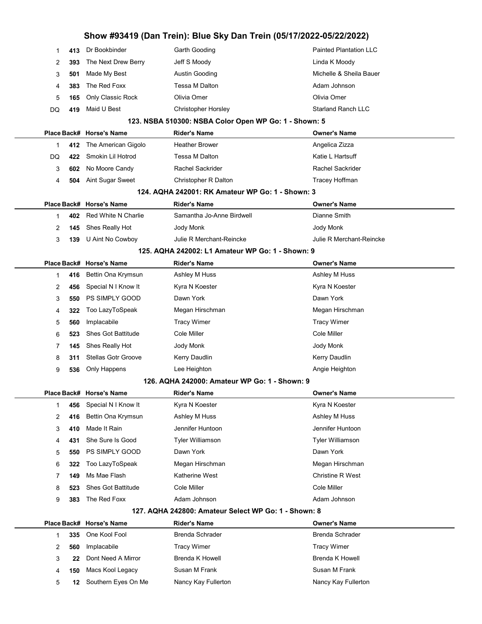|              | Show #93419 (Dan Trein): Blue Sky Dan Trein (05/17/2022-05/22/2022) |                                                       |                                                  |                               |  |  |
|--------------|---------------------------------------------------------------------|-------------------------------------------------------|--------------------------------------------------|-------------------------------|--|--|
| 1            | 413                                                                 | Dr Bookbinder                                         | Garth Gooding                                    | <b>Painted Plantation LLC</b> |  |  |
| 2            | 393                                                                 | The Next Drew Berry                                   | Jeff S Moody                                     | Linda K Moody                 |  |  |
| 3            | 501                                                                 | Made My Best                                          | Austin Gooding                                   | Michelle & Sheila Bauer       |  |  |
| 4            | 383                                                                 | The Red Foxx                                          | Tessa M Dalton                                   | Adam Johnson                  |  |  |
| 5            | 165                                                                 | Only Classic Rock                                     | Olivia Omer                                      | Olivia Omer                   |  |  |
| DQ           | 419                                                                 | Maid U Best                                           | <b>Christopher Horsley</b>                       | <b>Starland Ranch LLC</b>     |  |  |
|              |                                                                     | 123. NSBA 510300: NSBA Color Open WP Go: 1 - Shown: 5 |                                                  |                               |  |  |
|              |                                                                     | Place Back# Horse's Name                              | <b>Rider's Name</b>                              | <b>Owner's Name</b>           |  |  |
| $\mathbf{1}$ | 412                                                                 | The American Gigolo                                   | <b>Heather Brower</b>                            | Angelica Zizza                |  |  |
| DQ           | 422                                                                 | Smokin Lil Hotrod                                     | Tessa M Dalton                                   | Katie L Hartsuff              |  |  |
| 3            | 602                                                                 | No Moore Candy                                        | Rachel Sackrider                                 | <b>Rachel Sackrider</b>       |  |  |
| 4            | 504                                                                 | Aint Sugar Sweet                                      | Christopher R Dalton                             | Tracey Hoffman                |  |  |
|              |                                                                     |                                                       | 124. AQHA 242001: RK Amateur WP Go: 1 - Shown: 3 |                               |  |  |
|              |                                                                     | Place Back# Horse's Name                              | <b>Rider's Name</b>                              | <b>Owner's Name</b>           |  |  |
| 1            | 402                                                                 | Red White N Charlie                                   | Samantha Jo-Anne Birdwell                        | Dianne Smith                  |  |  |
| 2            | 145                                                                 | Shes Really Hot                                       | Jody Monk                                        | Jody Monk                     |  |  |
| 3            | 139                                                                 | U Aint No Cowboy                                      | Julie R Merchant-Reincke                         | Julie R Merchant-Reincke      |  |  |
|              |                                                                     |                                                       | 125. AQHA 242002: L1 Amateur WP Go: 1 - Shown: 9 |                               |  |  |
|              |                                                                     | Place Back# Horse's Name                              | <b>Rider's Name</b>                              | <b>Owner's Name</b>           |  |  |
| 1            | 416                                                                 | Bettin Ona Krymsun                                    | Ashley M Huss                                    | Ashley M Huss                 |  |  |
| 2            | 456                                                                 | Special N I Know It                                   | Kyra N Koester                                   | Kyra N Koester                |  |  |
| 3            | 550                                                                 | PS SIMPLY GOOD                                        | Dawn York                                        | Dawn York                     |  |  |
| 4            | 322                                                                 | Too LazyToSpeak                                       | Megan Hirschman                                  | Megan Hirschman               |  |  |
| 5            | 560                                                                 | Implacabile                                           | <b>Tracy Wimer</b>                               | <b>Tracy Wimer</b>            |  |  |
| 6            | 523                                                                 | <b>Shes Got Battitude</b>                             | Cole Miller                                      | Cole Miller                   |  |  |
| 7            | 145                                                                 | Shes Really Hot                                       | Jody Monk                                        | Jody Monk                     |  |  |
| 8            | 311                                                                 | <b>Stellas Gotr Groove</b>                            | Kerry Daudlin                                    | Kerry Daudlin                 |  |  |
| 9            | 536                                                                 | Only Happens                                          | Lee Heighton                                     | Angie Heighton                |  |  |
|              |                                                                     |                                                       | 126. AQHA 242000: Amateur WP Go: 1 - Shown: 9    |                               |  |  |
|              |                                                                     | Place Back# Horse's Name                              | <b>Rider's Name</b>                              | <b>Owner's Name</b>           |  |  |
| $\mathbf{1}$ | 456                                                                 | Special N I Know It                                   | Kyra N Koester                                   | Kyra N Koester                |  |  |
| 2            | 416                                                                 | Bettin Ona Krymsun                                    | Ashley M Huss                                    | Ashley M Huss                 |  |  |
| 3            | 410                                                                 | Made It Rain                                          | Jennifer Huntoon                                 | Jennifer Huntoon              |  |  |
| 4            | 431                                                                 | She Sure Is Good                                      | <b>Tyler Williamson</b>                          | <b>Tyler Williamson</b>       |  |  |
| 5            | 550                                                                 | PS SIMPLY GOOD                                        | Dawn York                                        | Dawn York                     |  |  |
| 6            | 322                                                                 | Too LazyToSpeak                                       | Megan Hirschman                                  | Megan Hirschman               |  |  |
| 7            | 149                                                                 | Ms Mae Flash                                          | Katherine West                                   | <b>Christine R West</b>       |  |  |
| 8            | 523                                                                 | <b>Shes Got Battitude</b>                             | Cole Miller                                      | Cole Miller                   |  |  |
| 9            | 383                                                                 | The Red Foxx                                          | Adam Johnson                                     | Adam Johnson                  |  |  |
|              | 127. AQHA 242800: Amateur Select WP Go: 1 - Shown: 8                |                                                       |                                                  |                               |  |  |
|              |                                                                     | Place Back# Horse's Name                              | <b>Rider's Name</b>                              | <b>Owner's Name</b>           |  |  |
| $\mathbf 1$  | 335                                                                 | One Kool Fool                                         | <b>Brenda Schrader</b>                           | <b>Brenda Schrader</b>        |  |  |
| 2            | 560                                                                 | Implacabile                                           | <b>Tracy Wimer</b>                               | <b>Tracy Wimer</b>            |  |  |
| 3            | 22                                                                  | Dont Need A Mirror                                    | <b>Brenda K Howell</b>                           | <b>Brenda K Howell</b>        |  |  |
| 4            | 150                                                                 | Macs Kool Legacy                                      | Susan M Frank                                    | Susan M Frank                 |  |  |
| 5            | 12                                                                  | Southern Eyes On Me                                   | Nancy Kay Fullerton                              | Nancy Kay Fullerton           |  |  |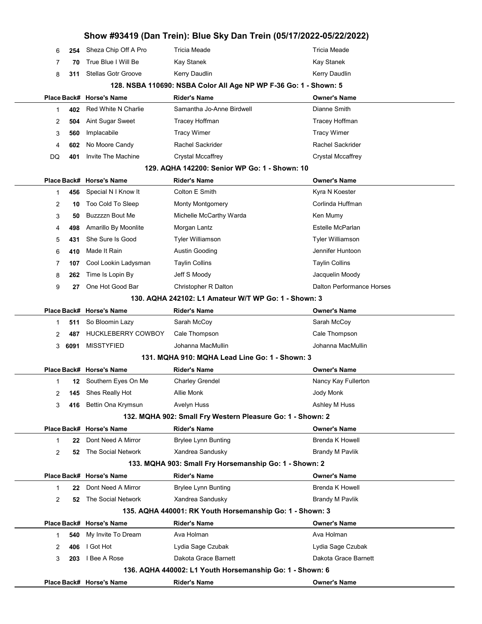|    |      |                               | Show #93419 (Dan Trein): Blue Sky Dan Trein (05/17/2022-05/22/2022) |                                  |
|----|------|-------------------------------|---------------------------------------------------------------------|----------------------------------|
| 6  | 254  | Sheza Chip Off A Pro          | <b>Tricia Meade</b>                                                 | <b>Tricia Meade</b>              |
| 7  | 70   | True Blue I Will Be           | Kay Stanek                                                          | Kay Stanek                       |
| 8  | 311  | <b>Stellas Gotr Groove</b>    | Kerry Daudlin                                                       | Kerry Daudlin                    |
|    |      |                               | 128. NSBA 110690: NSBA Color All Age NP WP F-36 Go: 1 - Shown: 5    |                                  |
|    |      | Place Back# Horse's Name      | <b>Rider's Name</b>                                                 | <b>Owner's Name</b>              |
| 1  | 402  | Red White N Charlie           | Samantha Jo-Anne Birdwell                                           | Dianne Smith                     |
| 2  | 504  | Aint Sugar Sweet              | Tracey Hoffman                                                      | Tracey Hoffman                   |
| 3  | 560  | Implacabile                   | <b>Tracy Wimer</b>                                                  | <b>Tracy Wimer</b>               |
| 4  | 602  | No Moore Candy                | Rachel Sackrider                                                    | <b>Rachel Sackrider</b>          |
| DQ | 401  | Invite The Machine            | <b>Crystal Mccaffrey</b>                                            | <b>Crystal Mccaffrey</b>         |
|    |      |                               | 129. AQHA 142200: Senior WP Go: 1 - Shown: 10                       |                                  |
|    |      | Place Back# Horse's Name      | <b>Rider's Name</b>                                                 | <b>Owner's Name</b>              |
| 1  | 456  | Special N I Know It           | Colton E Smith                                                      | Kyra N Koester                   |
| 2  | 10   | Too Cold To Sleep             | Monty Montgomery                                                    | Corlinda Huffman                 |
| 3  | 50   | Buzzzzn Bout Me               | Michelle McCarthy Warda                                             | Ken Mumy                         |
| 4  | 498  | Amarillo By Moonlite          | Morgan Lantz                                                        | Estelle McParlan                 |
| 5  | 431  | She Sure Is Good              | <b>Tyler Williamson</b>                                             | Tyler Williamson                 |
| 6  | 410  | Made It Rain                  | Austin Gooding                                                      | Jennifer Huntoon                 |
| 7  | 107  | Cool Lookin Ladysman          | <b>Taylin Collins</b>                                               | <b>Taylin Collins</b>            |
| 8  | 262  | Time Is Lopin By              | Jeff S Moody                                                        | Jacquelin Moody                  |
| 9  | 27   | One Hot Good Bar              | Christopher R Dalton                                                | <b>Dalton Performance Horses</b> |
|    |      |                               | 130. AQHA 242102: L1 Amateur W/T WP Go: 1 - Shown: 3                |                                  |
|    |      | Place Back# Horse's Name      | <b>Rider's Name</b>                                                 | <b>Owner's Name</b>              |
| 1  | 511  | So Bloomin Lazy               | Sarah McCoy                                                         | Sarah McCoy                      |
| 2  | 487  | HUCKLEBERRY COWBOY            | Cale Thompson                                                       | Cale Thompson                    |
| 3  | 6091 | <b>MISSTYFIED</b>             | Johanna MacMullin                                                   | Johanna MacMullin                |
|    |      |                               | 131. MQHA 910: MQHA Lead Line Go: 1 - Shown: 3                      |                                  |
|    |      | Place Back# Horse's Name      | Rider's Name                                                        | <b>Owner's Name</b>              |
| 1  |      | <b>12</b> Southern Eyes On Me | <b>Charley Grendel</b>                                              | Nancy Kay Fullerton              |
| 2  | 145  | Shes Really Hot               | Allie Monk                                                          | Jody Monk                        |
| 3  | 416  | Bettin Ona Krymsun            | Avelyn Huss                                                         | Ashley M Huss                    |
|    |      |                               | 132. MQHA 902: Small Fry Western Pleasure Go: 1 - Shown: 2          |                                  |
|    |      | Place Back# Horse's Name      | <b>Rider's Name</b>                                                 | <b>Owner's Name</b>              |
| 1  | 22   | Dont Need A Mirror            | Brylee Lynn Bunting                                                 | <b>Brenda K Howell</b>           |
| 2  | 52   | The Social Network            | Xandrea Sandusky                                                    | <b>Brandy M Pavlik</b>           |
|    |      |                               | 133. MQHA 903: Small Fry Horsemanship Go: 1 - Shown: 2              |                                  |
|    |      | Place Back# Horse's Name      | <b>Rider's Name</b>                                                 | <b>Owner's Name</b>              |
|    | 22   | Dont Need A Mirror            | Brylee Lynn Bunting                                                 | <b>Brenda K Howell</b>           |
| 2  | 52   | The Social Network            | Xandrea Sandusky                                                    | <b>Brandy M Pavlik</b>           |
|    |      |                               | 135. AQHA 440001: RK Youth Horsemanship Go: 1 - Shown: 3            |                                  |
|    |      | Place Back# Horse's Name      | <b>Rider's Name</b>                                                 | <b>Owner's Name</b>              |
| 1  | 540  | My Invite To Dream            | Ava Holman                                                          | Ava Holman                       |
| 2  | 406  | I Got Hot                     | Lydia Sage Czubak                                                   | Lydia Sage Czubak                |
| 3  | 203  | I Bee A Rose                  | Dakota Grace Barnett                                                | Dakota Grace Barnett             |
|    |      |                               | 136. AQHA 440002: L1 Youth Horsemanship Go: 1 - Shown: 6            |                                  |
|    |      | Place Back# Horse's Name      | <b>Rider's Name</b>                                                 | <b>Owner's Name</b>              |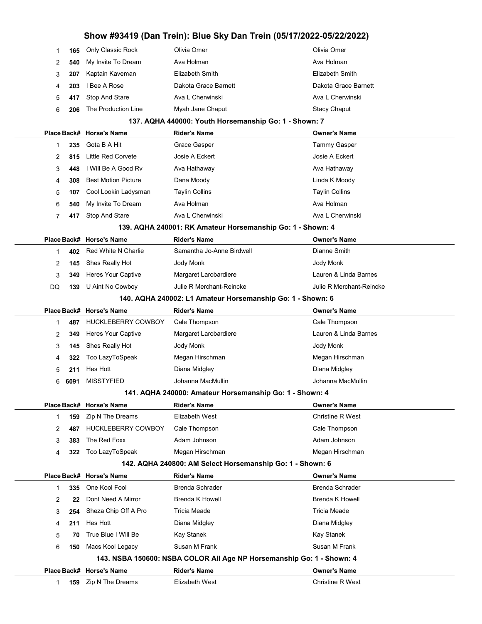|                                                                       | 1<br>165  | Only Classic Rock          | Olivia Omer                                                | Olivia Omer              |  |  |
|-----------------------------------------------------------------------|-----------|----------------------------|------------------------------------------------------------|--------------------------|--|--|
|                                                                       | 2<br>540  | My Invite To Dream         | Ava Holman                                                 | Ava Holman               |  |  |
|                                                                       | 3<br>207  | Kaptain Kaveman            | Elizabeth Smith                                            | Elizabeth Smith          |  |  |
|                                                                       | 4<br>203  | I Bee A Rose               | Dakota Grace Barnett                                       | Dakota Grace Barnett     |  |  |
|                                                                       | 5<br>417  | Stop And Stare             | Ava L Cherwinski                                           | Ava L Cherwinski         |  |  |
|                                                                       | 6<br>206  | The Production Line        | Myah Jane Chaput                                           | <b>Stacy Chaput</b>      |  |  |
|                                                                       |           |                            | 137. AQHA 440000: Youth Horsemanship Go: 1 - Shown: 7      |                          |  |  |
|                                                                       |           | Place Back# Horse's Name   | <b>Rider's Name</b>                                        | <b>Owner's Name</b>      |  |  |
|                                                                       | 235<br>1  | Gota B A Hit               | Grace Gasper                                               | <b>Tammy Gasper</b>      |  |  |
|                                                                       | 2<br>815  | Little Red Corvete         | Josie A Eckert                                             | Josie A Eckert           |  |  |
|                                                                       | 3<br>448  | I Will Be A Good Rv        | Ava Hathaway                                               | Ava Hathaway             |  |  |
|                                                                       | 4<br>308  | <b>Best Motion Picture</b> | Dana Moody                                                 | Linda K Moody            |  |  |
|                                                                       | 5<br>107  | Cool Lookin Ladysman       | <b>Taylin Collins</b>                                      | <b>Taylin Collins</b>    |  |  |
|                                                                       | 6<br>540  | My Invite To Dream         | Ava Holman                                                 | Ava Holman               |  |  |
|                                                                       | 7<br>417  | Stop And Stare             | Ava L Cherwinski                                           | Ava L Cherwinski         |  |  |
|                                                                       |           |                            | 139. AQHA 240001: RK Amateur Horsemanship Go: 1 - Shown: 4 |                          |  |  |
|                                                                       |           | Place Back# Horse's Name   | <b>Rider's Name</b>                                        | <b>Owner's Name</b>      |  |  |
|                                                                       | 1<br>402  | Red White N Charlie        | Samantha Jo-Anne Birdwell                                  | Dianne Smith             |  |  |
|                                                                       | 2<br>145  | Shes Really Hot            | Jody Monk                                                  | Jody Monk                |  |  |
|                                                                       | 3<br>349  | Heres Your Captive         | Margaret Larobardiere                                      | Lauren & Linda Barnes    |  |  |
| DQ                                                                    | 139       | U Aint No Cowboy           | Julie R Merchant-Reincke                                   | Julie R Merchant-Reincke |  |  |
|                                                                       |           |                            | 140. AQHA 240002: L1 Amateur Horsemanship Go: 1 - Shown: 6 |                          |  |  |
|                                                                       |           | Place Back# Horse's Name   | <b>Rider's Name</b>                                        | <b>Owner's Name</b>      |  |  |
|                                                                       | 1<br>487  | <b>HUCKLEBERRY COWBOY</b>  | Cale Thompson                                              | Cale Thompson            |  |  |
|                                                                       | 2<br>349  | Heres Your Captive         | Margaret Larobardiere                                      | Lauren & Linda Barnes    |  |  |
|                                                                       | 3<br>145  | Shes Really Hot            | Jody Monk                                                  | Jody Monk                |  |  |
|                                                                       | 322<br>4  | Too LazyToSpeak            | Megan Hirschman                                            | Megan Hirschman          |  |  |
|                                                                       | 5<br>211  | Hes Hott                   | Diana Midgley                                              | Diana Midgley            |  |  |
|                                                                       | 6<br>6091 | <b>MISSTYFIED</b>          | Johanna MacMullin                                          | Johanna MacMullin        |  |  |
| 141. AQHA 240000: Amateur Horsemanship Go: 1 - Shown: 4               |           |                            |                                                            |                          |  |  |
|                                                                       |           | Place Back# Horse's Name   | <b>Rider's Name</b>                                        | <b>Owner's Name</b>      |  |  |
|                                                                       | 159<br>1  | Zip N The Dreams           | Elizabeth West                                             | <b>Christine R West</b>  |  |  |
|                                                                       | 2<br>487  | HUCKLEBERRY COWBOY         | Cale Thompson                                              | Cale Thompson            |  |  |
|                                                                       | 3<br>383  | The Red Foxx               | Adam Johnson                                               | Adam Johnson             |  |  |
|                                                                       | 4<br>322  | Too LazyToSpeak            | Megan Hirschman                                            | Megan Hirschman          |  |  |
| 142. AQHA 240800: AM Select Horsemanship Go: 1 - Shown: 6             |           |                            |                                                            |                          |  |  |
|                                                                       |           | Place Back# Horse's Name   | <b>Rider's Name</b>                                        | <b>Owner's Name</b>      |  |  |
|                                                                       | 335<br>1  | One Kool Fool              | <b>Brenda Schrader</b>                                     | <b>Brenda Schrader</b>   |  |  |
|                                                                       | 2<br>22   | Dont Need A Mirror         | <b>Brenda K Howell</b>                                     | <b>Brenda K Howell</b>   |  |  |
|                                                                       | 3<br>254  | Sheza Chip Off A Pro       | Tricia Meade                                               | Tricia Meade             |  |  |
|                                                                       | 211<br>4  | Hes Hott                   | Diana Midgley                                              | Diana Midgley            |  |  |
|                                                                       | 5<br>70   | True Blue I Will Be        | <b>Kay Stanek</b>                                          | Kay Stanek               |  |  |
|                                                                       | 6<br>150  | Macs Kool Legacy           | Susan M Frank                                              | Susan M Frank            |  |  |
| 143. NSBA 150600: NSBA COLOR All Age NP Horsemanship Go: 1 - Shown: 4 |           |                            |                                                            |                          |  |  |
|                                                                       |           | Place Back# Horse's Name   | <b>Rider's Name</b>                                        | <b>Owner's Name</b>      |  |  |
|                                                                       | 159<br>1  | Zip N The Dreams           | Elizabeth West                                             | <b>Christine R West</b>  |  |  |